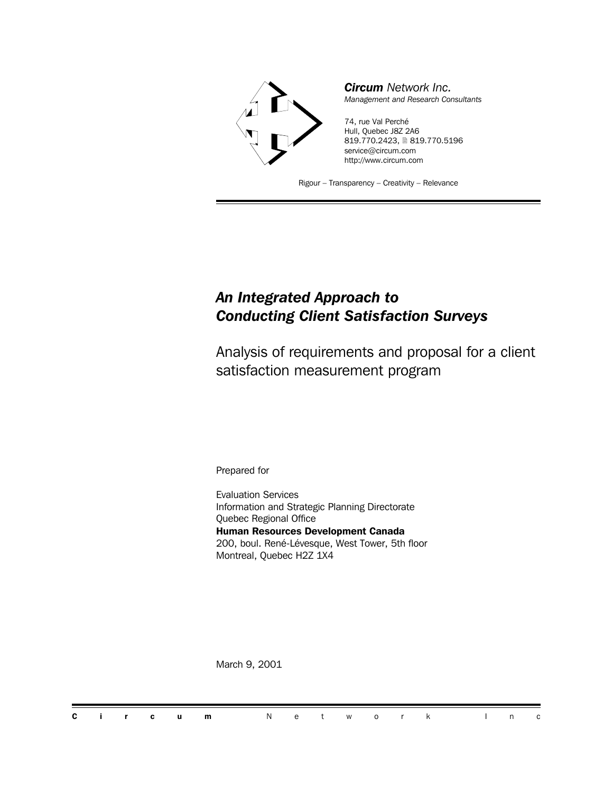

*Circum Network Inc. Management and Research Consultants*

74, rue Val Perché Hull, Quebec J8Z 2A6 819.770.2423, 2819.770.5196 service@circum.com http://www.circum.com

Rigour – Transparency – Creativity – Relevance

### *An Integrated Approach to Conducting Client Satisfaction Surveys*

Analysis of requirements and proposal for a client satisfaction measurement program

Prepared for

Evaluation Services Information and Strategic Planning Directorate Quebec Regional Office **Human Resources Development Canada** 200, boul. René-Lévesque, West Tower, 5th floor Montreal, Quebec H2Z 1X4

March 9, 2001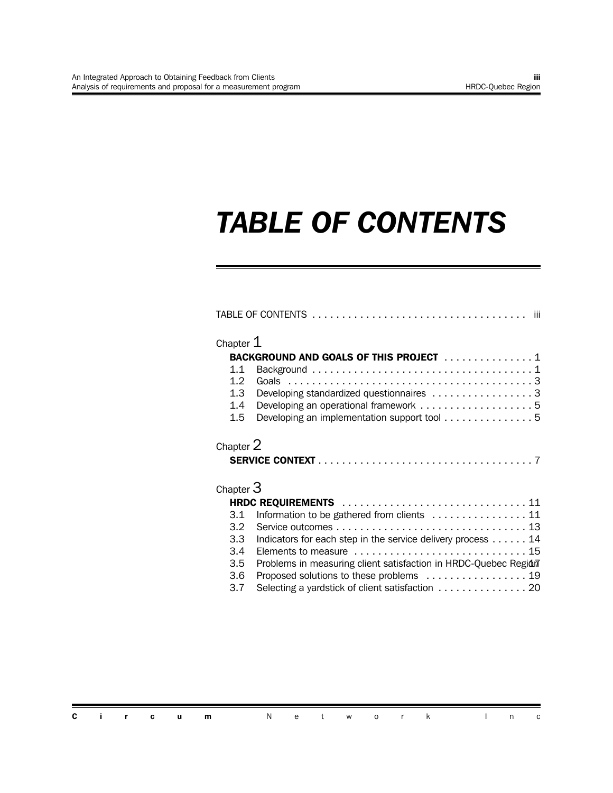## *TABLE OF CONTENTS*

| Chapter $\bm{1}$<br>BACKGROUND AND GOALS OF THIS PROJECT  1<br>Developing standardized questionnaires 3<br>Developing an operational framework 5<br>Developing an implementation support tool 5<br>Chapter $2\,$<br>Chapter $3\,$<br>HRDC REQUIREMENTS  11<br>Information to be gathered from clients  11<br>Indicators for each step in the service delivery process 14<br>Problems in measuring client satisfaction in HRDC-Quebec Region<br>Proposed solutions to these problems  19<br>Selecting a yardstick of client satisfaction 20 |
|--------------------------------------------------------------------------------------------------------------------------------------------------------------------------------------------------------------------------------------------------------------------------------------------------------------------------------------------------------------------------------------------------------------------------------------------------------------------------------------------------------------------------------------------|

|  |  | <b>Circum</b> Network Inc |  |  |  |  |  |
|--|--|---------------------------|--|--|--|--|--|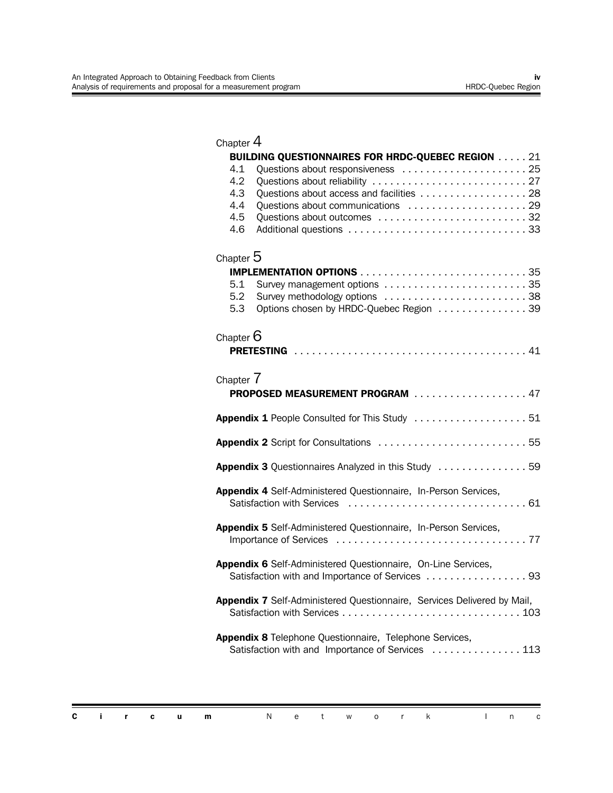| Chapter $4$                                                                                                                   |
|-------------------------------------------------------------------------------------------------------------------------------|
| <b>BUILDING QUESTIONNAIRES FOR HRDC-QUEBEC REGION 21</b>                                                                      |
| 4.1<br>4.2<br>Questions about access and facilities  28<br>4.3<br>4.4<br>4.5<br>4.6                                           |
| Chapter $5$                                                                                                                   |
|                                                                                                                               |
| 5.1<br>Survey management options 35<br>5.2<br>Survey methodology options 38<br>5.3<br>Options chosen by HRDC-Quebec Region 39 |
| Chapter $6$                                                                                                                   |
|                                                                                                                               |
| Chapter 7                                                                                                                     |
| PROPOSED MEASUREMENT PROGRAM 47                                                                                               |
| Appendix 1 People Consulted for This Study 51                                                                                 |
| Appendix 2 Script for Consultations 55                                                                                        |
| Appendix 3 Questionnaires Analyzed in this Study  59                                                                          |
| Appendix 4 Self-Administered Questionnaire, In-Person Services,                                                               |
| Appendix 5 Self-Administered Questionnaire, In-Person Services,                                                               |
| Appendix 6 Self-Administered Questionnaire, On-Line Services,<br>Satisfaction with and Importance of Services 93              |
| Appendix 7 Self-Administered Questionnaire, Services Delivered by Mail,                                                       |
| Appendix 8 Telephone Questionnaire, Telephone Services,<br>Satisfaction with and Importance of Services  113                  |
|                                                                                                                               |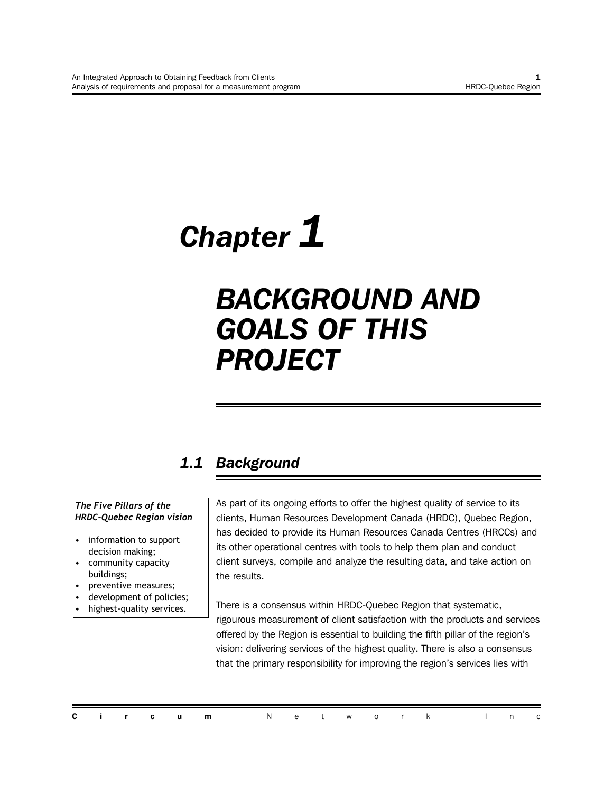## *Chapter 1*

## *BACKGROUND AND GOALS OF THIS PROJECT*

## *1.1 Background*

#### *The Five Pillars of the HRDC-Quebec Region vision*

- information to support decision making;
- community capacity buildings;
- preventive measures;
- development of policies;
- highest-quality services.

As part of its ongoing efforts to offer the highest quality of service to its clients, Human Resources Development Canada (HRDC), Quebec Region, has decided to provide its Human Resources Canada Centres (HRCCs) and its other operational centres with tools to help them plan and conduct client surveys, compile and analyze the resulting data, and take action on the results.

There is a consensus within HRDC-Quebec Region that systematic, rigourous measurement of client satisfaction with the products and services offered by the Region is essential to building the fifth pillar of the region's vision: delivering services of the highest quality. There is also a consensus that the primary responsibility for improving the region's services lies with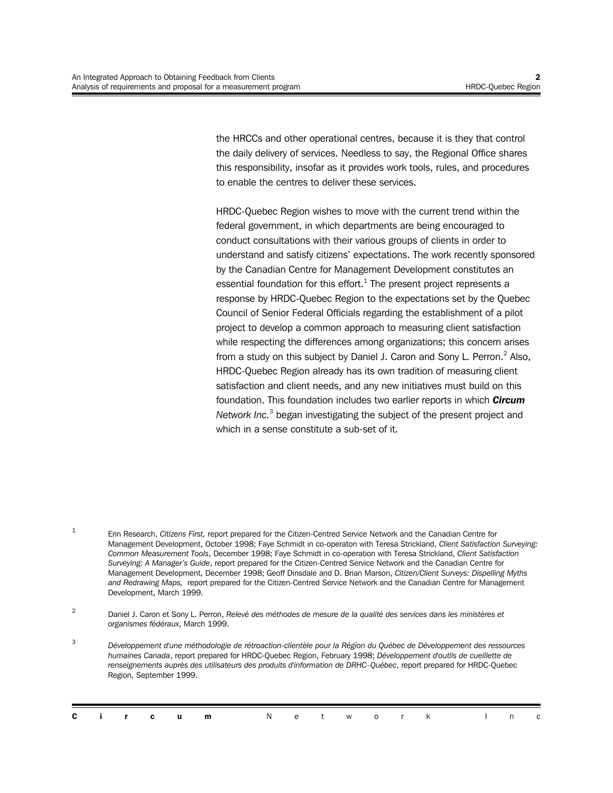the HRCCs and other operational centres, because it is they that control the daily delivery of services. Needless to say, the Regional Office shares this responsibility, insofar as it provides work tools, rules, and procedures to enable the centres to deliver these services.

HRDC-Quebec Region wishes to move with the current trend within the federal government, in which departments are being encouraged to conduct consultations with their various groups of clients in order to understand and satisfy citizens' expectations. The work recently sponsored by the Canadian Centre for Management Development constitutes an essential foundation for this effort. $^1$  The present project represents a response by HRDC-Quebec Region to the expectations set by the Quebec Council of Senior Federal Officials regarding the establishment of a pilot project to develop a common approach to measuring client satisfaction while respecting the differences among organizations; this concern arises from a study on this subject by Daniel J. Caron and Sony L. Perron.<sup>2</sup> Also, HRDC-Quebec Region already has its own tradition of measuring client satisfaction and client needs, and any new initiatives must build on this foundation. This foundation includes two earlier reports in which *Circum* Network Inc.<sup>3</sup> began investigating the subject of the present project and which in a sense constitute a sub-set of it.

1 Erin Research, *Citizens First,* report prepared for the Citizen-Centred Service Network and the Canadian Centre for Management Development, October 1998; Faye Schmidt in co-operaton with Teresa Strickland, *Client Satisfaction Surveying: Common Measurement Tools*, December 1998; Faye Schmidt in co-operation with Teresa Strickland, *Client Satisfaction Surveying: A Manager's Guide*, report prepared for the Citizen-Centred Service Network and the Canadian Centre for Management Development, December 1998; Geoff Dinsdale and D. Brian Marson, *Citizen/Client Surveys: Dispelling Myths and Redrawing Maps,* report prepared for the Citizen-Centred Service Network and the Canadian Centre for Management Development, March 1999.

2 Daniel J. Caron et Sony L. Perron, *Relevé des méthodes de mesure de la qualité des services dans les ministères et organismes fédéraux*, March 1999.

<sup>3</sup> *Développement d'une méthodologie de rétroaction-clientèle pour la Région du Québec de Développement des ressources humaines Canada*, report prepared for HRDC-Quebec Region, February 1998; *Développement d'outils de cueillette de renseignements auprès des utilisateurs des produits d'information de DRHC–Québec*, report prepared for HRDC-Quebec Region, September 1999.

|  |  | <b>Circum</b> Network Inc |  |  |  |  |  |
|--|--|---------------------------|--|--|--|--|--|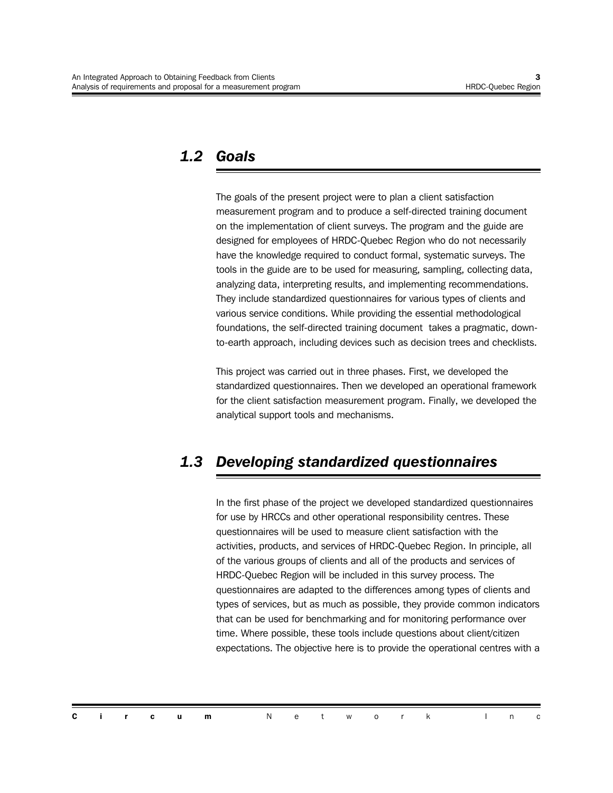### *1.2 Goals*

The goals of the present project were to plan a client satisfaction measurement program and to produce a self-directed training document on the implementation of client surveys. The program and the guide are designed for employees of HRDC-Quebec Region who do not necessarily have the knowledge required to conduct formal, systematic surveys. The tools in the guide are to be used for measuring, sampling, collecting data, analyzing data, interpreting results, and implementing recommendations. They include standardized questionnaires for various types of clients and various service conditions. While providing the essential methodological foundations, the self-directed training document takes a pragmatic, downto-earth approach, including devices such as decision trees and checklists.

This project was carried out in three phases. First, we developed the standardized questionnaires. Then we developed an operational framework for the client satisfaction measurement program. Finally, we developed the analytical support tools and mechanisms.

## *1.3 Developing standardized questionnaires*

In the first phase of the project we developed standardized questionnaires for use by HRCCs and other operational responsibility centres. These questionnaires will be used to measure client satisfaction with the activities, products, and services of HRDC-Quebec Region. In principle, all of the various groups of clients and all of the products and services of HRDC-Quebec Region will be included in this survey process. The questionnaires are adapted to the differences among types of clients and types of services, but as much as possible, they provide common indicators that can be used for benchmarking and for monitoring performance over time. Where possible, these tools include questions about client/citizen expectations. The objective here is to provide the operational centres with a

|  |  |  | <b>Circum</b> Network Inc |  |  |  |  |  |
|--|--|--|---------------------------|--|--|--|--|--|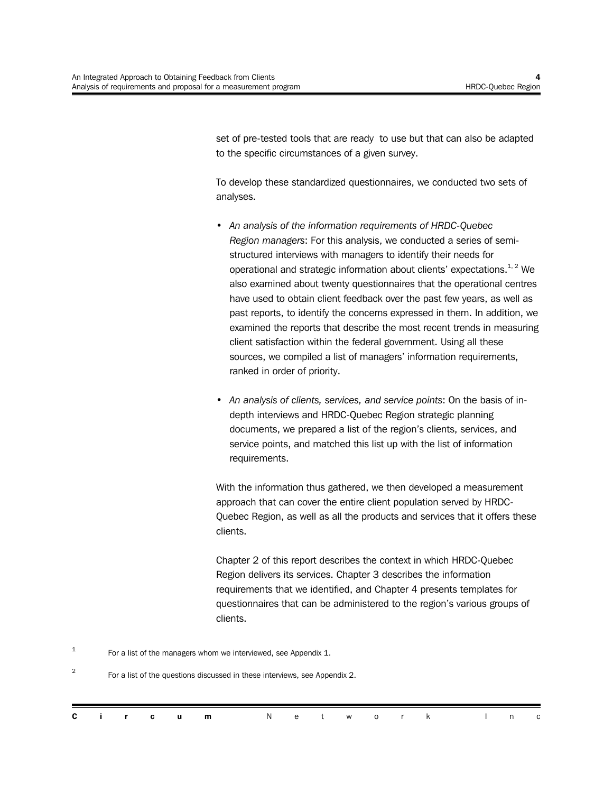set of pre-tested tools that are ready to use but that can also be adapted to the specific circumstances of a given survey.

To develop these standardized questionnaires, we conducted two sets of analyses.

- *An analysis of the information requirements of HRDC-Quebec Region managers*: For this analysis, we conducted a series of semistructured interviews with managers to identify their needs for operational and strategic information about clients' expectations.<sup>1, 2</sup> We also examined about twenty questionnaires that the operational centres have used to obtain client feedback over the past few years, as well as past reports, to identify the concerns expressed in them. In addition, we examined the reports that describe the most recent trends in measuring client satisfaction within the federal government. Using all these sources, we compiled a list of managers' information requirements, ranked in order of priority.
- *An analysis of clients, services, and service points*: On the basis of indepth interviews and HRDC-Quebec Region strategic planning documents, we prepared a list of the region's clients, services, and service points, and matched this list up with the list of information requirements.

With the information thus gathered, we then developed a measurement approach that can cover the entire client population served by HRDC-Quebec Region, as well as all the products and services that it offers these clients.

Chapter 2 of this report describes the context in which HRDC-Quebec Region delivers its services. Chapter 3 describes the information requirements that we identified, and Chapter 4 presents templates for questionnaires that can be administered to the region's various groups of clients.

1 For a list of the managers whom we interviewed, see Appendix 1.

2 For a list of the questions discussed in these interviews, see Appendix 2.

|  |  | <b>Circum</b> Network Inc |  |  |  |  |  |  |
|--|--|---------------------------|--|--|--|--|--|--|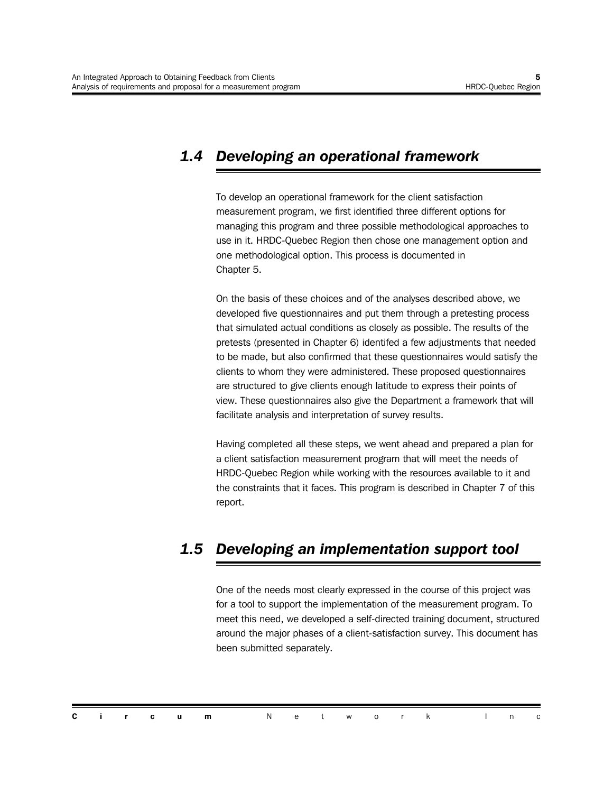## *1.4 Developing an operational framework*

To develop an operational framework for the client satisfaction measurement program, we first identified three different options for managing this program and three possible methodological approaches to use in it. HRDC-Quebec Region then chose one management option and one methodological option. This process is documented in Chapter 5.

On the basis of these choices and of the analyses described above, we developed five questionnaires and put them through a pretesting process that simulated actual conditions as closely as possible. The results of the pretests (presented in Chapter 6) identifed a few adjustments that needed to be made, but also confirmed that these questionnaires would satisfy the clients to whom they were administered. These proposed questionnaires are structured to give clients enough latitude to express their points of view. These questionnaires also give the Department a framework that will facilitate analysis and interpretation of survey results.

Having completed all these steps, we went ahead and prepared a plan for a client satisfaction measurement program that will meet the needs of HRDC-Quebec Region while working with the resources available to it and the constraints that it faces. This program is described in Chapter 7 of this report.

### *1.5 Developing an implementation support tool*

One of the needs most clearly expressed in the course of this project was for a tool to support the implementation of the measurement program. To meet this need, we developed a self-directed training document, structured around the major phases of a client-satisfaction survey. This document has been submitted separately.

|  |  | <b>Circum</b> Network Inc |  |  |  |  |  |  |
|--|--|---------------------------|--|--|--|--|--|--|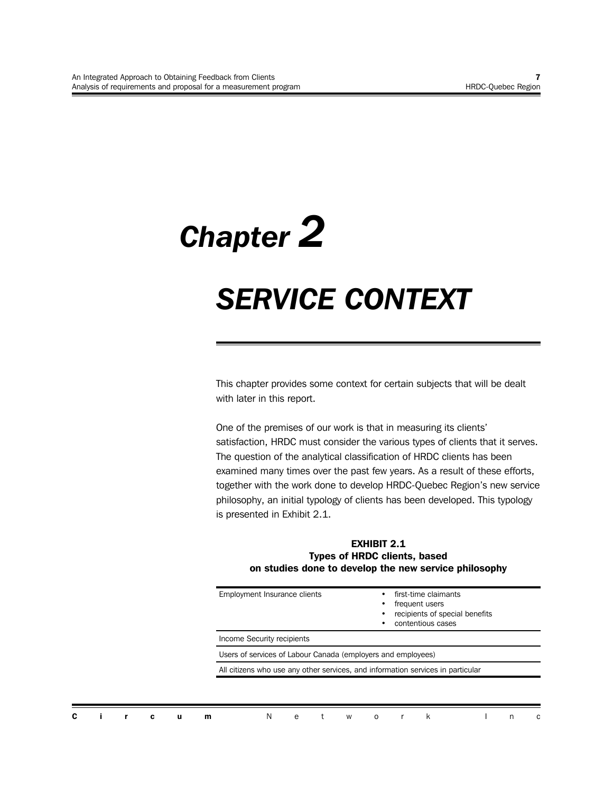# *Chapter 2*

## *SERVICE CONTEXT*

This chapter provides some context for certain subjects that will be dealt with later in this report.

One of the premises of our work is that in measuring its clients' satisfaction, HRDC must consider the various types of clients that it serves. The question of the analytical classification of HRDC clients has been examined many times over the past few years. As a result of these efforts, together with the work done to develop HRDC-Quebec Region's new service philosophy, an initial typology of clients has been developed. This typology is presented in Exhibit 2.1.

#### **EXHIBIT 2.1 Types of HRDC clients, based on studies done to develop the new service philosophy**

| Employment Insurance clients                                                    | first-time claimants<br>frequent users<br>recipients of special benefits<br>contentious cases |  |  |  |  |  |  |
|---------------------------------------------------------------------------------|-----------------------------------------------------------------------------------------------|--|--|--|--|--|--|
| Income Security recipients                                                      |                                                                                               |  |  |  |  |  |  |
| Users of services of Labour Canada (employers and employees)                    |                                                                                               |  |  |  |  |  |  |
| All citizens who use any other services, and information services in particular |                                                                                               |  |  |  |  |  |  |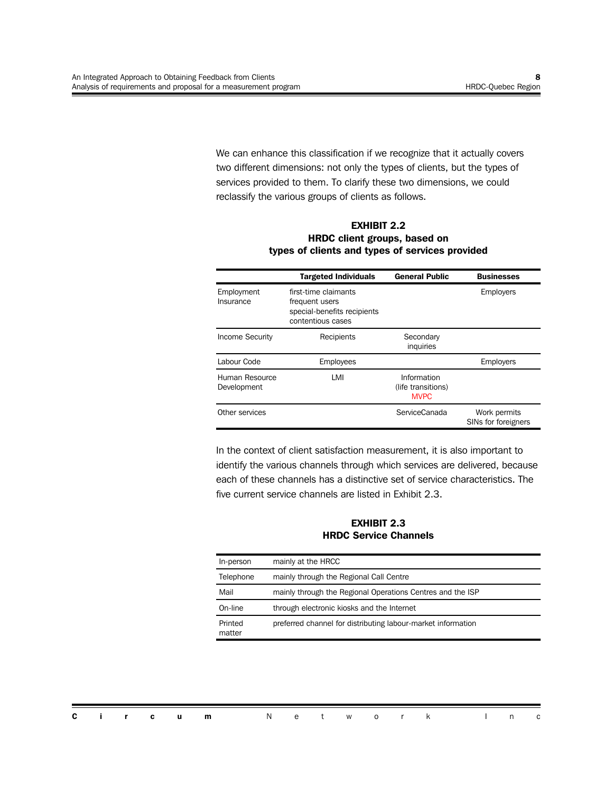We can enhance this classification if we recognize that it actually covers two different dimensions: not only the types of clients, but the types of services provided to them. To clarify these two dimensions, we could reclassify the various groups of clients as follows.

**EXHIBIT 2.2 HRDC client groups, based on types of clients and types of services provided**

|                               | <b>Targeted Individuals</b>                                                                | <b>General Public</b>                            | <b>Businesses</b>                   |
|-------------------------------|--------------------------------------------------------------------------------------------|--------------------------------------------------|-------------------------------------|
| Employment<br>Insurance       | first-time claimants<br>frequent users<br>special-benefits recipients<br>contentious cases |                                                  | <b>Employers</b>                    |
| <b>Income Security</b>        | Recipients                                                                                 | Secondary<br>inquiries                           |                                     |
| Labour Code                   | Employees                                                                                  |                                                  | <b>Employers</b>                    |
| Human Resource<br>Development | LMI                                                                                        | Information<br>(life transitions)<br><b>MVPC</b> |                                     |
| Other services                |                                                                                            | ServiceCanada                                    | Work permits<br>SINs for foreigners |

In the context of client satisfaction measurement, it is also important to identify the various channels through which services are delivered, because each of these channels has a distinctive set of service characteristics. The five current service channels are listed in Exhibit 2.3.

**EXHIBIT 2.3 HRDC Service Channels**

| In-person         | mainly at the HRCC                                           |
|-------------------|--------------------------------------------------------------|
| Telephone         | mainly through the Regional Call Centre                      |
| Mail              | mainly through the Regional Operations Centres and the ISP   |
| On-line           | through electronic kiosks and the Internet                   |
| Printed<br>matter | preferred channel for distributing labour-market information |

|  |  | <b>Circum</b> Network Inc |  |  |  |  |  |
|--|--|---------------------------|--|--|--|--|--|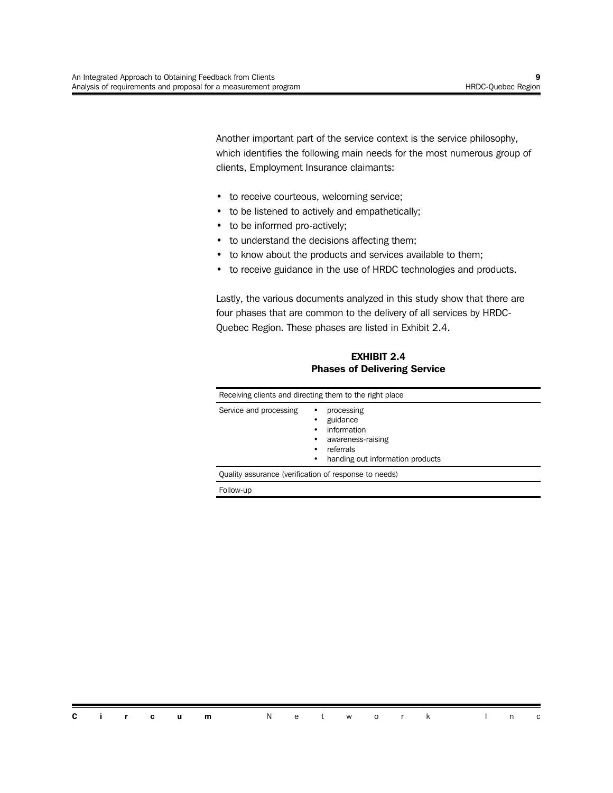Another important part of the service context is the service philosophy, which identifies the following main needs for the most numerous group of clients, Employment Insurance claimants:

- to receive courteous, welcoming service;
- to be listened to actively and empathetically;
- to be informed pro-actively;
- to understand the decisions affecting them;
- to know about the products and services available to them;
- to receive guidance in the use of HRDC technologies and products.

Lastly, the various documents analyzed in this study show that there are four phases that are common to the delivery of all services by HRDC-Quebec Region. These phases are listed in Exhibit 2.4.

**EXHIBIT 2.4 Phases of Delivering Service**

|                        | Receiving clients and directing them to the right place                                                          |  |  |  |  |  |
|------------------------|------------------------------------------------------------------------------------------------------------------|--|--|--|--|--|
| Service and processing | processing<br>٠<br>guidance<br>information<br>awareness-raising<br>referrals<br>handing out information products |  |  |  |  |  |
|                        | Quality assurance (verification of response to needs)                                                            |  |  |  |  |  |
| Follow-up              |                                                                                                                  |  |  |  |  |  |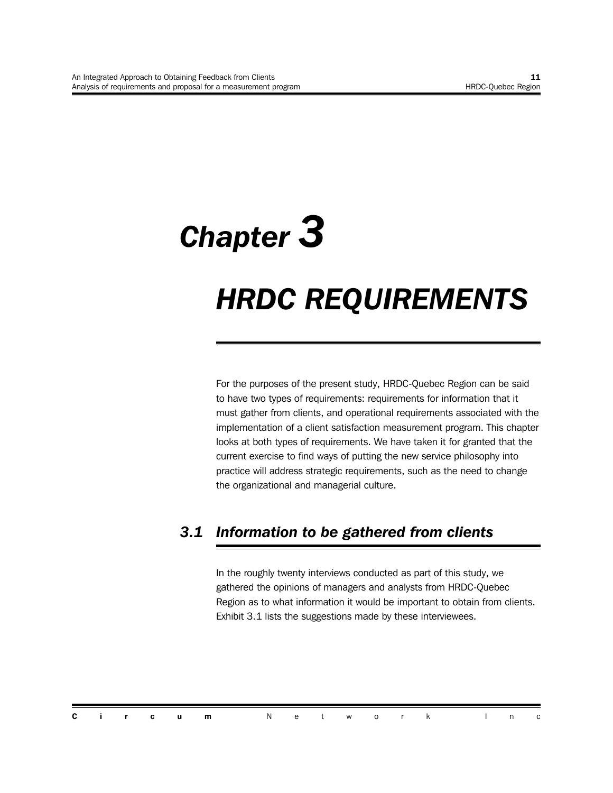## *Chapter 3 HRDC REQUIREMENTS*

For the purposes of the present study, HRDC-Quebec Region can be said to have two types of requirements: requirements for information that it must gather from clients, and operational requirements associated with the implementation of a client satisfaction measurement program. This chapter looks at both types of requirements. We have taken it for granted that the current exercise to find ways of putting the new service philosophy into practice will address strategic requirements, such as the need to change the organizational and managerial culture.

## *3.1 Information to be gathered from clients*

In the roughly twenty interviews conducted as part of this study, we gathered the opinions of managers and analysts from HRDC-Quebec Region as to what information it would be important to obtain from clients. Exhibit 3.1 lists the suggestions made by these interviewees.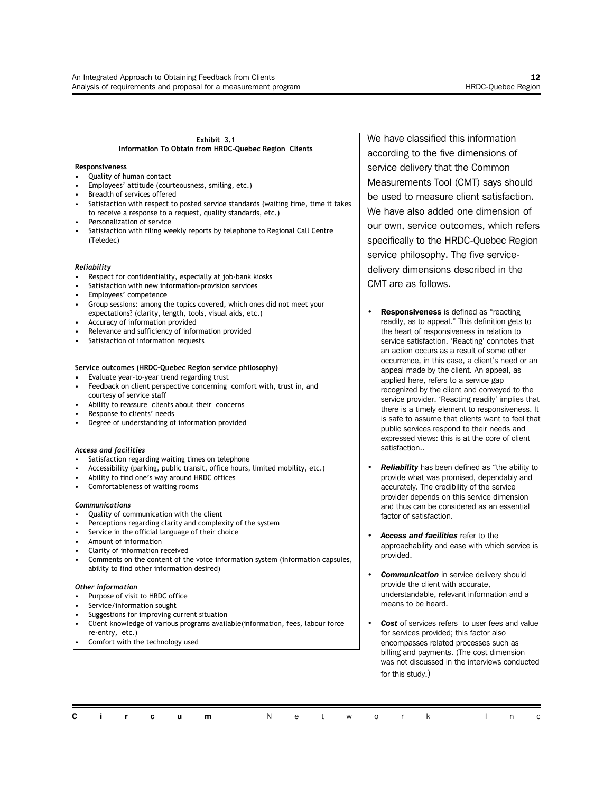#### **Exhibit 3.1 Information To Obtain from HRDC-Quebec Region Clients**

#### **Responsiveness**

- **•** Quality of human contact
- Employees' attitude (courteousness, smiling, etc.)
- Breadth of services offered
- Satisfaction with respect to posted service standards (waiting time, time it takes to receive a response to a request, quality standards, etc.)
- Personalization of service
- Satisfaction with filing weekly reports by telephone to Regional Call Centre (Teledec)

#### *Reliability*

- Respect for confidentiality, especially at job-bank kiosks
- Satisfaction with new information-provision services
- Employees' competence
- Group sessions: among the topics covered, which ones did not meet your expectations? (clarity, length, tools, visual aids, etc.)
- Accuracy of information provided
- Relevance and sufficiency of information provided
- Satisfaction of information requests

#### **Service outcomes (HRDC-Quebec Region service philosophy)**

- **•** Evaluate year-to-year trend regarding trust
- Feedback on client perspective concerning comfort with, trust in, and courtesy of service staff
- Ability to reassure clients about their concerns
- Response to clients' needs
- Degree of understanding of information provided

#### *Access and facilities*

- Satisfaction regarding waiting times on telephone
- Accessibility (parking, public transit, office hours, limited mobility, etc.)
- Ability to find one's way around HRDC offices
- Comfortableness of waiting rooms

#### *Communications*

- Quality of communication with the client
- Perceptions regarding clarity and complexity of the system
- Service in the official language of their choice
- Amount of information
- Clarity of information received
- Comments on the content of the voice information system (information capsules, ability to find other information desired)

#### *Other information*

- Purpose of visit to HRDC office
- Service/information sought
- Suggestions for improving current situation
- Client knowledge of various programs available(information, fees, labour force re-entry, etc.)
- Comfort with the technology used

We have classified this information according to the five dimensions of service delivery that the Common Measurements Tool (CMT) says should be used to measure client satisfaction. We have also added one dimension of our own, service outcomes, which refers specifically to the HRDC-Quebec Region service philosophy. The five servicedelivery dimensions described in the CMT are as follows.

- **Responsiveness** is defined as "reacting readily, as to appeal." This definition gets to the heart of responsiveness in relation to service satisfaction. 'Reacting' connotes that an action occurs as a result of some other occurrence, in this case, a client's need or an appeal made by the client. An appeal, as applied here, refers to a service gap recognized by the client and conveyed to the service provider. 'Reacting readily' implies that there is a timely element to responsiveness. It is safe to assume that clients want to feel that public services respond to their needs and expressed views: this is at the core of client satisfaction..
- *Reliability* has been defined as "the ability to provide what was promised, dependably and accurately. The credibility of the service provider depends on this service dimension and thus can be considered as an essential factor of satisfaction.
- *Access and facilities* refer to the approachability and ease with which service is provided.
- *Communication* in service delivery should provide the client with accurate, understandable, relevant information and a means to be heard.
- Cost of services refers to user fees and value for services provided; this factor also encompasses related processes such as billing and payments. (The cost dimension was not discussed in the interviews conducted for this study.)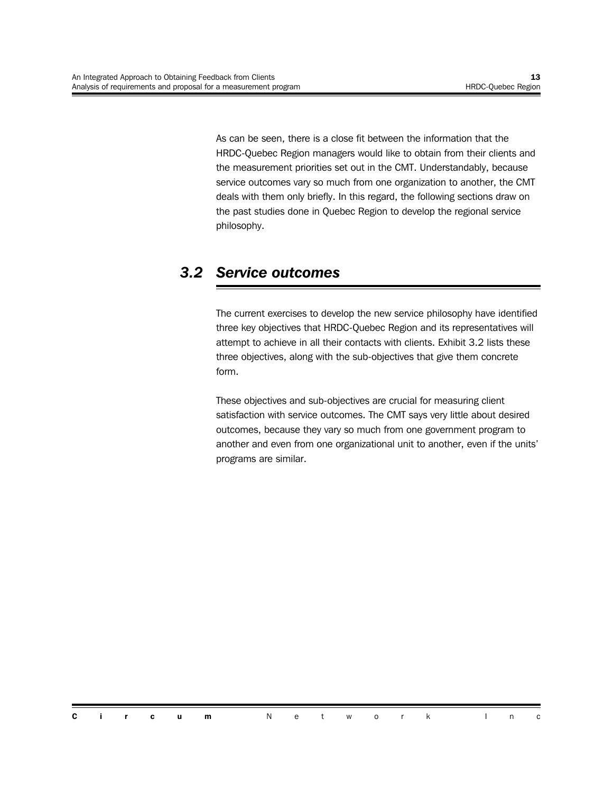As can be seen, there is a close fit between the information that the HRDC-Quebec Region managers would like to obtain from their clients and the measurement priorities set out in the CMT. Understandably, because service outcomes vary so much from one organization to another, the CMT deals with them only briefly. In this regard, the following sections draw on the past studies done in Quebec Region to develop the regional service philosophy.

### *3.2 Service outcomes*

The current exercises to develop the new service philosophy have identified three key objectives that HRDC-Quebec Region and its representatives will attempt to achieve in all their contacts with clients. Exhibit 3.2 lists these three objectives, along with the sub-objectives that give them concrete form.

These objectives and sub-objectives are crucial for measuring client satisfaction with service outcomes. The CMT says very little about desired outcomes, because they vary so much from one government program to another and even from one organizational unit to another, even if the units' programs are similar.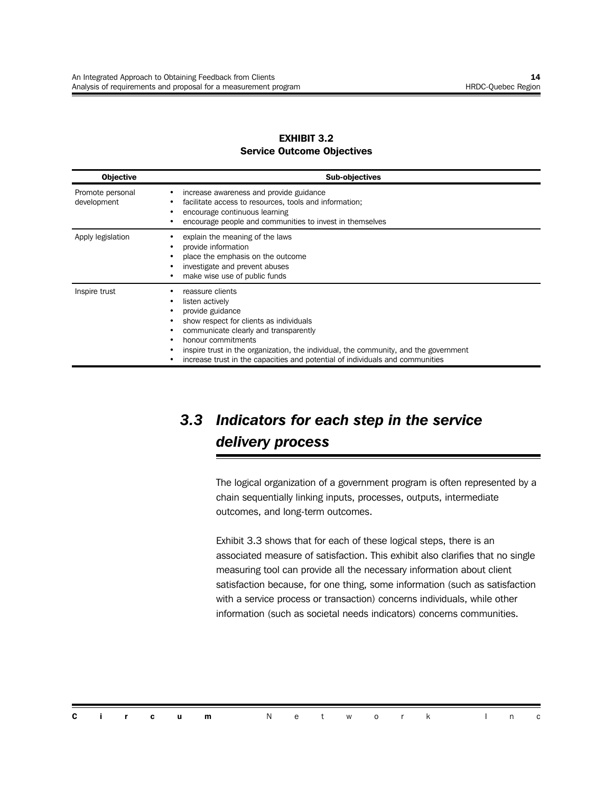#### **EXHIBIT 3.2 Service Outcome Objectives**

| <b>Objective</b>                | <b>Sub-objectives</b>                                                                                                                                                                                                                                                                                                                      |
|---------------------------------|--------------------------------------------------------------------------------------------------------------------------------------------------------------------------------------------------------------------------------------------------------------------------------------------------------------------------------------------|
| Promote personal<br>development | increase awareness and provide guidance<br>facilitate access to resources, tools and information;<br>encourage continuous learning<br>encourage people and communities to invest in themselves                                                                                                                                             |
| Apply legislation               | explain the meaning of the laws<br>provide information<br>place the emphasis on the outcome<br>investigate and prevent abuses<br>make wise use of public funds                                                                                                                                                                             |
| Inspire trust                   | reassure clients<br>listen actively<br>provide guidance<br>show respect for clients as individuals<br>communicate clearly and transparently<br>honour commitments<br>inspire trust in the organization, the individual, the community, and the government<br>increase trust in the capacities and potential of individuals and communities |

## *3.3 Indicators for each step in the service delivery process*

The logical organization of a government program is often represented by a chain sequentially linking inputs, processes, outputs, intermediate outcomes, and long-term outcomes.

Exhibit 3.3 shows that for each of these logical steps, there is an associated measure of satisfaction. This exhibit also clarifies that no single measuring tool can provide all the necessary information about client satisfaction because, for one thing, some information (such as satisfaction with a service process or transaction) concerns individuals, while other information (such as societal needs indicators) concerns communities.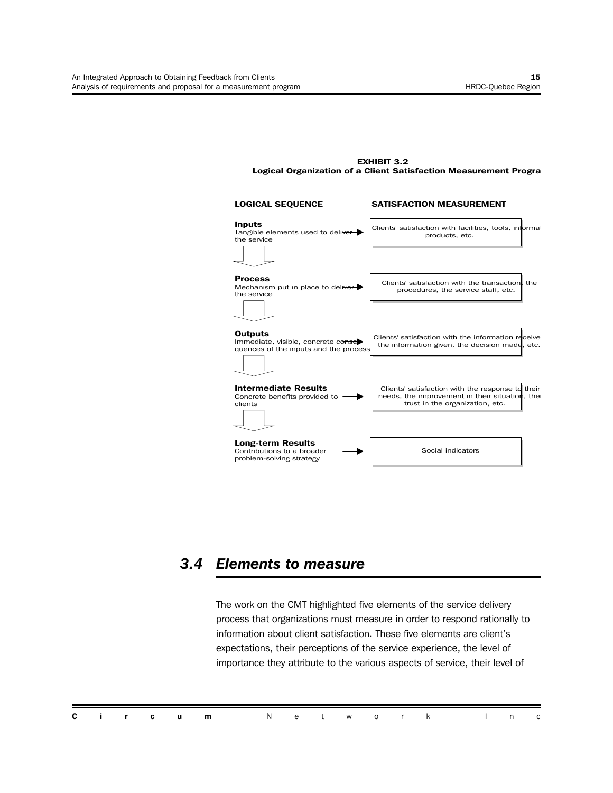



### *3.4 Elements to measure*

The work on the CMT highlighted five elements of the service delivery process that organizations must measure in order to respond rationally to information about client satisfaction. These five elements are client's expectations, their perceptions of the service experience, the level of importance they attribute to the various aspects of service, their level of

|  |  | <b>Circum</b> Network Inc |  |  |  |  |  |  |
|--|--|---------------------------|--|--|--|--|--|--|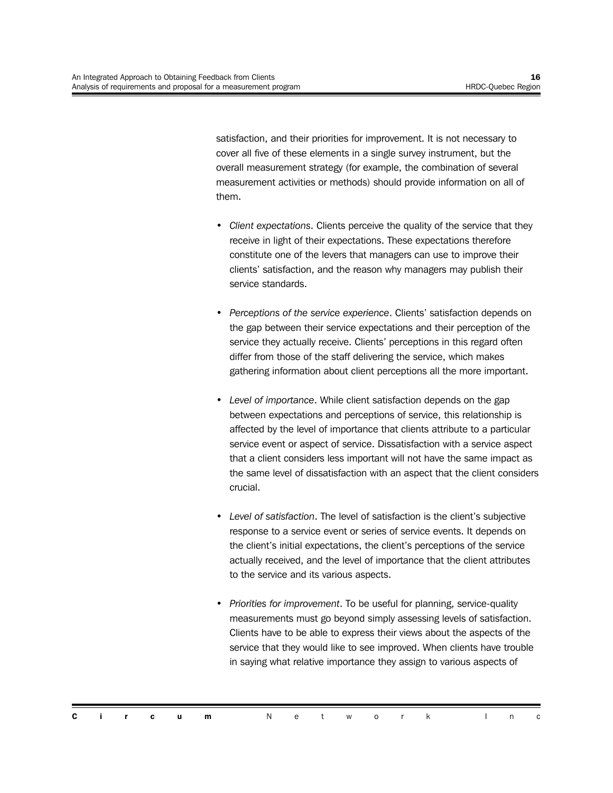satisfaction, and their priorities for improvement. It is not necessary to cover all five of these elements in a single survey instrument, but the overall measurement strategy (for example, the combination of several measurement activities or methods) should provide information on all of them.

- *Client expectations*. Clients perceive the quality of the service that they receive in light of their expectations. These expectations therefore constitute one of the levers that managers can use to improve their clients' satisfaction, and the reason why managers may publish their service standards.
- *Perceptions of the service experience*. Clients' satisfaction depends on the gap between their service expectations and their perception of the service they actually receive. Clients' perceptions in this regard often differ from those of the staff delivering the service, which makes gathering information about client perceptions all the more important.
- *Level of importance*. While client satisfaction depends on the gap between expectations and perceptions of service, this relationship is affected by the level of importance that clients attribute to a particular service event or aspect of service. Dissatisfaction with a service aspect that a client considers less important will not have the same impact as the same level of dissatisfaction with an aspect that the client considers crucial.
- *• Level of satisfaction*. The level of satisfaction is the client's subjective response to a service event or series of service events. It depends on the client's initial expectations, the client's perceptions of the service actually received, and the level of importance that the client attributes to the service and its various aspects.
- *Priorities for improvement*. To be useful for planning, service-quality measurements must go beyond simply assessing levels of satisfaction. Clients have to be able to express their views about the aspects of the service that they would like to see improved. When clients have trouble in saying what relative importance they assign to various aspects of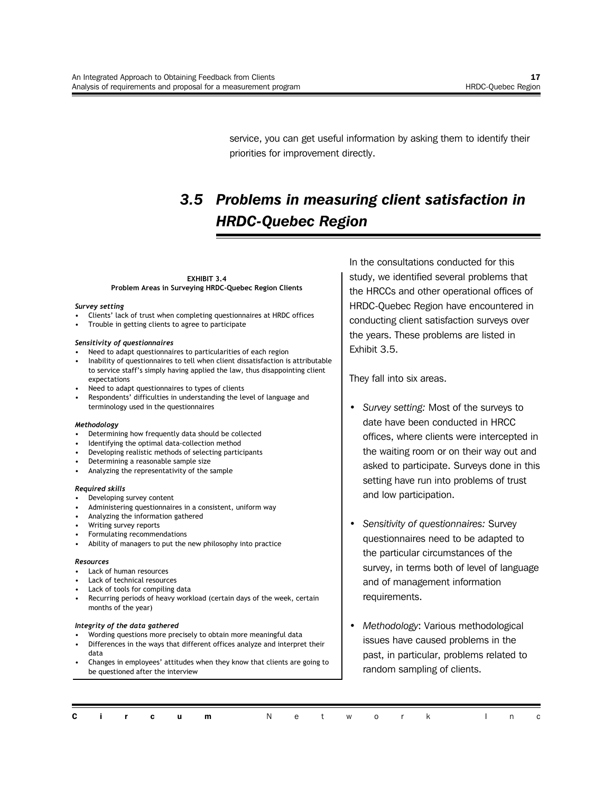service, you can get useful information by asking them to identify their priorities for improvement directly.

## *3.5 Problems in measuring client satisfaction in HRDC-Quebec Region*

**EXHIBIT 3.4 Problem Areas in Surveying HRDC-Quebec Region Clients**

#### *Survey setting*

- Clients' lack of trust when completing questionnaires at HRDC offices
- Trouble in getting clients to agree to participate

#### *Sensitivity of questionnaires*

- Need to adapt questionnaires to particularities of each region
- Inability of questionnaires to tell when client dissatisfaction is attributable to service staff's simply having applied the law, thus disappointing client expectations
- Need to adapt questionnaires to types of clients
- Respondents' difficulties in understanding the level of language and terminology used in the questionnaires

#### *Methodology*

- Determining how frequently data should be collected
- Identifying the optimal data-collection method
- Developing realistic methods of selecting participants
- Determining a reasonable sample size
- Analyzing the representativity of the sample

#### *Required skills*

- Developing survey content
- Administering questionnaires in a consistent, uniform way
- Analyzing the information gathered
- Writing survey reports
- Formulating recommendations
- Ability of managers to put the new philosophy into practice

#### *Resources*

- Lack of human resources
- Lack of technical resources
- Lack of tools for compiling data
- Recurring periods of heavy workload (certain days of the week, certain months of the year)

#### *Integrity of the data gathered*

- Wording questions more precisely to obtain more meaningful data
- Differences in the ways that different offices analyze and interpret their data
- Changes in employees' attitudes when they know that clients are going to be questioned after the interview

In the consultations conducted for this study, we identified several problems that the HRCCs and other operational offices of HRDC-Quebec Region have encountered in conducting client satisfaction surveys over the years. These problems are listed in Exhibit 3.5.

They fall into six areas.

- *Survey setting:* Most of the surveys to date have been conducted in HRCC offices, where clients were intercepted in the waiting room or on their way out and asked to participate. Surveys done in this setting have run into problems of trust and low participation.
- *Sensitivity of questionnaires:* Survey questionnaires need to be adapted to the particular circumstances of the survey, in terms both of level of language and of management information requirements.
- *Methodology*: Various methodological issues have caused problems in the past, in particular, problems related to random sampling of clients.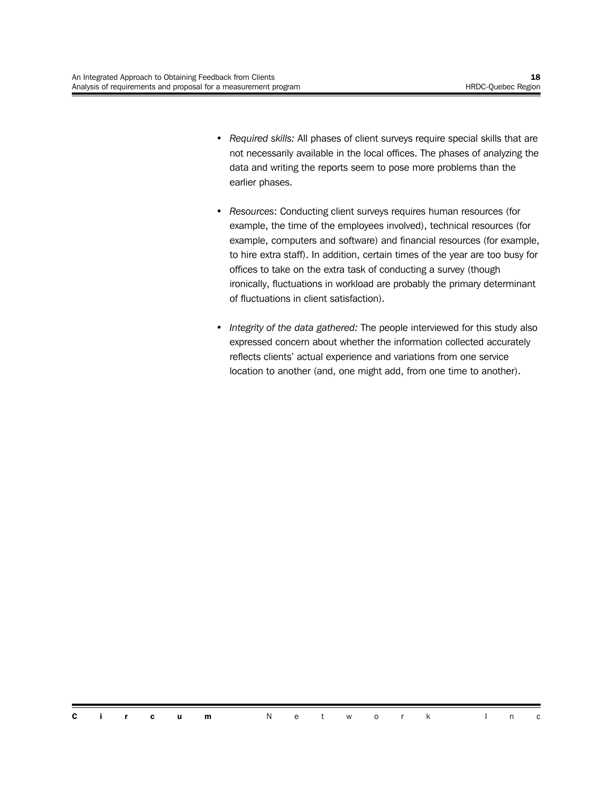- *Required skills:* All phases of client surveys require special skills that are not necessarily available in the local offices. The phases of analyzing the data and writing the reports seem to pose more problems than the earlier phases.
- *Resources*: Conducting client surveys requires human resources (for example, the time of the employees involved), technical resources (for example, computers and software) and financial resources (for example, to hire extra staff). In addition, certain times of the year are too busy for offices to take on the extra task of conducting a survey (though ironically, fluctuations in workload are probably the primary determinant of fluctuations in client satisfaction).
- *Integrity of the data gathered:* The people interviewed for this study also expressed concern about whether the information collected accurately reflects clients' actual experience and variations from one service location to another (and, one might add, from one time to another).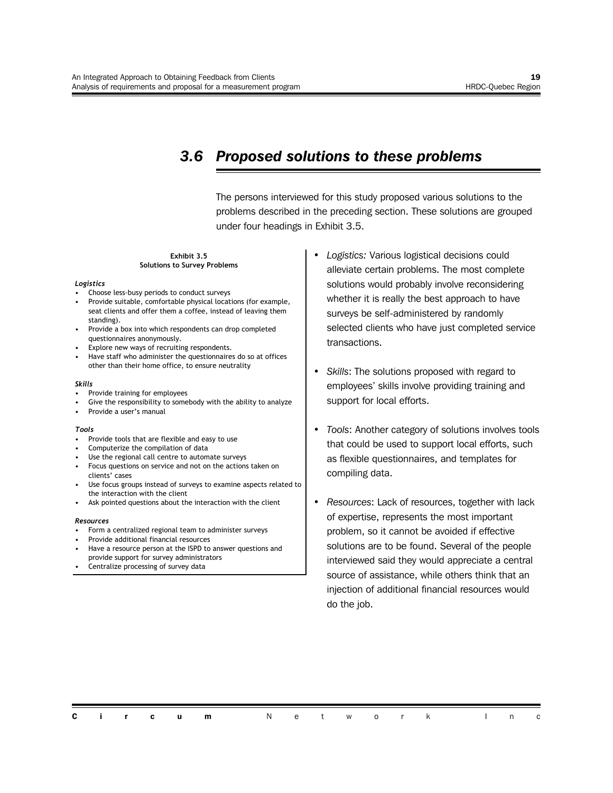### *3.6 Proposed solutions to these problems*

The persons interviewed for this study proposed various solutions to the problems described in the preceding section. These solutions are grouped under four headings in Exhibit 3.5.

#### **Exhibit 3.5 Solutions to Survey Problems**

#### *Logistics*

- Choose less-busy periods to conduct surveys
- Provide suitable, comfortable physical locations (for example, seat clients and offer them a coffee, instead of leaving them standing).
- Provide a box into which respondents can drop completed questionnaires anonymously.
- Explore new ways of recruiting respondents.
- Have staff who administer the questionnaires do so at offices other than their home office, to ensure neutrality

#### *Skills*

- Provide training for employees
- Give the responsibility to somebody with the ability to analyze
- Provide a user's manual

#### *Tools*

- Provide tools that are flexible and easy to use
- Computerize the compilation of data
- Use the regional call centre to automate surveys
- Focus questions on service and not on the actions taken on clients' cases
- Use focus groups instead of surveys to examine aspects related to the interaction with the client
- Ask pointed questions about the interaction with the client

#### *Resources*

- Form a centralized regional team to administer surveys
- Provide additional financial resources
- Have a resource person at the ISPD to answer questions and provide support for survey administrators
- Centralize processing of survey data
- *Logistics:* Various logistical decisions could alleviate certain problems. The most complete solutions would probably involve reconsidering whether it is really the best approach to have surveys be self-administered by randomly selected clients who have just completed service transactions.
- *Skills*: The solutions proposed with regard to employees' skills involve providing training and support for local efforts.
- *Tools*: Another category of solutions involves tools that could be used to support local efforts, such as flexible questionnaires, and templates for compiling data.
- *Resources*: Lack of resources, together with lack of expertise, represents the most important problem, so it cannot be avoided if effective solutions are to be found. Several of the people interviewed said they would appreciate a central source of assistance, while others think that an injection of additional financial resources would do the job.

| <b>Circum</b> Network Inc |
|---------------------------|
|---------------------------|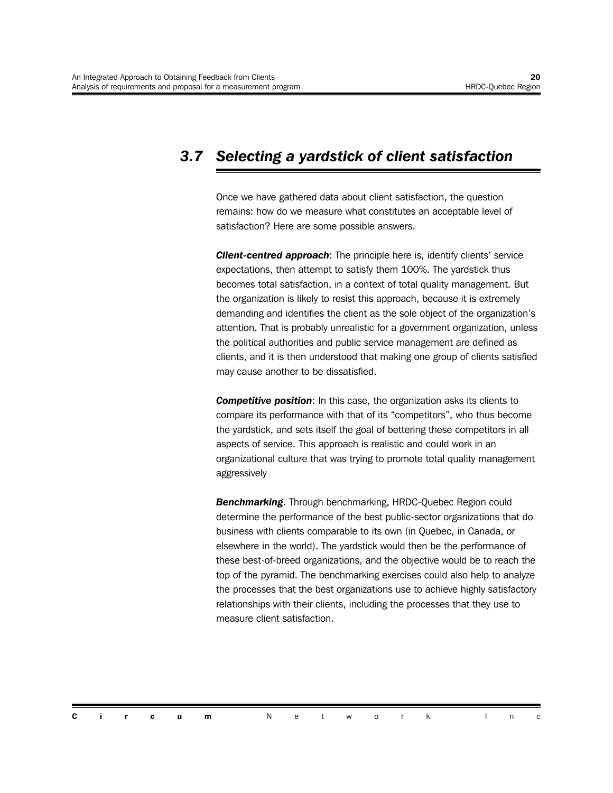## *3.7 Selecting a yardstick of client satisfaction*

Once we have gathered data about client satisfaction, the question remains: how do we measure what constitutes an acceptable level of satisfaction? Here are some possible answers.

**Client-centred approach:** The principle here is, identify clients' service expectations, then attempt to satisfy them 100%. The yardstick thus becomes total satisfaction, in a context of total quality management. But the organization is likely to resist this approach, because it is extremely demanding and identifies the client as the sole object of the organization's attention. That is probably unrealistic for a government organization, unless the political authorities and public service management are defined as clients, and it is then understood that making one group of clients satisfied may cause another to be dissatisfied.

**Competitive position:** In this case, the organization asks its clients to compare its performance with that of its "competitors", who thus become the yardstick, and sets itself the goal of bettering these competitors in all aspects of service. This approach is realistic and could work in an organizational culture that was trying to promote total quality management aggressively

*Benchmarking*. Through benchmarking, HRDC-Quebec Region could determine the performance of the best public-sector organizations that do business with clients comparable to its own (in Quebec, in Canada, or elsewhere in the world). The yardstick would then be the performance of these best-of-breed organizations, and the objective would be to reach the top of the pyramid. The benchmarking exercises could also help to analyze the processes that the best organizations use to achieve highly satisfactory relationships with their clients, including the processes that they use to measure client satisfaction.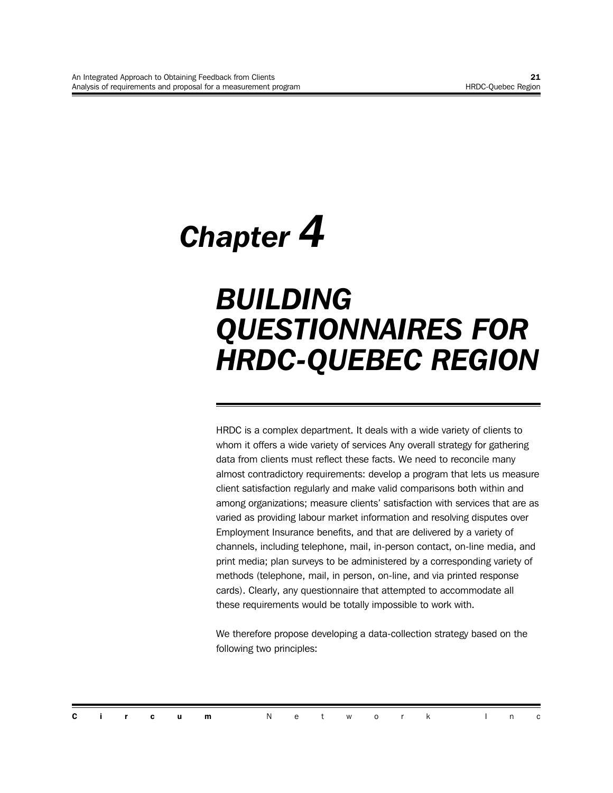## *Chapter 4*

## *BUILDING QUESTIONNAIRES FOR HRDC-QUEBEC REGION*

HRDC is a complex department. It deals with a wide variety of clients to whom it offers a wide variety of services Any overall strategy for gathering data from clients must reflect these facts. We need to reconcile many almost contradictory requirements: develop a program that lets us measure client satisfaction regularly and make valid comparisons both within and among organizations; measure clients' satisfaction with services that are as varied as providing labour market information and resolving disputes over Employment Insurance benefits, and that are delivered by a variety of channels, including telephone, mail, in-person contact, on-line media, and print media; plan surveys to be administered by a corresponding variety of methods (telephone, mail, in person, on-line, and via printed response cards). Clearly, any questionnaire that attempted to accommodate all these requirements would be totally impossible to work with.

We therefore propose developing a data-collection strategy based on the following two principles:

|  |  | <b>Circum</b> Network Inc |  |  |  |  |  |
|--|--|---------------------------|--|--|--|--|--|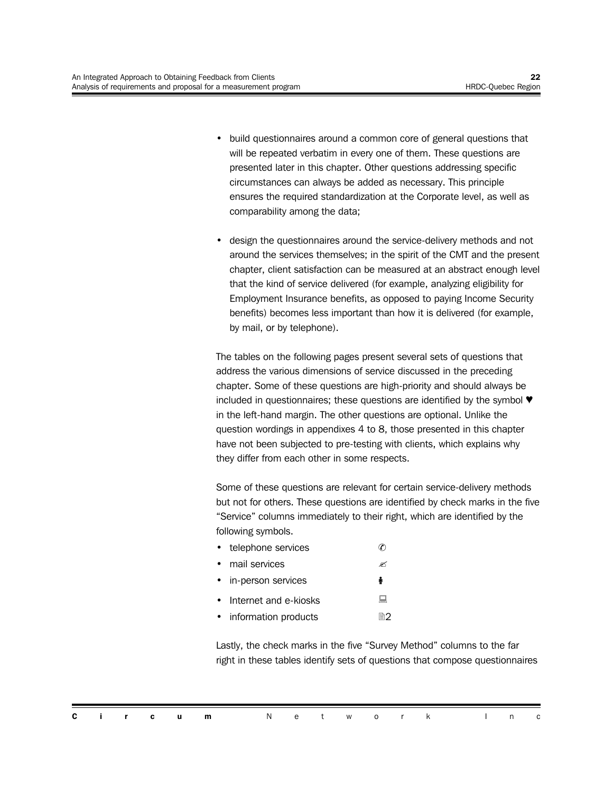- build questionnaires around a common core of general questions that will be repeated verbatim in every one of them. These questions are presented later in this chapter. Other questions addressing specific circumstances can always be added as necessary. This principle ensures the required standardization at the Corporate level, as well as comparability among the data;
- design the questionnaires around the service-delivery methods and not around the services themselves; in the spirit of the CMT and the present chapter, client satisfaction can be measured at an abstract enough level that the kind of service delivered (for example, analyzing eligibility for Employment Insurance benefits, as opposed to paying Income Security benefits) becomes less important than how it is delivered (for example, by mail, or by telephone).

The tables on the following pages present several sets of questions that address the various dimensions of service discussed in the preceding chapter. Some of these questions are high-priority and should always be included in questionnaires; these questions are identified by the symbol  $\Psi$ in the left-hand margin. The other questions are optional. Unlike the question wordings in appendixes 4 to 8, those presented in this chapter have not been subjected to pre-testing with clients, which explains why they differ from each other in some respects.

Some of these questions are relevant for certain service-delivery methods but not for others. These questions are identified by check marks in the five "Service" columns immediately to their right, which are identified by the following symbols.

| telephone services      | С  |
|-------------------------|----|
| mail services           | ≪  |
| • in-person services    | ě  |
| • Internet and e-kiosks | ᇦ  |
| information products    | h? |

Lastly, the check marks in the five "Survey Method" columns to the far right in these tables identify sets of questions that compose questionnaires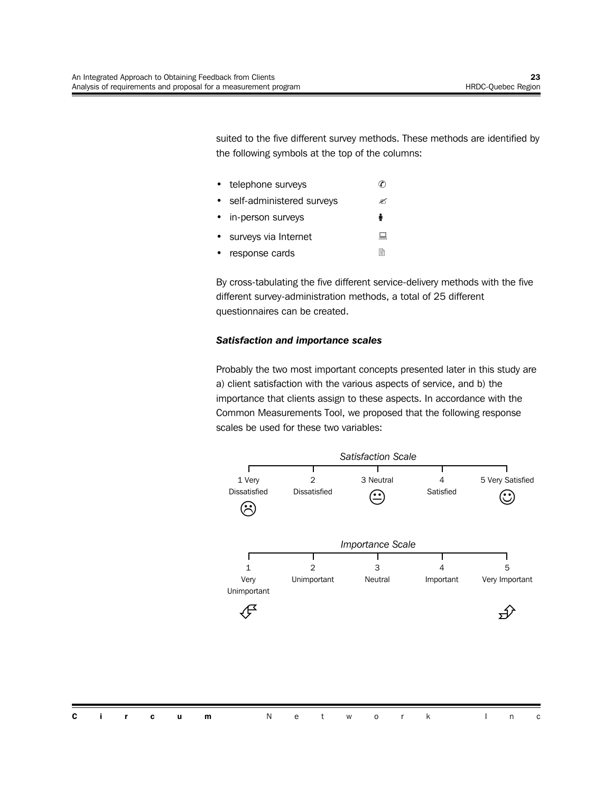suited to the five different survey methods. These methods are identified by the following symbols at the top of the columns:

| telephone surveys         |   |
|---------------------------|---|
| self-administered surveys |   |
| • in-person surveys       |   |
| surveys via Internet      | ╘ |
|                           | ▭ |

• response cards 2

By cross-tabulating the five different service-delivery methods with the five different survey-administration methods, a total of 25 different questionnaires can be created.

#### *Satisfaction and importance scales*

Probably the two most important concepts presented later in this study are a) client satisfaction with the various aspects of service, and b) the importance that clients assign to these aspects. In accordance with the Common Measurements Tool, we proposed that the following response scales be used for these two variables:

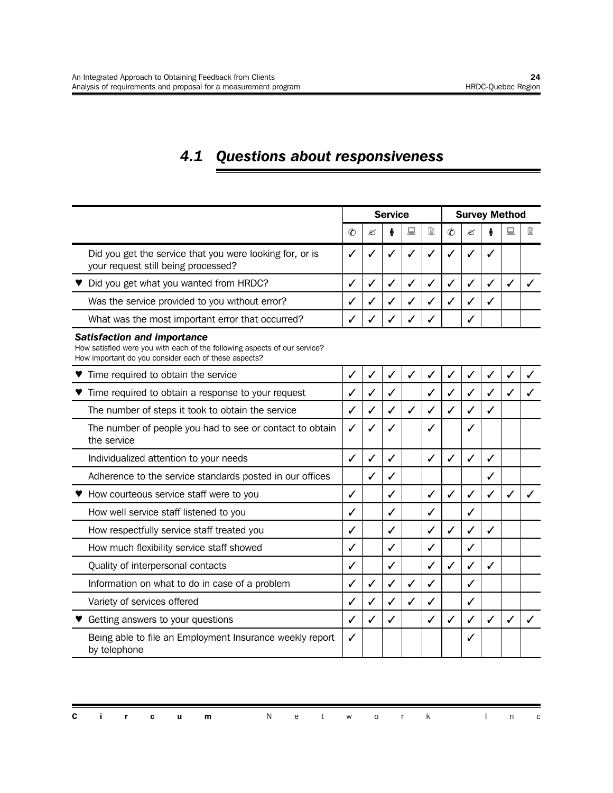## *4.1 Questions about responsiveness*

|                                                                                                                                                                         |               |              | <b>Service</b> |   |              | <b>Survey Method</b> |              |   |              |              |  |  |
|-------------------------------------------------------------------------------------------------------------------------------------------------------------------------|---------------|--------------|----------------|---|--------------|----------------------|--------------|---|--------------|--------------|--|--|
|                                                                                                                                                                         | $\mathcal{C}$ | ≤            |                | 鳳 | È            | $\mathcal{C}$        | ✍            |   | 鳳            | B            |  |  |
| Did you get the service that you were looking for, or is<br>your request still being processed?                                                                         | ✓             |              |                | J | ✓            |                      |              |   |              |              |  |  |
| Did you get what you wanted from HRDC?                                                                                                                                  | ✓             | $\checkmark$ | $\checkmark$   | ✓ | $\checkmark$ | ✓                    | ✓            | ✓ | $\checkmark$ |              |  |  |
| Was the service provided to you without error?                                                                                                                          | ✓             | ✓            | ✓              | ✓ | $\checkmark$ | ✓                    | ✓            | ✓ |              |              |  |  |
| What was the most important error that occurred?                                                                                                                        | ✓             |              |                |   |              |                      | $\checkmark$ |   |              |              |  |  |
| <b>Satisfaction and importance</b><br>How satisfied were you with each of the following aspects of our service?<br>How important do you consider each of these aspects? |               |              |                |   |              |                      |              |   |              |              |  |  |
| ♥ Time required to obtain the service                                                                                                                                   | ✓             | $\checkmark$ | ✓              | ✓ | $\checkmark$ | ✓                    | ✓            | ✓ |              |              |  |  |
| Time required to obtain a response to your request                                                                                                                      | √             |              | $\checkmark$   |   | $\checkmark$ | ✓                    | ✓            | ✓ | ✓            |              |  |  |
| The number of steps it took to obtain the service                                                                                                                       | ✓             | $\checkmark$ | $\checkmark$   | ✓ | ✓            | ✓                    | $\checkmark$ | ✓ |              |              |  |  |
| The number of people you had to see or contact to obtain<br>the service                                                                                                 | ✓             |              | $\checkmark$   |   | $\checkmark$ |                      | $\checkmark$ |   |              |              |  |  |
| Individualized attention to your needs                                                                                                                                  | ✓             | ✓            | ✓              |   | ✓            | ✓                    | ✓            | ✓ |              |              |  |  |
| Adherence to the service standards posted in our offices                                                                                                                |               | ✓            | ✓              |   |              |                      |              | ✓ |              |              |  |  |
| ♥ How courteous service staff were to you                                                                                                                               | ✓             |              | $\checkmark$   |   | ✓            | $\checkmark$         | ✓            | ✓ |              |              |  |  |
| How well service staff listened to you                                                                                                                                  | ✓             |              | ✓              |   | ✓            |                      | ✓            |   |              |              |  |  |
| How respectfully service staff treated you                                                                                                                              | ✓             |              | ✓              |   | ✓            | ✓                    | ✓            | ✓ |              |              |  |  |
| How much flexibility service staff showed                                                                                                                               | ✓             |              | ✓              |   | ✓            |                      | ✓            |   |              |              |  |  |
| Quality of interpersonal contacts                                                                                                                                       | ✓             |              | ✓              |   | ✓            | ✓                    | ✓            | ✓ |              |              |  |  |
| Information on what to do in case of a problem                                                                                                                          | ✓             | $\checkmark$ | ✓              | ✓ | $\checkmark$ |                      | ✓            |   |              |              |  |  |
| Variety of services offered                                                                                                                                             | ✓             | ✓            | ✓              | ✓ | ✓            |                      | ✓            |   |              |              |  |  |
| Getting answers to your questions                                                                                                                                       | ✓             | ✓            | ✓              |   | ✓            | ✓                    | ✓            | ✓ | $\checkmark$ | $\checkmark$ |  |  |
| Being able to file an Employment Insurance weekly report<br>by telephone                                                                                                | ✓             |              |                |   |              |                      | $\checkmark$ |   |              |              |  |  |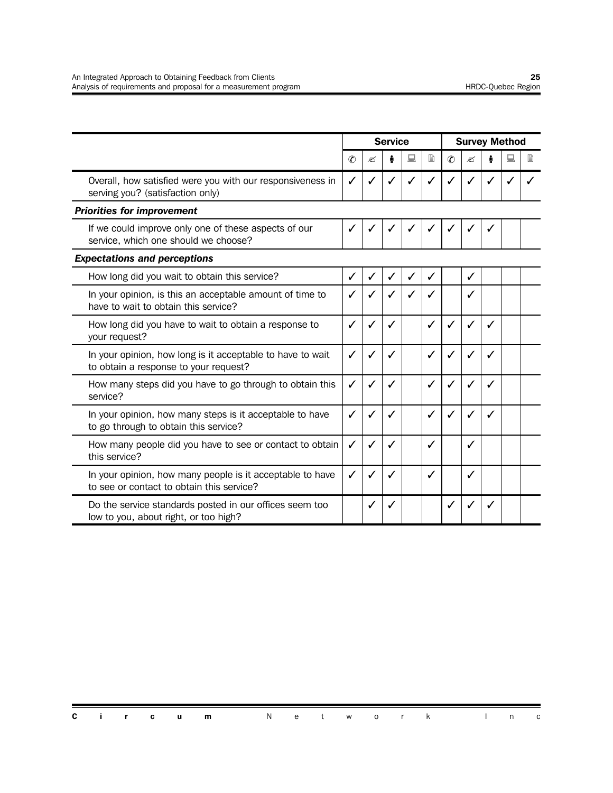|                                                                                                        |              |   | <b>Service</b> |   |   | <b>Survey Method</b> |              |   |   |   |  |
|--------------------------------------------------------------------------------------------------------|--------------|---|----------------|---|---|----------------------|--------------|---|---|---|--|
|                                                                                                        | $\circledR$  | ≤ |                | 鳳 | B | $\circledC$          | ≤            |   | 鳳 | B |  |
| Overall, how satisfied were you with our responsiveness in<br>serving you? (satisfaction only)         | $\checkmark$ |   |                |   |   |                      |              |   |   |   |  |
| <b>Priorities for improvement</b>                                                                      |              |   |                |   |   |                      |              |   |   |   |  |
| If we could improve only one of these aspects of our<br>service, which one should we choose?           | ✓            |   |                |   |   |                      |              | ✓ |   |   |  |
| <b>Expectations and perceptions</b>                                                                    |              |   |                |   |   |                      |              |   |   |   |  |
| How long did you wait to obtain this service?                                                          | ✓            |   |                | ✓ | ✓ |                      | ✓            |   |   |   |  |
| In your opinion, is this an acceptable amount of time to<br>have to wait to obtain this service?       | $\checkmark$ |   |                |   |   |                      | ✓            |   |   |   |  |
| How long did you have to wait to obtain a response to<br>your request?                                 | ✓            |   |                |   | ✓ | ✓                    | $\checkmark$ | ✓ |   |   |  |
| In your opinion, how long is it acceptable to have to wait<br>to obtain a response to your request?    | √            |   |                |   | ✓ |                      |              |   |   |   |  |
| How many steps did you have to go through to obtain this<br>service?                                   | ✓            |   |                |   | ✓ | ✓                    |              | ✓ |   |   |  |
| In your opinion, how many steps is it acceptable to have<br>to go through to obtain this service?      | ✓            |   |                |   | ✓ | ✓                    |              | ✓ |   |   |  |
| How many people did you have to see or contact to obtain<br>this service?                              | ✓            |   |                |   | ✓ |                      | ✓            |   |   |   |  |
| In your opinion, how many people is it acceptable to have<br>to see or contact to obtain this service? | ✓            |   |                |   | ✓ |                      | ✓            |   |   |   |  |
| Do the service standards posted in our offices seem too<br>low to you, about right, or too high?       |              |   |                |   |   |                      |              |   |   |   |  |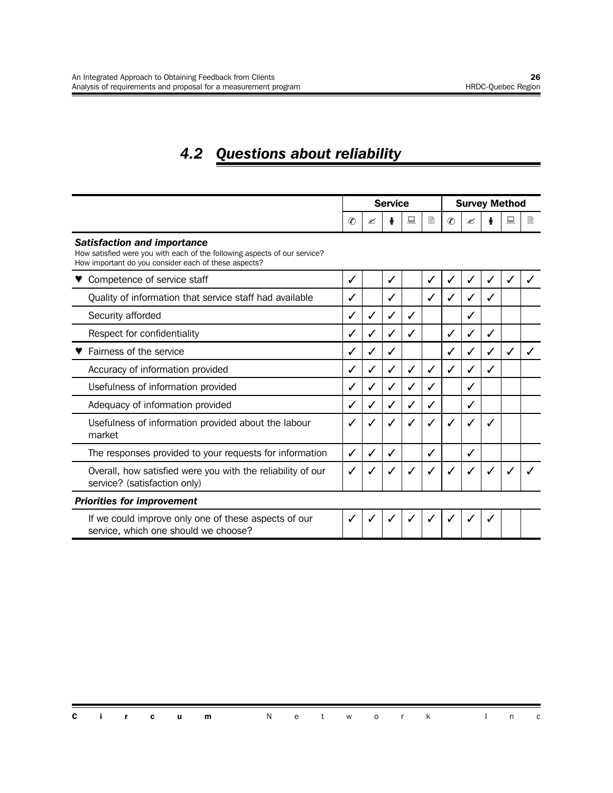## *4.2 Questions about reliability*

|                                                                                                                                                                         | <b>Service</b> |              |              |   |   | <b>Survey Method</b> |   |              |   |   |  |
|-------------------------------------------------------------------------------------------------------------------------------------------------------------------------|----------------|--------------|--------------|---|---|----------------------|---|--------------|---|---|--|
|                                                                                                                                                                         | $\mathcal{C}$  | ≤            |              | 鳳 | l | $\mathcal{C}$        | ☎ |              |   | l |  |
| <b>Satisfaction and importance</b><br>How satisfied were you with each of the following aspects of our service?<br>How important do you consider each of these aspects? |                |              |              |   |   |                      |   |              |   |   |  |
| Competence of service staff                                                                                                                                             | ✓              |              | $\checkmark$ |   | ✓ | ✓                    | ✓ | ✓            | ✓ |   |  |
| Quality of information that service staff had available                                                                                                                 | ✓              |              |              |   | ✓ | ✓                    | ✓ | ✓            |   |   |  |
| Security afforded                                                                                                                                                       | $\checkmark$   | ✓            |              | ✓ |   |                      |   |              |   |   |  |
| Respect for confidentiality                                                                                                                                             | ✓              | $\checkmark$ |              | J |   | ✓                    |   | ✓            |   |   |  |
| Fairness of the service                                                                                                                                                 | ✓              | ✓            |              |   |   | ✓                    | ✓ | ✓            | ✓ |   |  |
| Accuracy of information provided                                                                                                                                        | ✓              | ✓            |              | ✓ | ✓ | ✓                    | √ | ✓            |   |   |  |
| Usefulness of information provided                                                                                                                                      | ✓              | $\checkmark$ |              | ✓ |   |                      | ✓ |              |   |   |  |
| Adequacy of information provided                                                                                                                                        | ✓              |              |              | J |   |                      | ✓ |              |   |   |  |
| Usefulness of information provided about the labour<br>market                                                                                                           | $\checkmark$   | $\checkmark$ |              | ✓ |   | ✓                    |   | $\checkmark$ |   |   |  |
| The responses provided to your requests for information                                                                                                                 | ✓              | ✓            |              |   | ✓ |                      | ✓ |              |   |   |  |
| Overall, how satisfied were you with the reliability of our<br>service? (satisfaction only)                                                                             | ✓              | ✓            |              |   |   | ✓                    | ✓ | $\checkmark$ |   |   |  |
| <b>Priorities for improvement</b>                                                                                                                                       |                |              |              |   |   |                      |   |              |   |   |  |
| If we could improve only one of these aspects of our<br>service, which one should we choose?                                                                            | $\checkmark$   |              |              |   |   |                      |   | $\checkmark$ |   |   |  |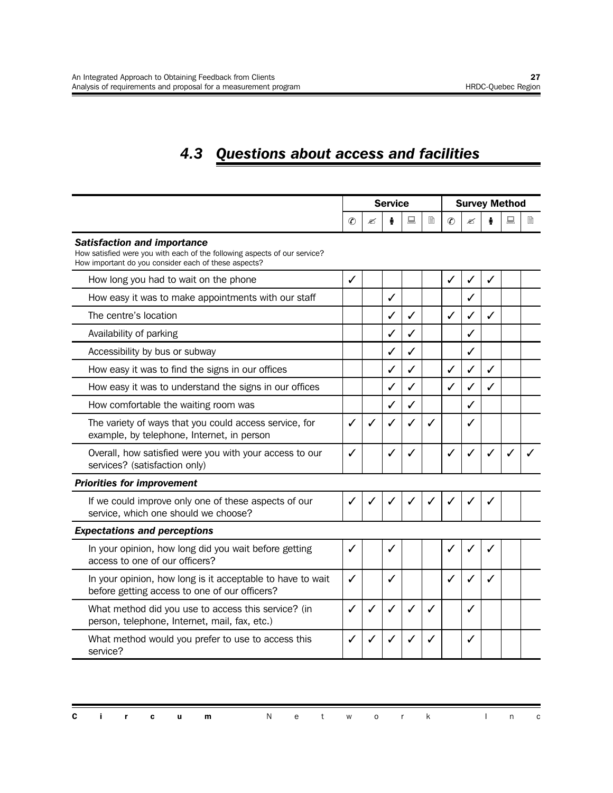## *4.3 Questions about access and facilities*

|                                                                                                                                                                         |               |   | <b>Survey Method</b> |   |              |              |              |   |   |   |
|-------------------------------------------------------------------------------------------------------------------------------------------------------------------------|---------------|---|----------------------|---|--------------|--------------|--------------|---|---|---|
|                                                                                                                                                                         | $\mathcal{C}$ | ≤ |                      | 鳳 | È            | $\circledR$  | ✍            |   | 鳳 | B |
| <b>Satisfaction and importance</b><br>How satisfied were you with each of the following aspects of our service?<br>How important do you consider each of these aspects? |               |   |                      |   |              |              |              |   |   |   |
| How long you had to wait on the phone                                                                                                                                   | ✓             |   |                      |   |              | ✓            | ✓            | ✓ |   |   |
| How easy it was to make appointments with our staff                                                                                                                     |               |   | ✓                    |   |              |              | $\checkmark$ |   |   |   |
| The centre's location                                                                                                                                                   |               |   | ℐ                    | ✓ |              | $\checkmark$ | ✓            | ✓ |   |   |
| Availability of parking                                                                                                                                                 |               |   | ✓                    | ✓ |              |              | ✓            |   |   |   |
| Accessibility by bus or subway                                                                                                                                          |               |   | ✓                    | ✓ |              |              | ✓            |   |   |   |
| How easy it was to find the signs in our offices                                                                                                                        |               |   | ✓                    | ✓ |              | ✓            | ✓            | ✓ |   |   |
| How easy it was to understand the signs in our offices                                                                                                                  |               |   | ✓                    | ✓ |              | $\checkmark$ | $\checkmark$ | ✓ |   |   |
| How comfortable the waiting room was                                                                                                                                    |               |   | ✓                    | ✓ |              |              | ✓            |   |   |   |
| The variety of ways that you could access service, for<br>example, by telephone, Internet, in person                                                                    | ✓             |   | ✓                    | ✓ | $\checkmark$ |              | ✓            |   |   |   |
| Overall, how satisfied were you with your access to our<br>services? (satisfaction only)                                                                                | ✓             |   | ✓                    | ✓ |              | ✓            | ✓            | ✓ |   |   |
| <b>Priorities for improvement</b>                                                                                                                                       |               |   |                      |   |              |              |              |   |   |   |
| If we could improve only one of these aspects of our<br>service, which one should we choose?                                                                            | $\checkmark$  |   |                      |   |              |              |              | ✓ |   |   |
| <b>Expectations and perceptions</b>                                                                                                                                     |               |   |                      |   |              |              |              |   |   |   |
| In your opinion, how long did you wait before getting<br>access to one of our officers?                                                                                 | ✓             |   | $\checkmark$         |   |              | $\checkmark$ |              | ✓ |   |   |
| In your opinion, how long is it acceptable to have to wait<br>before getting access to one of our officers?                                                             | $\checkmark$  |   | J                    |   |              | $\checkmark$ | ✓            | ✓ |   |   |
| What method did you use to access this service? (in<br>person, telephone, Internet, mail, fax, etc.)                                                                    | ✓             |   | $\checkmark$         | ✓ | ✓            |              | ✓            |   |   |   |
| What method would you prefer to use to access this<br>service?                                                                                                          | ✓             |   |                      |   |              |              | ✓            |   |   |   |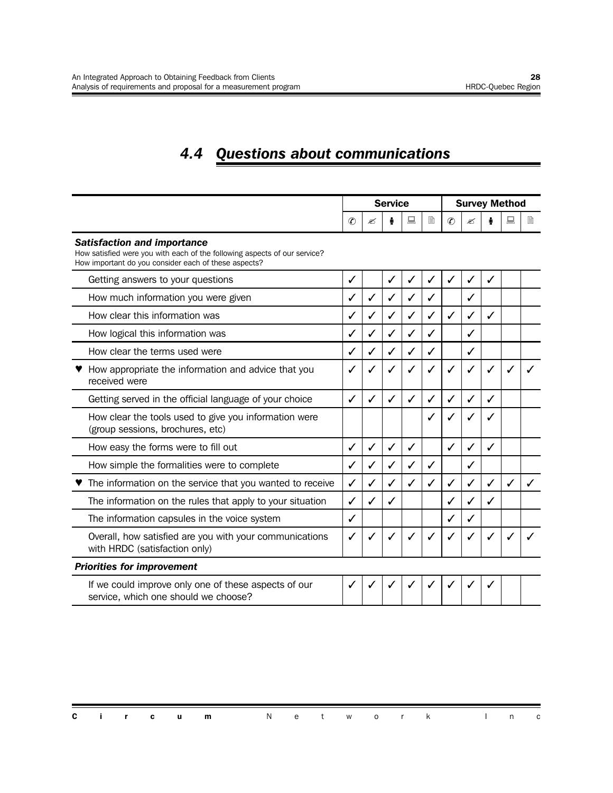## *4.4 Questions about communications*

|                                                                                                                                                                         |               |              | <b>Service</b> |   |   | <b>Survey Method</b> |   |              |   |   |  |
|-------------------------------------------------------------------------------------------------------------------------------------------------------------------------|---------------|--------------|----------------|---|---|----------------------|---|--------------|---|---|--|
|                                                                                                                                                                         | $\mathcal{C}$ | ≝            |                | 鳳 | l | $\circledR$          | ≤ |              |   | 閶 |  |
| <b>Satisfaction and importance</b><br>How satisfied were you with each of the following aspects of our service?<br>How important do you consider each of these aspects? |               |              |                |   |   |                      |   |              |   |   |  |
| Getting answers to your questions                                                                                                                                       | ✓             |              |                | ✓ | ✓ | ✓                    | ✓ | $\checkmark$ |   |   |  |
| How much information you were given                                                                                                                                     | $\checkmark$  | $\checkmark$ |                | ✓ | J |                      | ℐ |              |   |   |  |
| How clear this information was                                                                                                                                          | ✓             | ✓            |                | ✓ | ✓ | ✓                    | ✓ | ✓            |   |   |  |
| How logical this information was                                                                                                                                        | √             | $\checkmark$ |                | ✓ | ✓ |                      | ✓ |              |   |   |  |
| How clear the terms used were                                                                                                                                           | ✓             | ✓            |                | ✓ | ✓ |                      | ✓ |              |   |   |  |
| How appropriate the information and advice that you<br>received were                                                                                                    | ✓             |              |                |   |   | ✓                    |   | ✔            |   |   |  |
| Getting served in the official language of your choice                                                                                                                  | ✓             | ✓            |                | ✓ | ✓ | ✓                    | ✓ | $\checkmark$ |   |   |  |
| How clear the tools used to give you information were<br>(group sessions, brochures, etc)                                                                               |               |              |                |   |   | ✓                    |   |              |   |   |  |
| How easy the forms were to fill out                                                                                                                                     | ✓             | $\checkmark$ |                | ✓ |   | ✓                    | ✓ | ✓            |   |   |  |
| How simple the formalities were to complete                                                                                                                             | $\checkmark$  | $\checkmark$ |                | ✓ | ✓ |                      | ✓ |              |   |   |  |
| The information on the service that you wanted to receive                                                                                                               | ✓             | ✓            |                | ✓ | ✓ | ✓                    | ✓ | ✓            | ✓ |   |  |
| The information on the rules that apply to your situation                                                                                                               | $\checkmark$  | $\checkmark$ |                |   |   | $\checkmark$         | ✓ | $\checkmark$ |   |   |  |
| The information capsules in the voice system                                                                                                                            | ✓             |              |                |   |   | ✓                    | ✓ |              |   |   |  |
| Overall, how satisfied are you with your communications<br>with HRDC (satisfaction only)                                                                                | ✓             |              |                |   |   | $\checkmark$         |   | ✓            |   |   |  |
| <b>Priorities for improvement</b>                                                                                                                                       |               |              |                |   |   |                      |   |              |   |   |  |
| If we could improve only one of these aspects of our<br>service, which one should we choose?                                                                            | ✓             |              |                |   |   |                      |   | ✓            |   |   |  |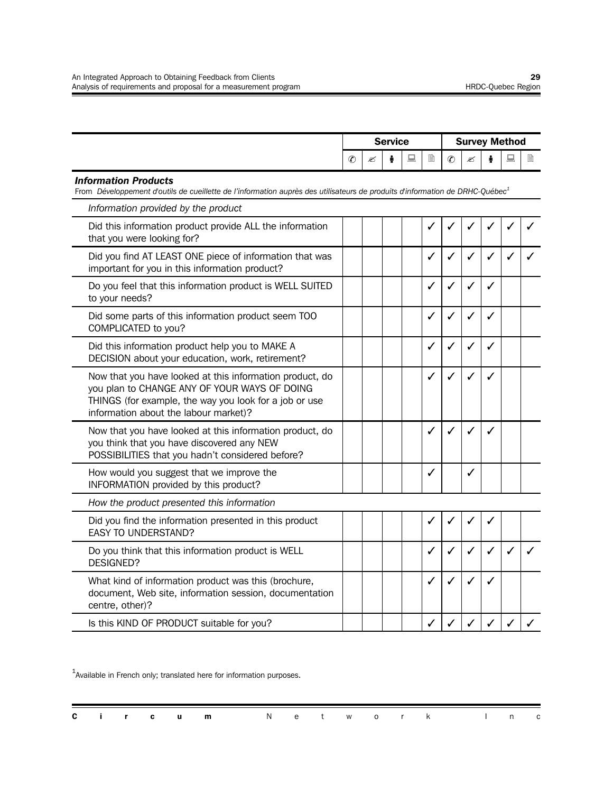|                                                                                                                                                                                                             | <b>Service</b> |  |   |   |              | <b>Survey Method</b> |              |              |   |   |  |  |
|-------------------------------------------------------------------------------------------------------------------------------------------------------------------------------------------------------------|----------------|--|---|---|--------------|----------------------|--------------|--------------|---|---|--|--|
|                                                                                                                                                                                                             | $\mathcal{C}$  |  | ÷ | 鳳 | B            | $\mathcal{C}$        | ✍            |              | 鳳 | 目 |  |  |
| <b>Information Products</b><br>From Développement d'outils de cueillette de l'information auprès des utilisateurs de produits d'information de DRHC-Québec <sup>1</sup>                                     |                |  |   |   |              |                      |              |              |   |   |  |  |
| Information provided by the product                                                                                                                                                                         |                |  |   |   |              |                      |              |              |   |   |  |  |
| Did this information product provide ALL the information<br>that you were looking for?                                                                                                                      |                |  |   |   | ✓            | ✓                    | $\checkmark$ | ✓            |   |   |  |  |
| Did you find AT LEAST ONE piece of information that was<br>important for you in this information product?                                                                                                   |                |  |   |   | ✓            | ✓                    | ✓            | ✓            |   |   |  |  |
| Do you feel that this information product is WELL SUITED<br>to your needs?                                                                                                                                  |                |  |   |   | ✓            | ✓                    | ✓            | ✓            |   |   |  |  |
| Did some parts of this information product seem TOO<br>COMPLICATED to you?                                                                                                                                  |                |  |   |   | $\checkmark$ | ✓                    | ✓            | ✓            |   |   |  |  |
| Did this information product help you to MAKE A<br>DECISION about your education, work, retirement?                                                                                                         |                |  |   |   | ✓            | $\checkmark$         | ✓            | ✓            |   |   |  |  |
| Now that you have looked at this information product, do<br>you plan to CHANGE ANY OF YOUR WAYS OF DOING<br>THINGS (for example, the way you look for a job or use<br>information about the labour market)? |                |  |   |   | ✓            | ✓                    | ✓            | ✓            |   |   |  |  |
| Now that you have looked at this information product, do<br>you think that you have discovered any NEW<br>POSSIBILITIES that you hadn't considered before?                                                  |                |  |   |   | $\checkmark$ | ✓                    | $\checkmark$ | ✓            |   |   |  |  |
| How would you suggest that we improve the<br>INFORMATION provided by this product?                                                                                                                          |                |  |   |   | ✓            |                      | ✓            |              |   |   |  |  |
| How the product presented this information                                                                                                                                                                  |                |  |   |   |              |                      |              |              |   |   |  |  |
| Did you find the information presented in this product<br><b>EASY TO UNDERSTAND?</b>                                                                                                                        |                |  |   |   | ✓            | ✓                    | ✓            | ✓            |   |   |  |  |
| Do you think that this information product is WELL<br><b>DESIGNED?</b>                                                                                                                                      |                |  |   |   | ✓            | ✓                    | ✓            | $\checkmark$ |   |   |  |  |
| What kind of information product was this (brochure,<br>document, Web site, information session, documentation<br>centre, other)?                                                                           |                |  |   |   | ✓            | ✓                    |              | $\checkmark$ |   |   |  |  |
| Is this KIND OF PRODUCT suitable for you?                                                                                                                                                                   |                |  |   |   | ✓            | ✓                    | ✓            | ✓            |   |   |  |  |

 $^{1}$ Available in French only; translated here for information purposes.

| <b>Circum</b> Network Inc |  |  |  |
|---------------------------|--|--|--|
|---------------------------|--|--|--|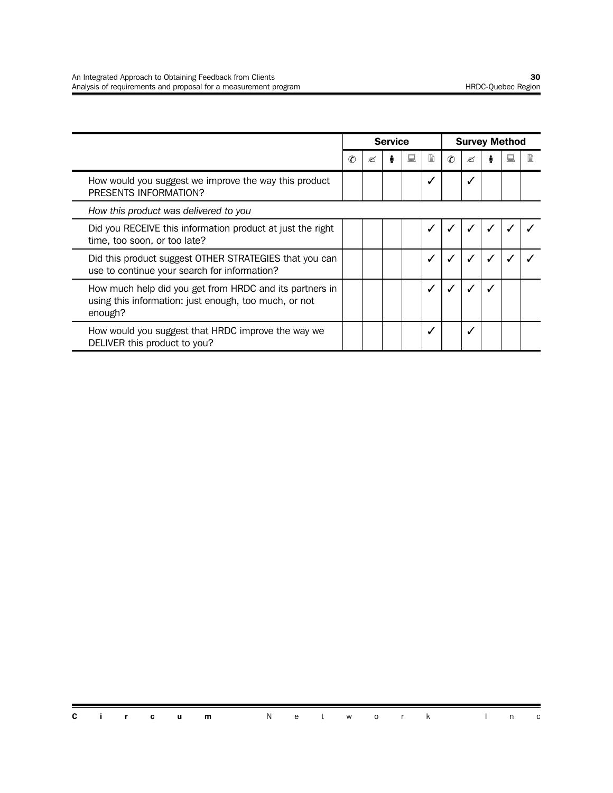|                                                                                                                             |               | <b>Service</b> |  |   | <b>Survey Method</b> |               |   |  |  |   |
|-----------------------------------------------------------------------------------------------------------------------------|---------------|----------------|--|---|----------------------|---------------|---|--|--|---|
|                                                                                                                             | $\mathcal{C}$ | ≤              |  | 鳳 | l                    | $\mathcal{C}$ | ≤ |  |  | ₿ |
| How would you suggest we improve the way this product<br>PRESENTS INFORMATION?                                              |               |                |  |   |                      |               |   |  |  |   |
| How this product was delivered to you                                                                                       |               |                |  |   |                      |               |   |  |  |   |
| Did you RECEIVE this information product at just the right<br>time, too soon, or too late?                                  |               |                |  |   |                      |               |   |  |  |   |
| Did this product suggest OTHER STRATEGIES that you can<br>use to continue your search for information?                      |               |                |  |   |                      |               |   |  |  |   |
| How much help did you get from HRDC and its partners in<br>using this information: just enough, too much, or not<br>enough? |               |                |  |   |                      |               |   |  |  |   |
| How would you suggest that HRDC improve the way we<br>DELIVER this product to you?                                          |               |                |  |   |                      |               | √ |  |  |   |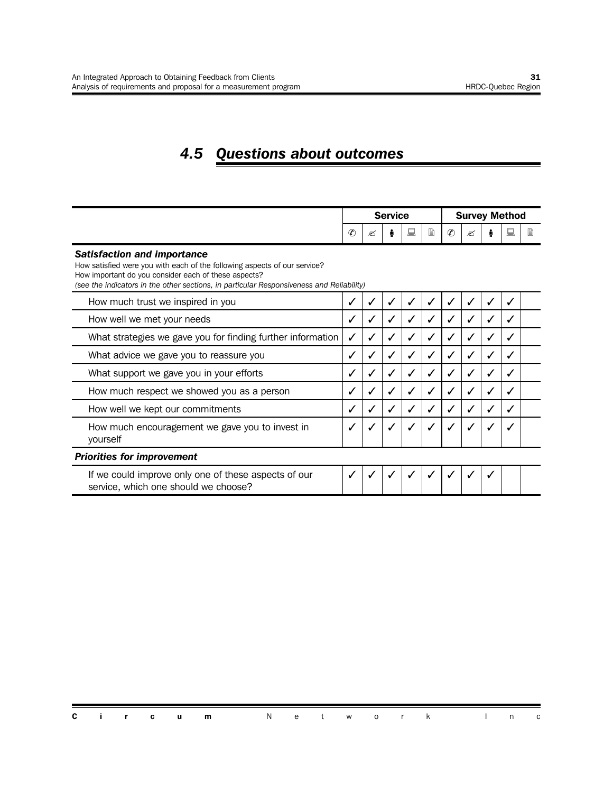## *4.5 Questions about outcomes*

|                                                                                                                                                                                                                                                                     | <b>Service</b> |   |  |              |   |             | <b>Survey Method</b> |              |              |   |  |
|---------------------------------------------------------------------------------------------------------------------------------------------------------------------------------------------------------------------------------------------------------------------|----------------|---|--|--------------|---|-------------|----------------------|--------------|--------------|---|--|
|                                                                                                                                                                                                                                                                     | $\mathcal{C}$  | ≤ |  | 鳯            | 目 | $\circledR$ | ≤                    |              |              | B |  |
| <b>Satisfaction and importance</b><br>How satisfied were you with each of the following aspects of our service?<br>How important do you consider each of these aspects?<br>(see the indicators in the other sections, in particular Responsiveness and Reliability) |                |   |  |              |   |             |                      |              |              |   |  |
| How much trust we inspired in you                                                                                                                                                                                                                                   |                |   |  |              |   |             |                      |              |              |   |  |
| How well we met your needs                                                                                                                                                                                                                                          | ✓              |   |  |              |   | √           |                      | ✓            | ✓            |   |  |
| What strategies we gave you for finding further information                                                                                                                                                                                                         | ✓              |   |  |              |   | ✓           |                      |              |              |   |  |
| What advice we gave you to reassure you                                                                                                                                                                                                                             | ✓              |   |  |              |   |             |                      |              | ✓            |   |  |
| What support we gave you in your efforts                                                                                                                                                                                                                            | ✓              |   |  | ✓            |   | √           |                      | $\checkmark$ | ✓            |   |  |
| How much respect we showed you as a person                                                                                                                                                                                                                          | ✓              |   |  |              |   | ✓           |                      |              | $\checkmark$ |   |  |
| How well we kept our commitments                                                                                                                                                                                                                                    | $\checkmark$   |   |  |              |   |             |                      |              |              |   |  |
| How much encouragement we gave you to invest in<br>yourself                                                                                                                                                                                                         | $\checkmark$   |   |  | $\checkmark$ |   | ✓           |                      |              |              |   |  |
| <b>Priorities for improvement</b>                                                                                                                                                                                                                                   |                |   |  |              |   |             |                      |              |              |   |  |
| If we could improve only one of these aspects of our<br>service, which one should we choose?                                                                                                                                                                        | $\checkmark$   |   |  |              |   |             |                      |              |              |   |  |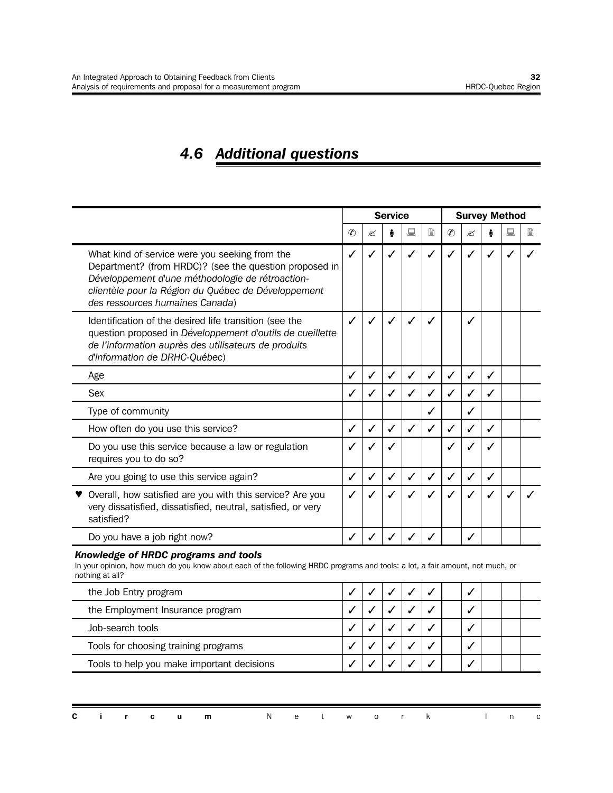## *4.6 Additional questions*

|                                                                                                                                                                                                                                                        |               |   | <b>Service</b> |   |   | <b>Survey Method</b> |   |   |   |   |  |
|--------------------------------------------------------------------------------------------------------------------------------------------------------------------------------------------------------------------------------------------------------|---------------|---|----------------|---|---|----------------------|---|---|---|---|--|
|                                                                                                                                                                                                                                                        | $\circledast$ | ✍ |                | 鳳 | l | $\mathcal{C}$        | ✍ |   | 鳳 | 閶 |  |
| What kind of service were you seeking from the<br>Department? (from HRDC)? (see the question proposed in<br>Développement d'une méthodologie de rétroaction-<br>clientèle pour la Région du Québec de Développement<br>des ressources humaines Canada) | ✓             |   |                |   |   | ✓                    |   |   |   |   |  |
| Identification of the desired life transition (see the<br>question proposed in Développement d'outils de cueillette<br>de l'information auprès des utilisateurs de produits<br>d'information de DRHC-Québec)                                           | ✓             |   |                |   |   |                      | ℐ |   |   |   |  |
| Age                                                                                                                                                                                                                                                    | ✓             |   |                |   |   | ✓                    |   |   |   |   |  |
| <b>Sex</b>                                                                                                                                                                                                                                             | ✓             |   |                |   |   | ✓                    |   |   |   |   |  |
| Type of community                                                                                                                                                                                                                                      |               |   |                |   |   |                      |   |   |   |   |  |
| How often do you use this service?                                                                                                                                                                                                                     | √             |   |                |   |   | √                    |   |   |   |   |  |
| Do you use this service because a law or regulation<br>requires you to do so?                                                                                                                                                                          | ✓             |   |                |   |   | ✓                    |   |   |   |   |  |
| Are you going to use this service again?                                                                                                                                                                                                               | ✓             |   |                |   |   | ✓                    | ✓ | ✓ |   |   |  |
| Overall, how satisfied are you with this service? Are you<br>very dissatisfied, dissatisfied, neutral, satisfied, or very<br>satisfied?                                                                                                                |               |   |                | ✓ |   | ✓                    | ✓ |   |   |   |  |
| Do you have a job right now?                                                                                                                                                                                                                           |               |   |                |   |   |                      |   |   |   |   |  |

#### *Knowledge of HRDC programs and tools*

In your opinion, how much do you know about each of the following HRDC programs and tools: a lot, a fair amount, not much, or nothing at all?

| the Job Entry program                      |  |  |  |  |  |
|--------------------------------------------|--|--|--|--|--|
| the Employment Insurance program           |  |  |  |  |  |
| Job-search tools                           |  |  |  |  |  |
| Tools for choosing training programs       |  |  |  |  |  |
| Tools to help you make important decisions |  |  |  |  |  |

|  |  | <b>Circum</b> Network Inc |  |  |  |  |  |
|--|--|---------------------------|--|--|--|--|--|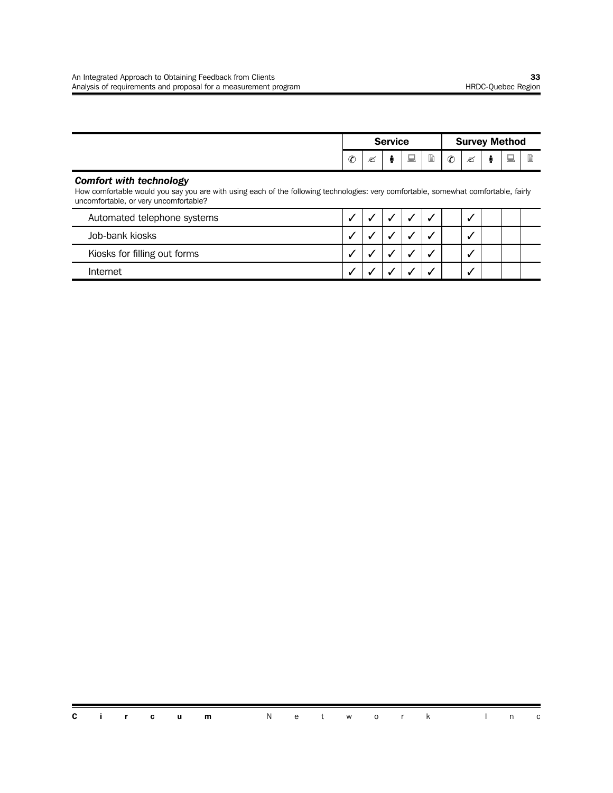|               |     | <b>Service</b> |                         |   |               |   | <b>Survey Method</b>           |             |
|---------------|-----|----------------|-------------------------|---|---------------|---|--------------------------------|-------------|
| $\mathcal{C}$ | رجہ |                | $\sim$<br><b>Common</b> | È | $\mathcal{C}$ | ≝ | $\overline{}$<br><b>County</b> | ≡<br>=<br>۔ |

#### *Comfort with technology*

How comfortable would you say you are with using each of the following technologies: very comfortable, somewhat comfortable, fairly uncomfortable, or very uncomfortable?

| Automated telephone systems  |  |  |  |  |  |
|------------------------------|--|--|--|--|--|
| Job-bank kiosks              |  |  |  |  |  |
| Kiosks for filling out forms |  |  |  |  |  |
| Internet                     |  |  |  |  |  |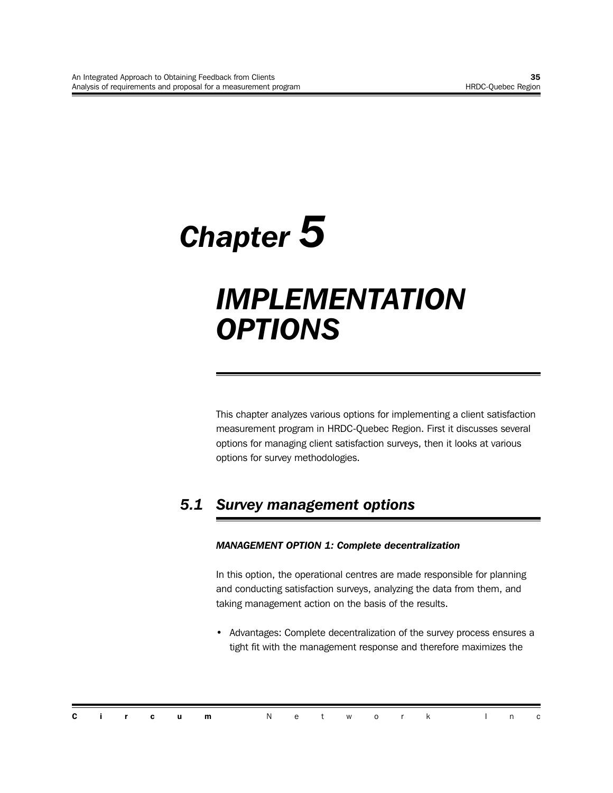# *Chapter 5 IMPLEMENTATION OPTIONS*

This chapter analyzes various options for implementing a client satisfaction measurement program in HRDC-Quebec Region. First it discusses several options for managing client satisfaction surveys, then it looks at various options for survey methodologies.

## *5.1 Survey management options*

#### *MANAGEMENT OPTION 1: Complete decentralization*

In this option, the operational centres are made responsible for planning and conducting satisfaction surveys, analyzing the data from them, and taking management action on the basis of the results.

• Advantages: Complete decentralization of the survey process ensures a tight fit with the management response and therefore maximizes the

|  |  | <b>Circum</b> Network Inc |  |  |  |  |  |
|--|--|---------------------------|--|--|--|--|--|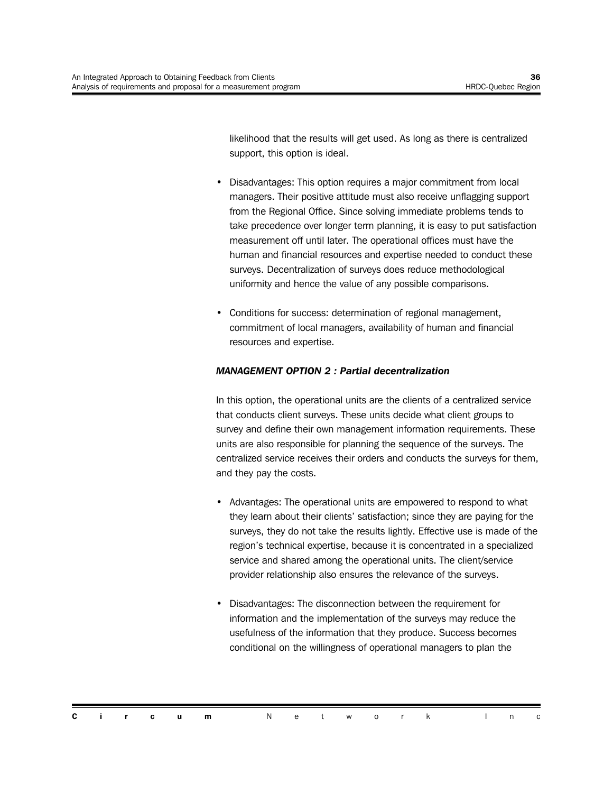likelihood that the results will get used. As long as there is centralized support, this option is ideal.

- Disadvantages: This option requires a major commitment from local managers. Their positive attitude must also receive unflagging support from the Regional Office. Since solving immediate problems tends to take precedence over longer term planning, it is easy to put satisfaction measurement off until later. The operational offices must have the human and financial resources and expertise needed to conduct these surveys. Decentralization of surveys does reduce methodological uniformity and hence the value of any possible comparisons.
- Conditions for success: determination of regional management, commitment of local managers, availability of human and financial resources and expertise.

#### *MANAGEMENT OPTION 2 : Partial decentralization*

In this option, the operational units are the clients of a centralized service that conducts client surveys. These units decide what client groups to survey and define their own management information requirements. These units are also responsible for planning the sequence of the surveys. The centralized service receives their orders and conducts the surveys for them, and they pay the costs.

- Advantages: The operational units are empowered to respond to what they learn about their clients' satisfaction; since they are paying for the surveys, they do not take the results lightly. Effective use is made of the region's technical expertise, because it is concentrated in a specialized service and shared among the operational units. The client/service provider relationship also ensures the relevance of the surveys.
- Disadvantages: The disconnection between the requirement for information and the implementation of the surveys may reduce the usefulness of the information that they produce. Success becomes conditional on the willingness of operational managers to plan the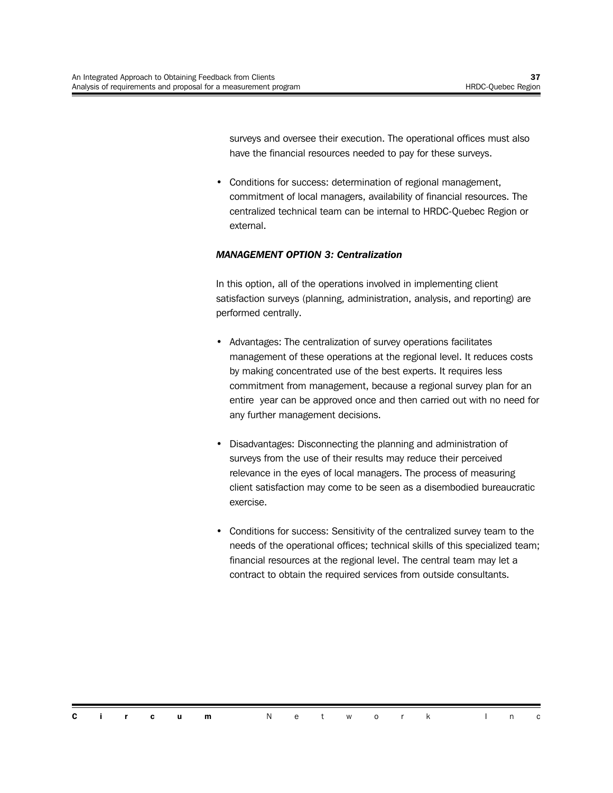surveys and oversee their execution. The operational offices must also have the financial resources needed to pay for these surveys.

• Conditions for success: determination of regional management, commitment of local managers, availability of financial resources. The centralized technical team can be internal to HRDC-Quebec Region or external.

#### *MANAGEMENT OPTION 3: Centralization*

In this option, all of the operations involved in implementing client satisfaction surveys (planning, administration, analysis, and reporting) are performed centrally.

- Advantages: The centralization of survey operations facilitates management of these operations at the regional level. It reduces costs by making concentrated use of the best experts. It requires less commitment from management, because a regional survey plan for an entire year can be approved once and then carried out with no need for any further management decisions.
- Disadvantages: Disconnecting the planning and administration of surveys from the use of their results may reduce their perceived relevance in the eyes of local managers. The process of measuring client satisfaction may come to be seen as a disembodied bureaucratic exercise.
- Conditions for success: Sensitivity of the centralized survey team to the needs of the operational offices; technical skills of this specialized team; financial resources at the regional level. The central team may let a contract to obtain the required services from outside consultants.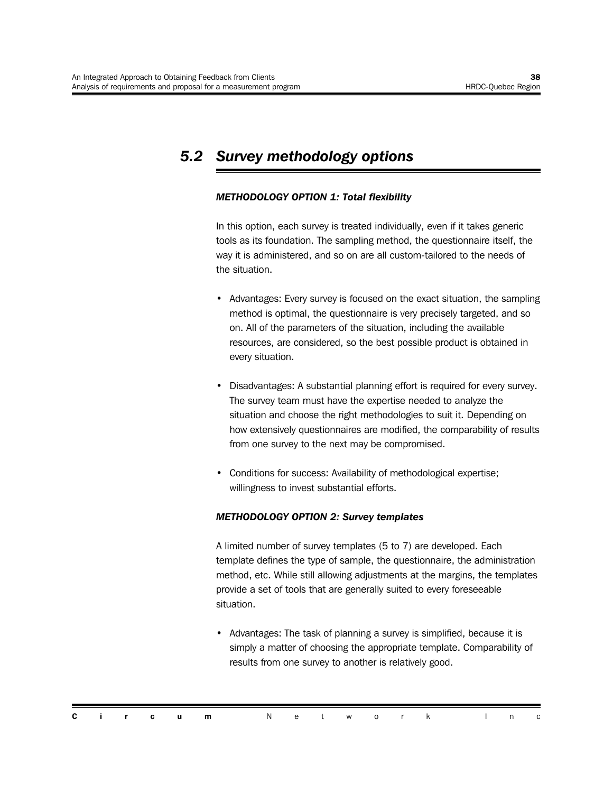### *5.2 Survey methodology options*

#### *METHODOLOGY OPTION 1: Total flexibility*

In this option, each survey is treated individually, even if it takes generic tools as its foundation. The sampling method, the questionnaire itself, the way it is administered, and so on are all custom-tailored to the needs of the situation.

- Advantages: Every survey is focused on the exact situation, the sampling method is optimal, the questionnaire is very precisely targeted, and so on. All of the parameters of the situation, including the available resources, are considered, so the best possible product is obtained in every situation.
- Disadvantages: A substantial planning effort is required for every survey. The survey team must have the expertise needed to analyze the situation and choose the right methodologies to suit it. Depending on how extensively questionnaires are modified, the comparability of results from one survey to the next may be compromised.
- Conditions for success: Availability of methodological expertise; willingness to invest substantial efforts.

#### *METHODOLOGY OPTION 2: Survey templates*

A limited number of survey templates (5 to 7) are developed. Each template defines the type of sample, the questionnaire, the administration method, etc. While still allowing adjustments at the margins, the templates provide a set of tools that are generally suited to every foreseeable situation.

• Advantages: The task of planning a survey is simplified, because it is simply a matter of choosing the appropriate template. Comparability of results from one survey to another is relatively good.

|  |  | <b>Circum</b> Network Inc |  |  |  |  |  |
|--|--|---------------------------|--|--|--|--|--|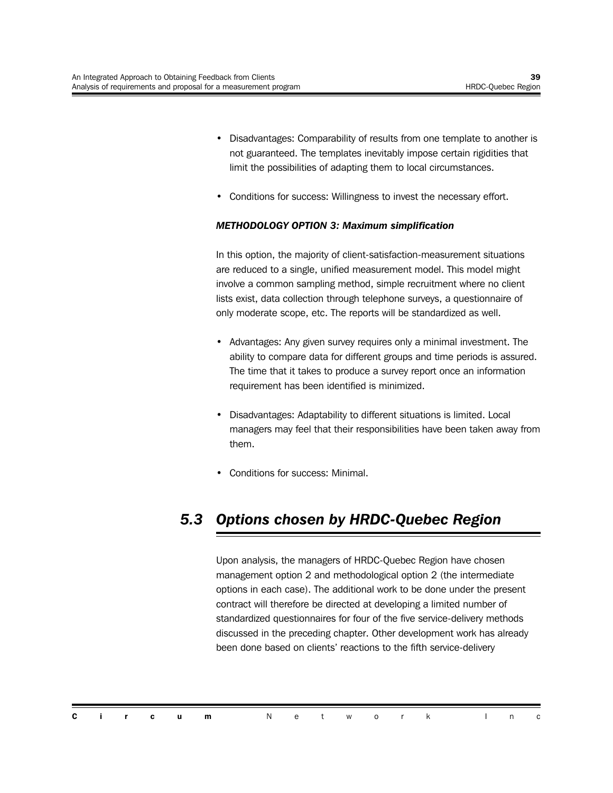- Disadvantages: Comparability of results from one template to another is not guaranteed. The templates inevitably impose certain rigidities that limit the possibilities of adapting them to local circumstances.
- Conditions for success: Willingness to invest the necessary effort.

#### *METHODOLOGY OPTION 3: Maximum simplification*

In this option, the majority of client-satisfaction-measurement situations are reduced to a single, unified measurement model. This model might involve a common sampling method, simple recruitment where no client lists exist, data collection through telephone surveys, a questionnaire of only moderate scope, etc. The reports will be standardized as well.

- Advantages: Any given survey requires only a minimal investment. The ability to compare data for different groups and time periods is assured. The time that it takes to produce a survey report once an information requirement has been identified is minimized.
- Disadvantages: Adaptability to different situations is limited. Local managers may feel that their responsibilities have been taken away from them.
- Conditions for success: Minimal.

## *5.3 Options chosen by HRDC-Quebec Region*

Upon analysis, the managers of HRDC-Quebec Region have chosen management option 2 and methodological option 2 (the intermediate options in each case). The additional work to be done under the present contract will therefore be directed at developing a limited number of standardized questionnaires for four of the five service-delivery methods discussed in the preceding chapter. Other development work has already been done based on clients' reactions to the fifth service-delivery

|  |  | <b>Circum</b> Network Inc |  |  |  |  |  |
|--|--|---------------------------|--|--|--|--|--|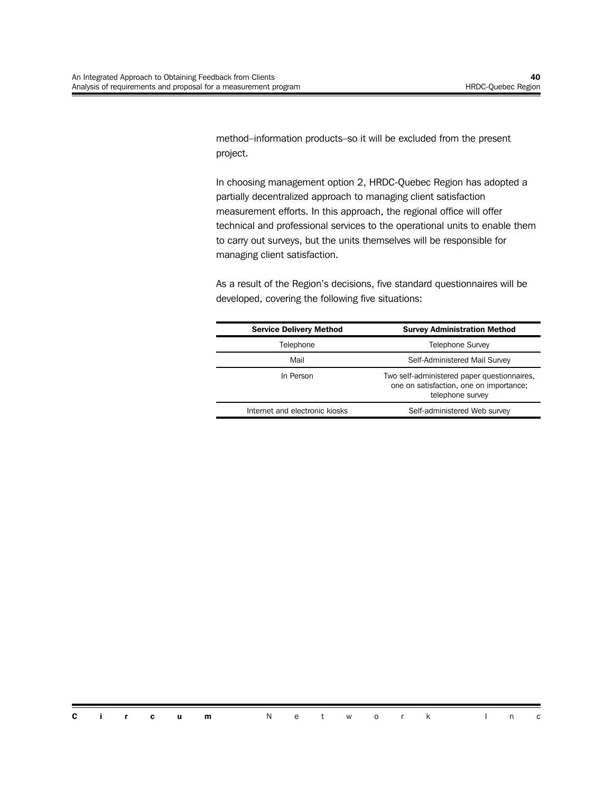method–information products–so it will be excluded from the present project.

In choosing management option 2, HRDC-Quebec Region has adopted a partially decentralized approach to managing client satisfaction measurement efforts. In this approach, the regional office will offer technical and professional services to the operational units to enable them to carry out surveys, but the units themselves will be responsible for managing client satisfaction.

As a result of the Region's decisions, five standard questionnaires will be developed, covering the following five situations:

| <b>Service Delivery Method</b> | <b>Survey Administration Method</b>                                                                        |
|--------------------------------|------------------------------------------------------------------------------------------------------------|
| Telephone                      | <b>Telephone Survey</b>                                                                                    |
| Mail                           | Self-Administered Mail Survey                                                                              |
| In Person                      | Two self-administered paper questionnaires,<br>one on satisfaction, one on importance;<br>telephone survey |
| Internet and electronic kiosks | Self-administered Web survey                                                                               |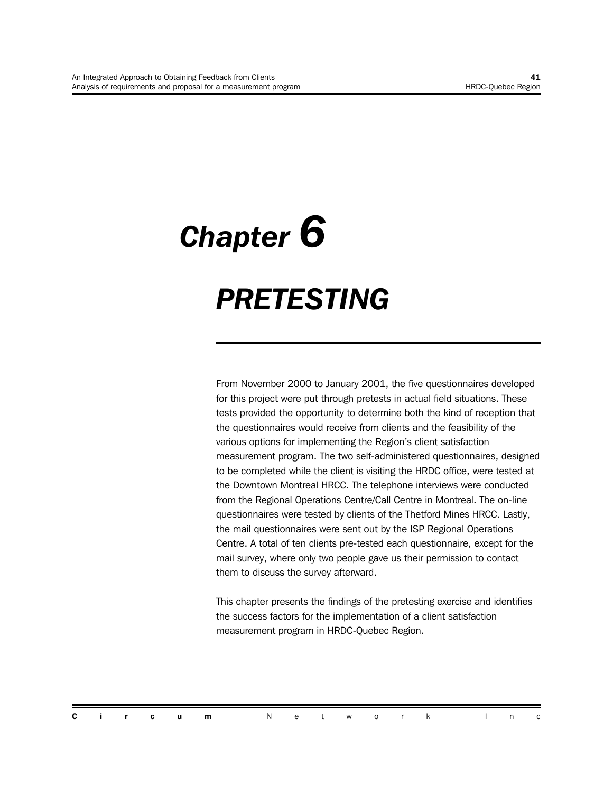# *Chapter 6 PRETESTING*

From November 2000 to January 2001, the five questionnaires developed for this project were put through pretests in actual field situations. These tests provided the opportunity to determine both the kind of reception that the questionnaires would receive from clients and the feasibility of the various options for implementing the Region's client satisfaction measurement program. The two self-administered questionnaires, designed to be completed while the client is visiting the HRDC office, were tested at the Downtown Montreal HRCC. The telephone interviews were conducted from the Regional Operations Centre/Call Centre in Montreal. The on-line questionnaires were tested by clients of the Thetford Mines HRCC. Lastly, the mail questionnaires were sent out by the ISP Regional Operations Centre. A total of ten clients pre-tested each questionnaire, except for the mail survey, where only two people gave us their permission to contact them to discuss the survey afterward.

This chapter presents the findings of the pretesting exercise and identifies the success factors for the implementation of a client satisfaction measurement program in HRDC-Quebec Region.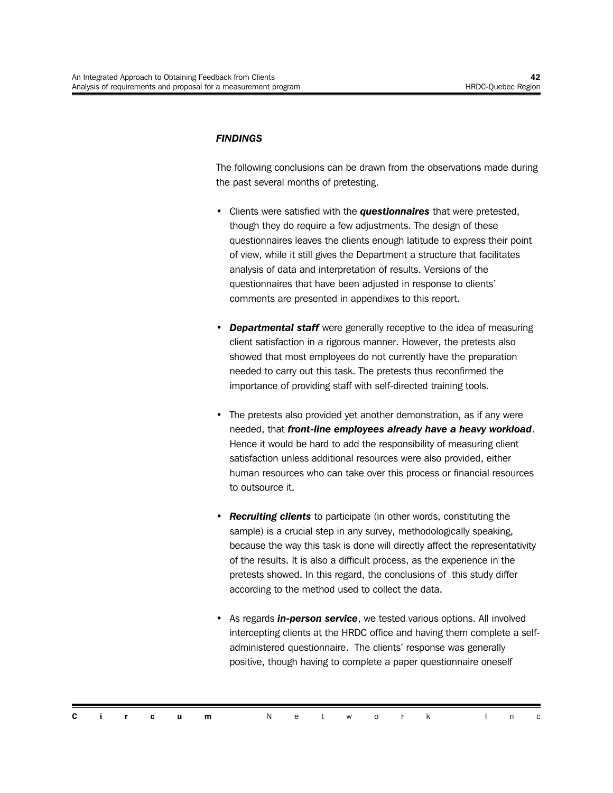#### *FINDINGS*

The following conclusions can be drawn from the observations made during the past several months of pretesting.

- Clients were satisfied with the *questionnaires* that were pretested, though they do require a few adjustments. The design of these questionnaires leaves the clients enough latitude to express their point of view, while it still gives the Department a structure that facilitates analysis of data and interpretation of results. Versions of the questionnaires that have been adjusted in response to clients' comments are presented in appendixes to this report.
- *Departmental staff* were generally receptive to the idea of measuring client satisfaction in a rigorous manner. However, the pretests also showed that most employees do not currently have the preparation needed to carry out this task. The pretests thus reconfirmed the importance of providing staff with self-directed training tools.
- The pretests also provided yet another demonstration, as if any were needed, that *front-line employees already have a heavy workload*. Hence it would be hard to add the responsibility of measuring client satisfaction unless additional resources were also provided, either human resources who can take over this process or financial resources to outsource it.
- *Recruiting clients* to participate (in other words, constituting the sample) is a crucial step in any survey, methodologically speaking, because the way this task is done will directly affect the representativity of the results. It is also a difficult process, as the experience in the pretests showed. In this regard, the conclusions of this study differ according to the method used to collect the data.
- As regards *in-person service*, we tested various options. All involved intercepting clients at the HRDC office and having them complete a selfadministered questionnaire. The clients' response was generally positive, though having to complete a paper questionnaire oneself

|  |  | <b>Circum</b> Network Inc |  |  |  |  |  |  |
|--|--|---------------------------|--|--|--|--|--|--|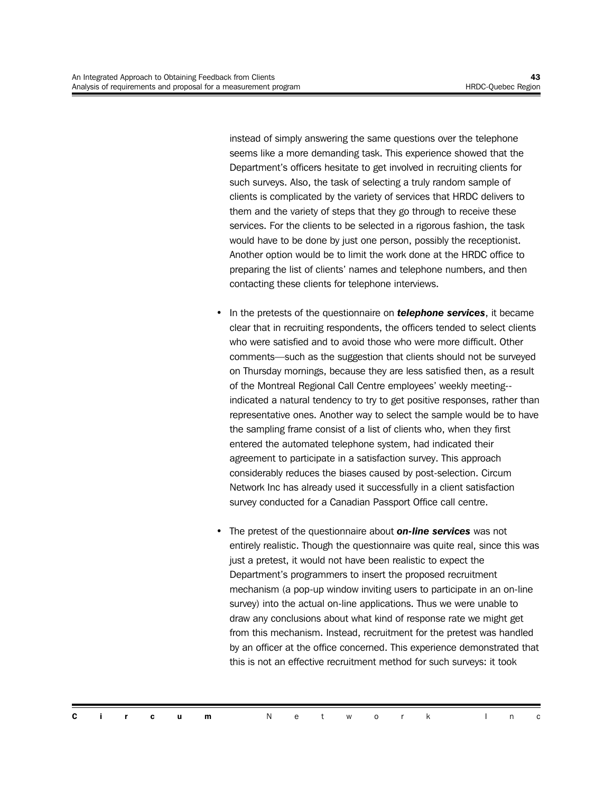instead of simply answering the same questions over the telephone seems like a more demanding task. This experience showed that the Department's officers hesitate to get involved in recruiting clients for such surveys. Also, the task of selecting a truly random sample of clients is complicated by the variety of services that HRDC delivers to them and the variety of steps that they go through to receive these services. For the clients to be selected in a rigorous fashion, the task would have to be done by just one person, possibly the receptionist. Another option would be to limit the work done at the HRDC office to preparing the list of clients' names and telephone numbers, and then contacting these clients for telephone interviews.

- In the pretests of the questionnaire on *telephone services*, it became clear that in recruiting respondents, the officers tended to select clients who were satisfied and to avoid those who were more difficult. Other comments—such as the suggestion that clients should not be surveyed on Thursday mornings, because they are less satisfied then, as a result of the Montreal Regional Call Centre employees' weekly meeting- indicated a natural tendency to try to get positive responses, rather than representative ones. Another way to select the sample would be to have the sampling frame consist of a list of clients who, when they first entered the automated telephone system, had indicated their agreement to participate in a satisfaction survey. This approach considerably reduces the biases caused by post-selection. Circum Network Inc has already used it successfully in a client satisfaction survey conducted for a Canadian Passport Office call centre.
- The pretest of the questionnaire about *on-line services* was not entirely realistic. Though the questionnaire was quite real, since this was just a pretest, it would not have been realistic to expect the Department's programmers to insert the proposed recruitment mechanism (a pop-up window inviting users to participate in an on-line survey) into the actual on-line applications. Thus we were unable to draw any conclusions about what kind of response rate we might get from this mechanism. Instead, recruitment for the pretest was handled by an officer at the office concerned. This experience demonstrated that this is not an effective recruitment method for such surveys: it took

|  |  | <b>Circum</b> Network Inc |  |  |  |  |  |
|--|--|---------------------------|--|--|--|--|--|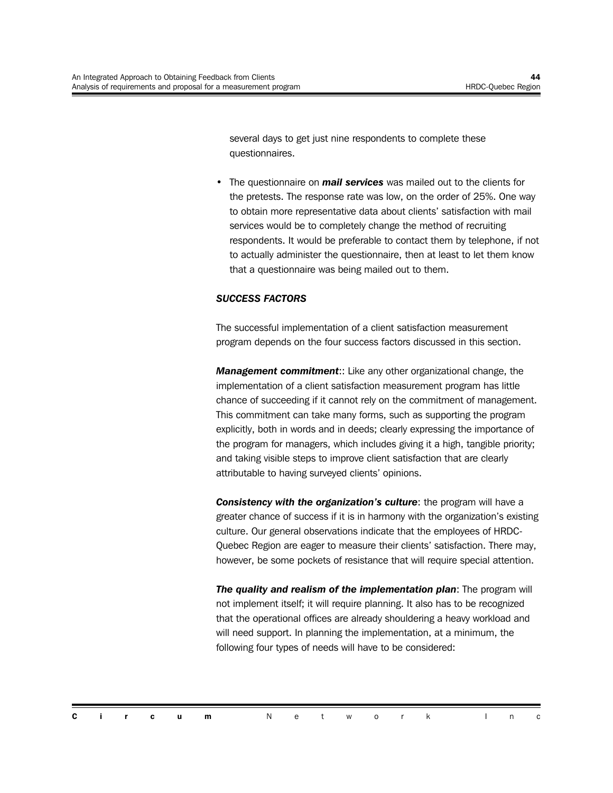several days to get just nine respondents to complete these questionnaires.

• The questionnaire on *mail services* was mailed out to the clients for the pretests. The response rate was low, on the order of 25%. One way to obtain more representative data about clients' satisfaction with mail services would be to completely change the method of recruiting respondents. It would be preferable to contact them by telephone, if not to actually administer the questionnaire, then at least to let them know that a questionnaire was being mailed out to them.

#### *SUCCESS FACTORS*

The successful implementation of a client satisfaction measurement program depends on the four success factors discussed in this section.

*Management commitment*:: Like any other organizational change, the implementation of a client satisfaction measurement program has little chance of succeeding if it cannot rely on the commitment of management. This commitment can take many forms, such as supporting the program explicitly, both in words and in deeds; clearly expressing the importance of the program for managers, which includes giving it a high, tangible priority; and taking visible steps to improve client satisfaction that are clearly attributable to having surveyed clients' opinions.

*Consistency with the organization's culture*: the program will have a greater chance of success if it is in harmony with the organization's existing culture. Our general observations indicate that the employees of HRDC-Quebec Region are eager to measure their clients' satisfaction. There may, however, be some pockets of resistance that will require special attention.

*The quality and realism of the implementation plan*: The program will not implement itself; it will require planning. It also has to be recognized that the operational offices are already shouldering a heavy workload and will need support. In planning the implementation, at a minimum, the following four types of needs will have to be considered: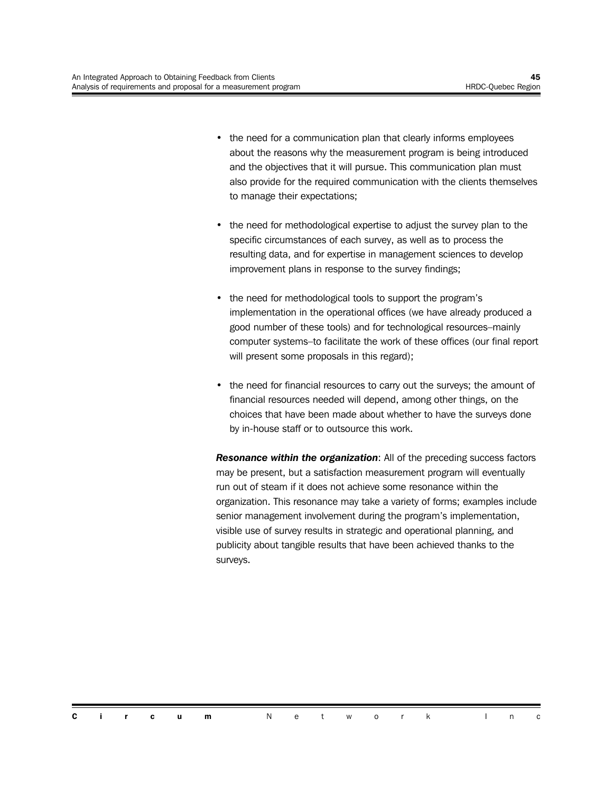- the need for a communication plan that clearly informs employees about the reasons why the measurement program is being introduced and the objectives that it will pursue. This communication plan must also provide for the required communication with the clients themselves to manage their expectations;
- the need for methodological expertise to adjust the survey plan to the specific circumstances of each survey, as well as to process the resulting data, and for expertise in management sciences to develop improvement plans in response to the survey findings;
- the need for methodological tools to support the program's implementation in the operational offices (we have already produced a good number of these tools) and for technological resources–mainly computer systems–to facilitate the work of these offices (our final report will present some proposals in this regard);
- the need for financial resources to carry out the surveys; the amount of financial resources needed will depend, among other things, on the choices that have been made about whether to have the surveys done by in-house staff or to outsource this work.

*Resonance within the organization*: All of the preceding success factors may be present, but a satisfaction measurement program will eventually run out of steam if it does not achieve some resonance within the organization. This resonance may take a variety of forms; examples include senior management involvement during the program's implementation, visible use of survey results in strategic and operational planning, and publicity about tangible results that have been achieved thanks to the surveys.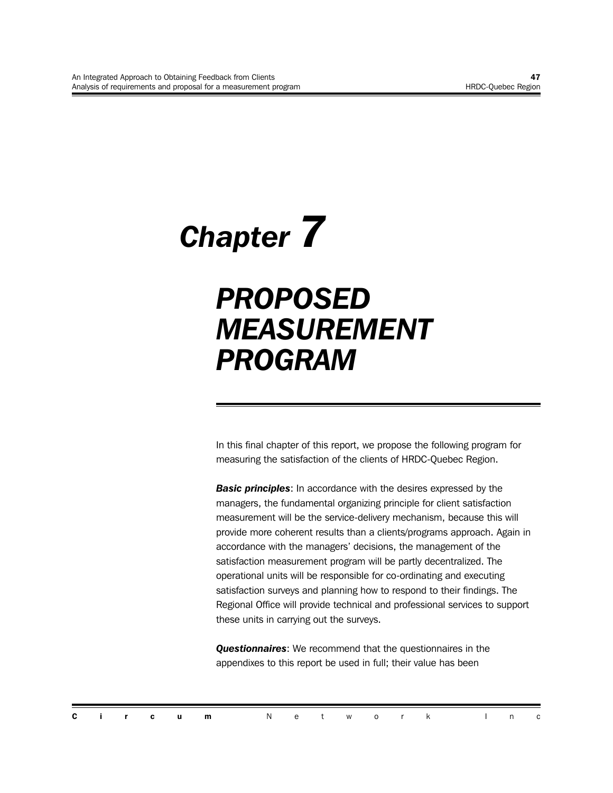# *Chapter 7*

# *PROPOSED MEASUREMENT PROGRAM*

In this final chapter of this report, we propose the following program for measuring the satisfaction of the clients of HRDC-Quebec Region.

*Basic principles*: In accordance with the desires expressed by the managers, the fundamental organizing principle for client satisfaction measurement will be the service-delivery mechanism, because this will provide more coherent results than a clients/programs approach. Again in accordance with the managers' decisions, the management of the satisfaction measurement program will be partly decentralized. The operational units will be responsible for co-ordinating and executing satisfaction surveys and planning how to respond to their findings. The Regional Office will provide technical and professional services to support these units in carrying out the surveys.

*Questionnaires*: We recommend that the questionnaires in the appendixes to this report be used in full; their value has been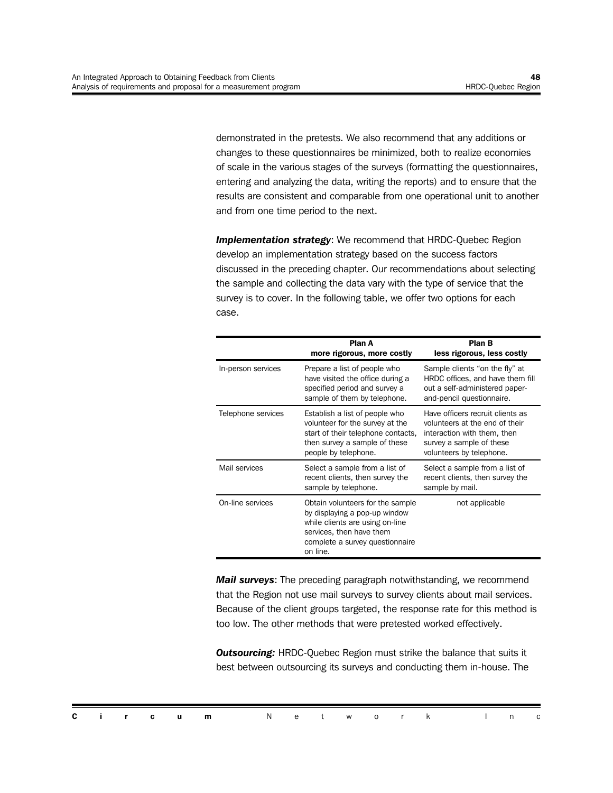demonstrated in the pretests. We also recommend that any additions or changes to these questionnaires be minimized, both to realize economies of scale in the various stages of the surveys (formatting the questionnaires, entering and analyzing the data, writing the reports) and to ensure that the results are consistent and comparable from one operational unit to another and from one time period to the next.

**Implementation strategy:** We recommend that HRDC-Quebec Region develop an implementation strategy based on the success factors discussed in the preceding chapter. Our recommendations about selecting the sample and collecting the data vary with the type of service that the survey is to cover. In the following table, we offer two options for each case.

|                    | Plan A<br>more rigorous, more costly                                                                                                                                            | <b>Plan B</b><br>less rigorous, less costly                                                                                                               |
|--------------------|---------------------------------------------------------------------------------------------------------------------------------------------------------------------------------|-----------------------------------------------------------------------------------------------------------------------------------------------------------|
| In-person services | Prepare a list of people who<br>have visited the office during a<br>specified period and survey a<br>sample of them by telephone.                                               | Sample clients "on the fly" at<br>HRDC offices, and have them fill<br>out a self-administered paper-<br>and-pencil questionnaire.                         |
| Telephone services | Establish a list of people who<br>volunteer for the survey at the<br>start of their telephone contacts,<br>then survey a sample of these<br>people by telephone.                | Have officers recruit clients as<br>volunteers at the end of their<br>interaction with them, then<br>survey a sample of these<br>volunteers by telephone. |
| Mail services      | Select a sample from a list of<br>recent clients, then survey the<br>sample by telephone.                                                                                       | Select a sample from a list of<br>recent clients, then survey the<br>sample by mail.                                                                      |
| On-line services   | Obtain volunteers for the sample<br>by displaying a pop-up window<br>while clients are using on-line<br>services, then have them<br>complete a survey questionnaire<br>on line. | not applicable                                                                                                                                            |

*Mail surveys*: The preceding paragraph notwithstanding, we recommend that the Region not use mail surveys to survey clients about mail services. Because of the client groups targeted, the response rate for this method is too low. The other methods that were pretested worked effectively.

**Outsourcing:** HRDC-Quebec Region must strike the balance that suits it best between outsourcing its surveys and conducting them in-house. The

|  |  | <b>Circum</b> Network Inc |  |  |  |  |  |
|--|--|---------------------------|--|--|--|--|--|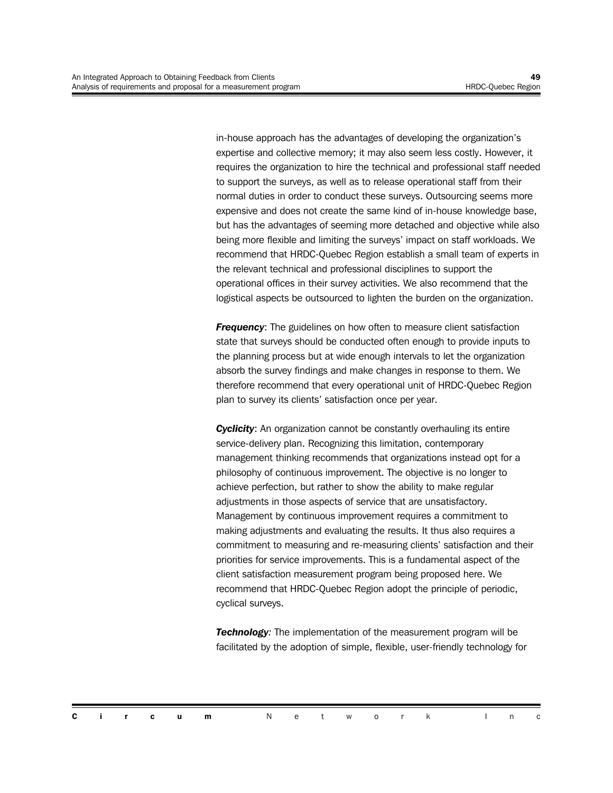in-house approach has the advantages of developing the organization's expertise and collective memory; it may also seem less costly. However, it requires the organization to hire the technical and professional staff needed to support the surveys, as well as to release operational staff from their normal duties in order to conduct these surveys. Outsourcing seems more expensive and does not create the same kind of in-house knowledge base, but has the advantages of seeming more detached and objective while also being more flexible and limiting the surveys' impact on staff workloads. We recommend that HRDC-Quebec Region establish a small team of experts in the relevant technical and professional disciplines to support the operational offices in their survey activities. We also recommend that the logistical aspects be outsourced to lighten the burden on the organization.

**Frequency:** The guidelines on how often to measure client satisfaction state that surveys should be conducted often enough to provide inputs to the planning process but at wide enough intervals to let the organization absorb the survey findings and make changes in response to them. We therefore recommend that every operational unit of HRDC-Quebec Region plan to survey its clients' satisfaction once per year.

**Cyclicity:** An organization cannot be constantly overhauling its entire service-delivery plan. Recognizing this limitation, contemporary management thinking recommends that organizations instead opt for a philosophy of continuous improvement. The objective is no longer to achieve perfection, but rather to show the ability to make regular adjustments in those aspects of service that are unsatisfactory. Management by continuous improvement requires a commitment to making adjustments and evaluating the results. It thus also requires a commitment to measuring and re-measuring clients' satisfaction and their priorities for service improvements. This is a fundamental aspect of the client satisfaction measurement program being proposed here. We recommend that HRDC-Quebec Region adopt the principle of periodic, cyclical surveys.

*Technology:* The implementation of the measurement program will be facilitated by the adoption of simple, flexible, user-friendly technology for

|  |  | <b>Circum</b> Network Inc |  |  |  |  |  |
|--|--|---------------------------|--|--|--|--|--|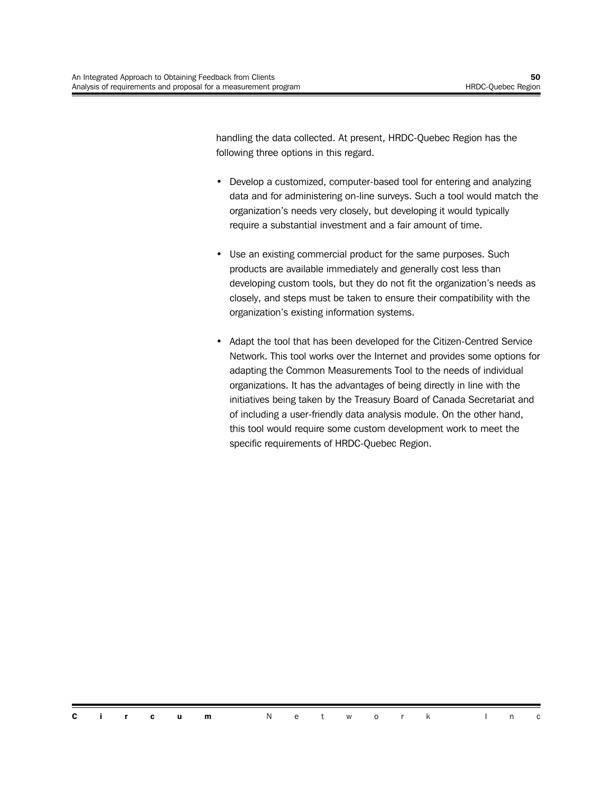handling the data collected. At present, HRDC-Quebec Region has the following three options in this regard.

- Develop a customized, computer-based tool for entering and analyzing data and for administering on-line surveys. Such a tool would match the organization's needs very closely, but developing it would typically require a substantial investment and a fair amount of time.
- Use an existing commercial product for the same purposes. Such products are available immediately and generally cost less than developing custom tools, but they do not fit the organization's needs as closely, and steps must be taken to ensure their compatibility with the organization's existing information systems.
- Adapt the tool that has been developed for the Citizen-Centred Service Network. This tool works over the Internet and provides some options for adapting the Common Measurements Tool to the needs of individual organizations. It has the advantages of being directly in line with the initiatives being taken by the Treasury Board of Canada Secretariat and of including a user-friendly data analysis module. On the other hand, this tool would require some custom development work to meet the specific requirements of HRDC-Quebec Region.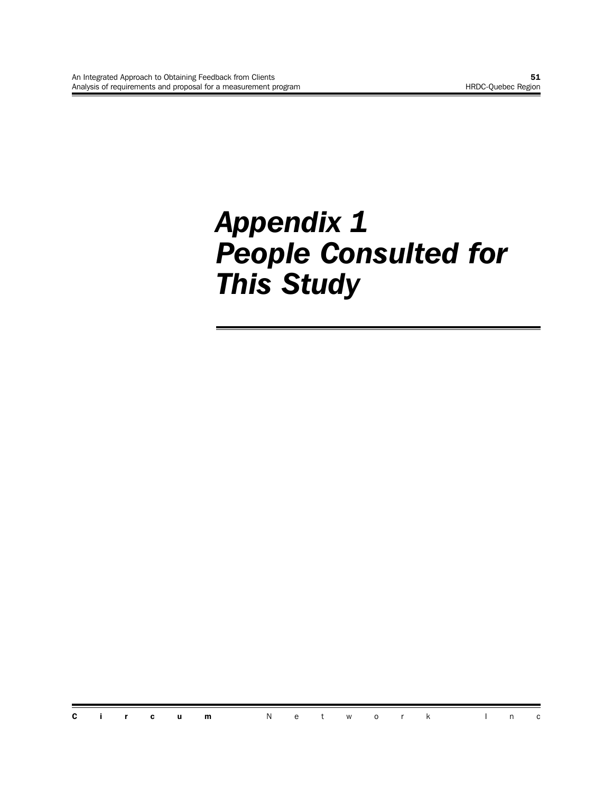# *Appendix 1 People Consulted for This Study*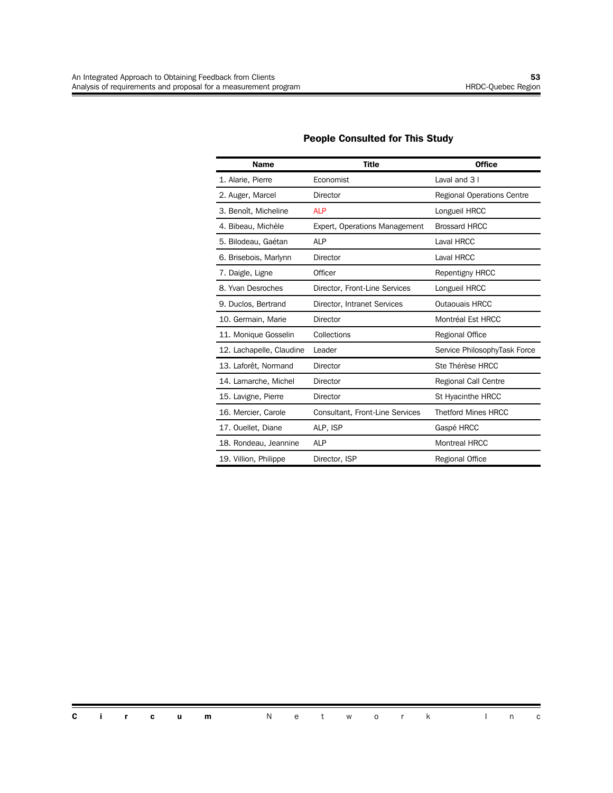| <b>Name</b>              | Title                                  | <b>Office</b>                     |
|--------------------------|----------------------------------------|-----------------------------------|
| 1. Alarie, Pierre        | Economist                              | Laval and 3 I                     |
| 2. Auger, Marcel         | <b>Director</b>                        | <b>Regional Operations Centre</b> |
| 3. Benoît, Micheline     | <b>ALP</b>                             | Longueil HRCC                     |
| 4. Bibeau, Michèle       | Expert, Operations Management          | <b>Brossard HRCC</b>              |
| 5. Bilodeau, Gaétan      | <b>ALP</b>                             | Laval HRCC                        |
| 6. Brisebois, Marlynn    | Director                               | Laval HRCC                        |
| 7. Daigle, Ligne         | Officer                                | <b>Repentigny HRCC</b>            |
| 8. Yvan Desroches        | Director, Front-Line Services          | Longueil HRCC                     |
| 9. Duclos, Bertrand      | Director, Intranet Services            | Outaouais HRCC                    |
| 10. Germain, Marie       | Director                               | Montréal Est HRCC                 |
| 11. Monique Gosselin     | Collections                            | Regional Office                   |
| 12. Lachapelle, Claudine | Leader                                 | Service PhilosophyTask Force      |
| 13. Laforêt, Normand     | Director                               | Ste Thérèse HRCC                  |
| 14. Lamarche, Michel     | Director                               | Regional Call Centre              |
| 15. Lavigne, Pierre      | Director                               | St Hyacinthe HRCC                 |
| 16. Mercier, Carole      | <b>Consultant, Front-Line Services</b> | <b>Thetford Mines HRCC</b>        |
| 17. Ouellet, Diane       | ALP, ISP                               | Gaspé HRCC                        |
| 18. Rondeau, Jeannine    | <b>ALP</b>                             | <b>Montreal HRCC</b>              |
| 19. Villion, Philippe    | Director, ISP                          | Regional Office                   |

#### **People Consulted for This Study**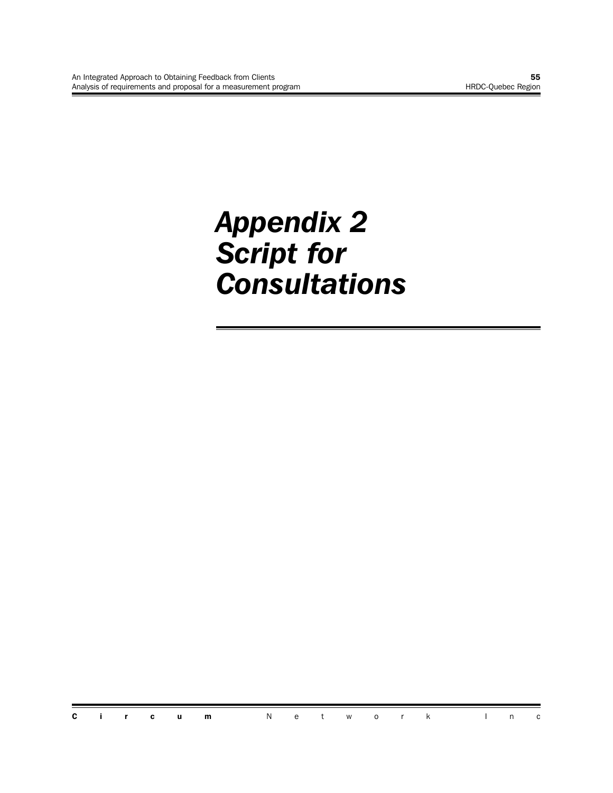# *Appendix 2 Script for Consultations*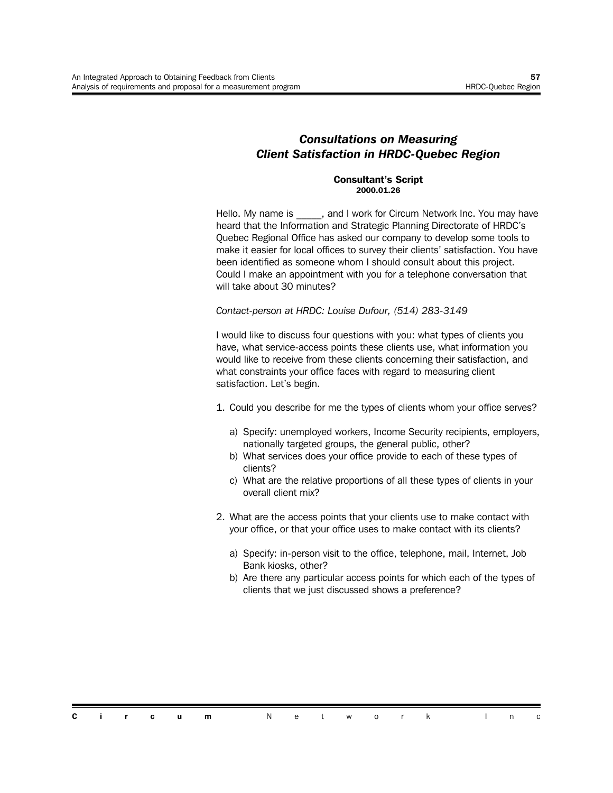#### *Consultations on Measuring Client Satisfaction in HRDC-Quebec Region*

#### **Consultant's Script 2000.01.26**

Hello. My name is \_\_\_\_\_, and I work for Circum Network Inc. You may have heard that the Information and Strategic Planning Directorate of HRDC's Quebec Regional Office has asked our company to develop some tools to make it easier for local offices to survey their clients' satisfaction. You have been identified as someone whom I should consult about this project. Could I make an appointment with you for a telephone conversation that will take about 30 minutes?

*Contact-person at HRDC: Louise Dufour, (514) 283-3149*

I would like to discuss four questions with you: what types of clients you have, what service-access points these clients use, what information you would like to receive from these clients concerning their satisfaction, and what constraints your office faces with regard to measuring client satisfaction. Let's begin.

- 1. Could you describe for me the types of clients whom your office serves?
	- a) Specify: unemployed workers, Income Security recipients, employers, nationally targeted groups, the general public, other?
	- b) What services does your office provide to each of these types of clients?
	- c) What are the relative proportions of all these types of clients in your overall client mix?
- 2. What are the access points that your clients use to make contact with your office, or that your office uses to make contact with its clients?
	- a) Specify: in-person visit to the office, telephone, mail, Internet, Job Bank kiosks, other?
	- b) Are there any particular access points for which each of the types of clients that we just discussed shows a preference?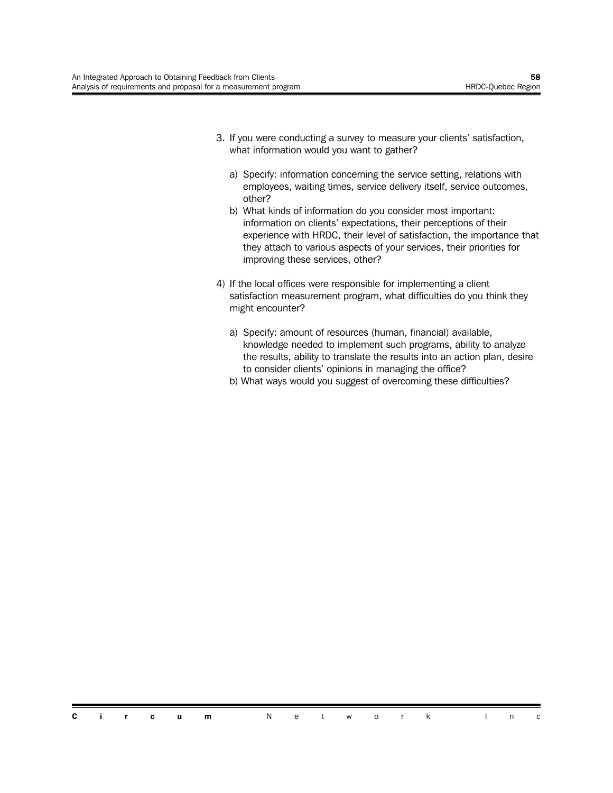- 3. If you were conducting a survey to measure your clients' satisfaction, what information would you want to gather?
	- a) Specify: information concerning the service setting, relations with employees, waiting times, service delivery itself, service outcomes, other?
	- b) What kinds of information do you consider most important: information on clients' expectations, their perceptions of their experience with HRDC, their level of satisfaction, the importance that they attach to various aspects of your services, their priorities for improving these services, other?
- 4) If the local offices were responsible for implementing a client satisfaction measurement program, what difficulties do you think they might encounter?
	- a) Specify: amount of resources (human, financial) available, knowledge needed to implement such programs, ability to analyze the results, ability to translate the results into an action plan, desire to consider clients' opinions in managing the office?
	- b) What ways would you suggest of overcoming these difficulties?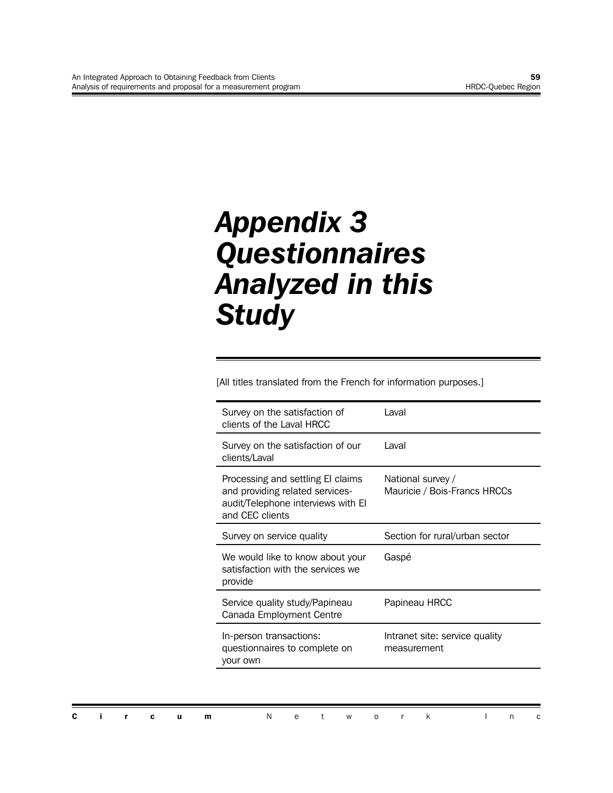# *Appendix 3 Questionnaires Analyzed in this Study*

[All titles translated from the French for information purposes.]

| Survey on the satisfaction of<br>clients of the Laval HRCC                                                                    | Laval                                             |
|-------------------------------------------------------------------------------------------------------------------------------|---------------------------------------------------|
| Survey on the satisfaction of our<br>clients/Laval                                                                            | I aval                                            |
| Processing and settling El claims<br>and providing related services-<br>audit/Telephone interviews with El<br>and CEC clients | National survey /<br>Mauricie / Bois-Francs HRCCs |
| Survey on service quality                                                                                                     | Section for rural/urban sector                    |
| We would like to know about your<br>satisfaction with the services we<br>provide                                              | Gaspé                                             |
| Service quality study/Papineau<br>Canada Employment Centre                                                                    | Papineau HRCC                                     |
| In-person transactions:<br>questionnaires to complete on<br>your own                                                          | Intranet site: service quality<br>measurement     |
|                                                                                                                               |                                                   |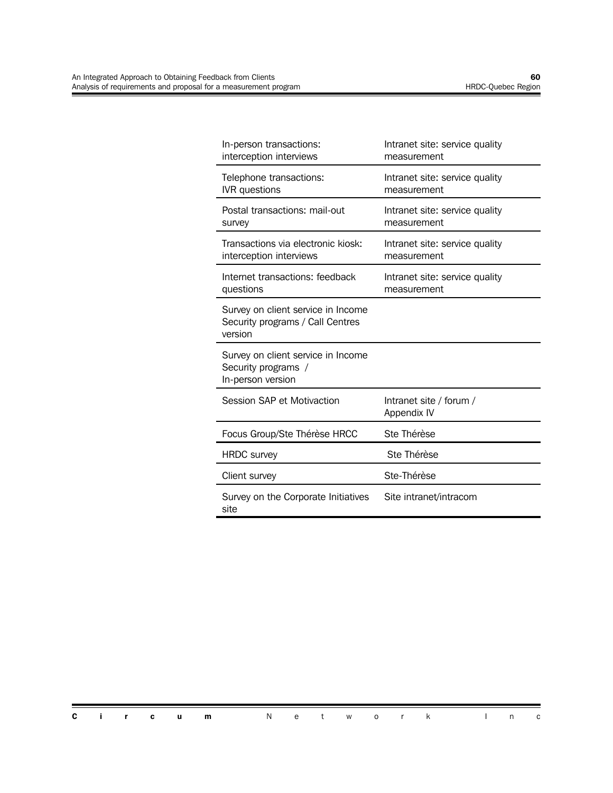| In-person transactions:<br>interception interviews                                | Intranet site: service quality<br>measurement |
|-----------------------------------------------------------------------------------|-----------------------------------------------|
| Telephone transactions:<br><b>IVR</b> questions                                   | Intranet site: service quality<br>measurement |
| Postal transactions: mail-out<br>survey                                           | Intranet site: service quality<br>measurement |
| Transactions via electronic kiosk:<br>interception interviews                     | Intranet site: service quality<br>measurement |
| Internet transactions: feedback<br>questions                                      | Intranet site: service quality<br>measurement |
| Survey on client service in Income<br>Security programs / Call Centres<br>version |                                               |
| Survey on client service in Income<br>Security programs /<br>In-person version    |                                               |
| Session SAP et Motivaction                                                        | Intranet site / forum /<br>Appendix IV        |
| Focus Group/Ste Thérèse HRCC                                                      | Ste Thérèse                                   |
| <b>HRDC</b> survey                                                                | Ste Thérèse                                   |
| Client survey                                                                     | Ste-Thérèse                                   |
| Survey on the Corporate Initiatives<br>site                                       | Site intranet/intracom                        |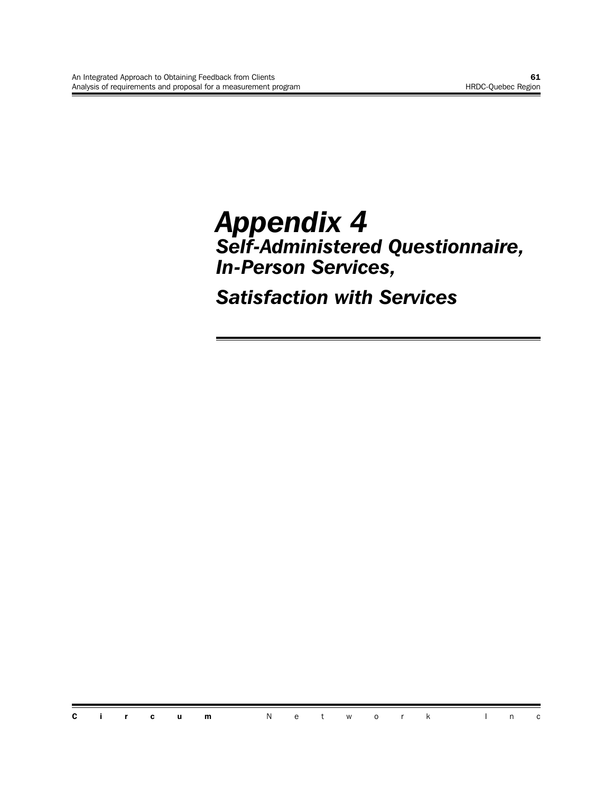# *Appendix 4 Self-Administered Questionnaire, In-Person Services,*

*Satisfaction with Services*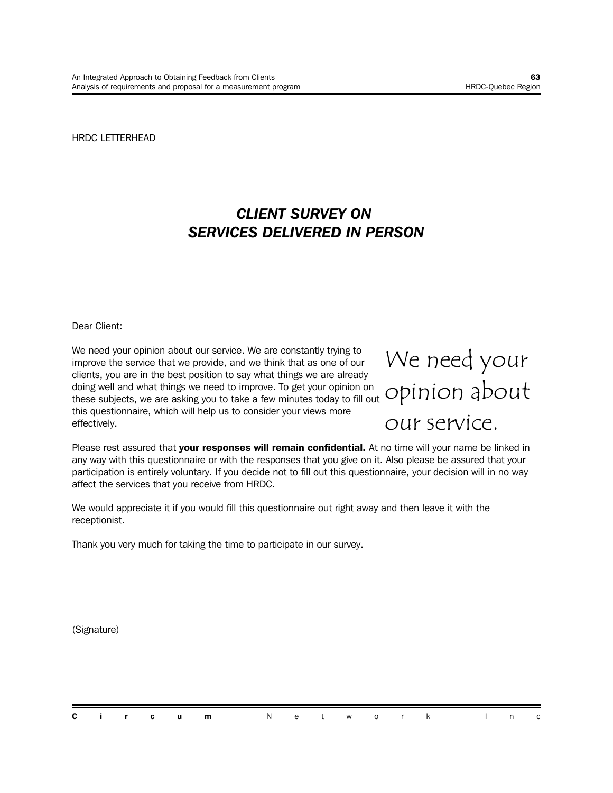HRDC LETTERHEAD

### *CLIENT SURVEY ON SERVICES DELIVERED IN PERSON*

Dear Client:

We need your opinion about our service. We are constantly trying to improve the service that we provide, and we think that as one of our clients, you are in the best position to say what things we are already doing well and what things we need to improve. To get your opinion on these subjects, we are asking you to take a few minutes today to fill out this questionnaire, which will help us to consider your views more effectively.



Please rest assured that **your responses will remain confidential.** At no time will your name be linked in any way with this questionnaire or with the responses that you give on it. Also please be assured that your participation is entirely voluntary. If you decide not to fill out this questionnaire, your decision will in no way affect the services that you receive from HRDC.

We would appreciate it if you would fill this questionnaire out right away and then leave it with the receptionist.

Thank you very much for taking the time to participate in our survey.

(Signature)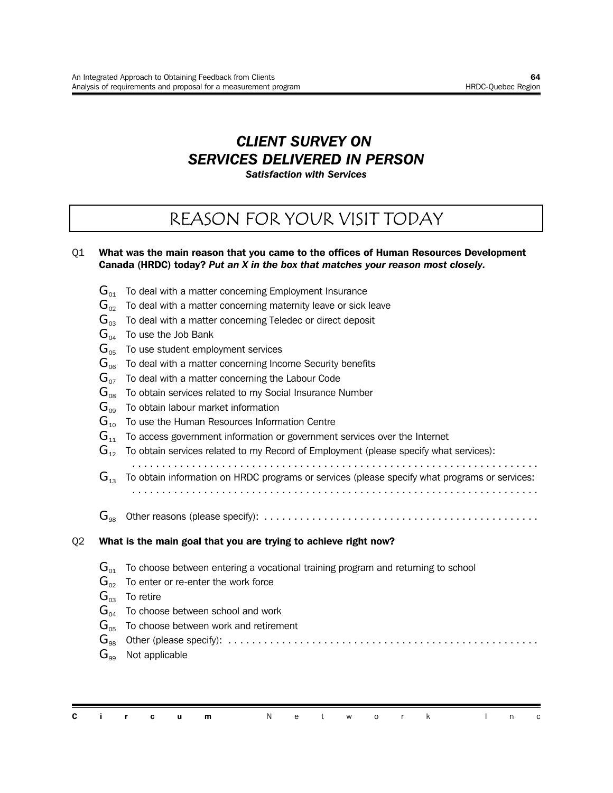### *CLIENT SURVEY ON SERVICES DELIVERED IN PERSON*

*Satisfaction with Services*

## REASON FOR YOUR VISIT TODAY

#### Q1 **What was the main reason that you came to the offices of Human Resources Development Canada (HRDC) today?** *Put an X in the box that matches your reason most closely.*

- $\mathbf{G}_{01}$  To deal with a matter concerning Employment Insurance
- $\mathbf{G}_{02}$  To deal with a matter concerning maternity leave or sick leave
- $G_{03}$  To deal with a matter concerning Teledec or direct deposit
- $G_{04}$  To use the Job Bank
- $G_{05}$  To use student employment services
- $G<sub>06</sub>$  To deal with a matter concerning Income Security benefits
- $\mathbf{G}_{\alpha z}$  To deal with a matter concerning the Labour Code
- $\mathbf{G}_{\text{08}}$  To obtain services related to my Social Insurance Number
- $G_{00}$  To obtain labour market information
- $G_{10}$  To use the Human Resources Information Centre
- $G<sub>11</sub>$  To access government information or government services over the Internet
- $\mathbf{G}_{12}$  To obtain services related to my Record of Employment (please specify what services):
- ....................................................................  $\mathbf{G}_{13}$  To obtain information on HRDC programs or services (please specify what programs or services:
- ....................................................................
- G<sup>98</sup> Other reasons (please specify): ..............................................

#### Q2 **What is the main goal that you are trying to achieve right now?**

- $G_{01}$  To choose between entering a vocational training program and returning to school
- $\mathbf{G}_{02}$  To enter or re-enter the work force
- $G_{03}$  To retire
- $G_{04}$  To choose between school and work
- $G_{05}$  To choose between work and retirement

G<sup>98</sup> Other (please specify): ....................................................

 $G_{\text{eq}}$  Not applicable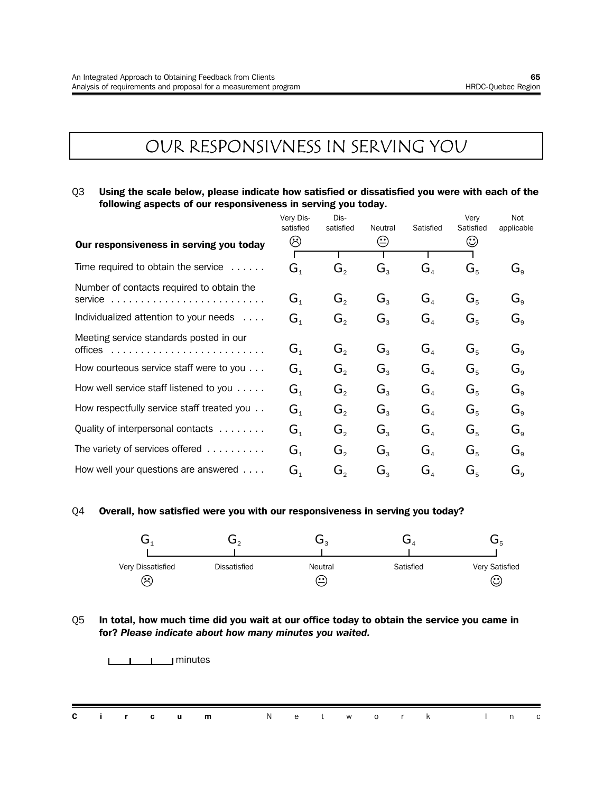## OUR RESPONSIVNESS IN SERVING YOU

#### Q3 **Using the scale below, please indicate how satisfied or dissatisfied you were with each of the following aspects of our responsiveness in serving you today.**

|                                                  | Very Dis-                            | Dis-                        |                  |                                     | Very      | Not                              |
|--------------------------------------------------|--------------------------------------|-----------------------------|------------------|-------------------------------------|-----------|----------------------------------|
|                                                  | satisfied                            | satisfied                   | Neutral          | Satisfied                           | Satisfied | applicable                       |
| Our responsiveness in serving you today          | ☺                                    |                             | ☺                |                                     | ☺         |                                  |
|                                                  |                                      |                             |                  |                                     |           |                                  |
| Time required to obtain the service $\dots$ .    | $G_{\scriptscriptstyle{1}}$          | $G_{\circ}$                 | $G_{\rm a}$      | $G_{\scriptscriptstyle{A}}$         | $G_{5}$   | $G_{\scriptscriptstyle{\alpha}}$ |
| Number of contacts required to obtain the        |                                      |                             |                  |                                     |           |                                  |
| service                                          | $\mathbf{G}_{\scriptscriptstyle{1}}$ | $G_{\circ}$                 | $G_{\rm a}$      | $G_{\scriptscriptstyle{A}}$         | $G_{5}$   | $G_{\circ}$                      |
| Individualized attention to your needs           | $G_{\scriptscriptstyle{1}}$          | $G_{2}$                     | $G_{\rm a}$      | G <sub>4</sub>                      | $G_{5}$   | $G_{\rm o}$                      |
| Meeting service standards posted in our          |                                      |                             |                  |                                     |           |                                  |
| offices                                          | $\mathbf{G}_{\scriptscriptstyle{1}}$ | $G_{2}$                     | G <sub>3</sub>   | $G_{\scriptscriptstyle A}$          | $G_{5}$   | $G_{\alpha}$                     |
| How courteous service staff were to you          | $G_{\scriptscriptstyle{1}}$          | $G_{2}$                     | $G_{\mathrm{R}}$ | G <sub>4</sub>                      | $G_{5}$   | $G_{\alpha}$                     |
| How well service staff listened to you $\dots$ . | $G_{\scriptscriptstyle{1}}$          | $G_{\scriptscriptstyle{2}}$ | $G_{\tiny{2}}$   | $G_{\scriptscriptstyle\mathcal{A}}$ | $G_{5}$   | $G_{\circ}$                      |
|                                                  |                                      |                             |                  |                                     |           |                                  |
| How respectfully service staff treated you       | $G_{1}$                              | $G_{\scriptscriptstyle{2}}$ | $G_{\rm a}$      | $G_{\scriptscriptstyle\mathcal{A}}$ | $G_{5}$   | $G_{\circ}$                      |
| Quality of interpersonal contacts                | G <sub>1</sub>                       | $G_{\circ}$                 | $G_{\rm a}$      | G <sub>4</sub>                      | $G_{5}$   | $G_{\rm o}$                      |
| The variety of services offered                  | $G_{1}$                              | $G_{\circ}$                 | $G_{\rm a}$      | G <sub>a</sub>                      | $G_{5}$   | $G_{\scriptscriptstyle{\alpha}}$ |
| How well your questions are answered             | $G_{\scriptscriptstyle{1}}$          | G,                          | $G_{\tiny{2}}$   | $G_{\scriptscriptstyle A}$          | $G_{5}$   | $G_{\alpha}$                     |

#### Q4 **Overall, how satisfied were you with our responsiveness in serving you today?**



#### Q5 **In total, how much time did you wait at our office today to obtain the service you came in for?** *Please indicate about how many minutes you waited.*

minutes

|  |  | <b>Circum</b> Network Inc |  |  |  |  |  |
|--|--|---------------------------|--|--|--|--|--|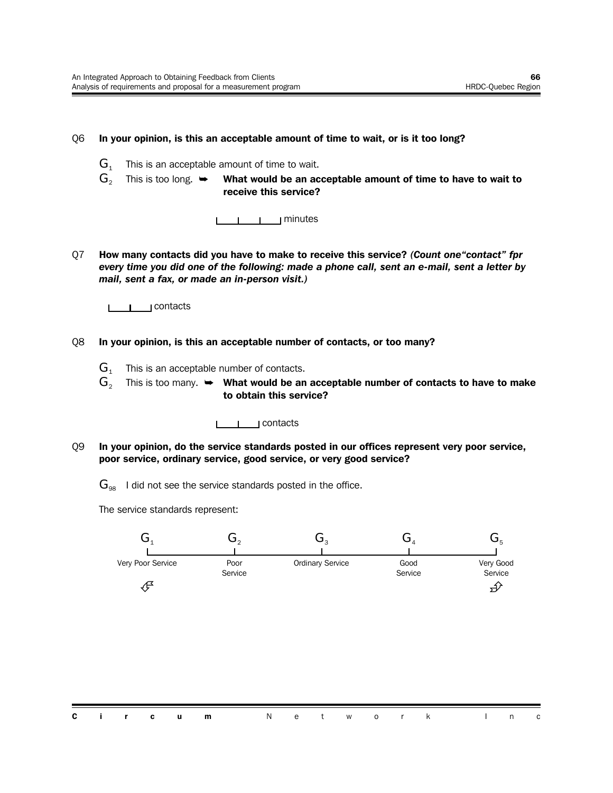#### Q6 **In your opinion, is this an acceptable amount of time to wait, or is it too long?**

- $G_1$  This is an acceptable amount of time to wait.
- $G<sub>2</sub>$  This is too long.  $\rightarrow$  What would be an acceptable amount of time to have to wait to **receive this service?**



Q7 **How many contacts did you have to make to receive this service?** *(Count one"contact" fpr every time you did one of the following: made a phone call, sent an e-mail, sent a letter by mail, sent a fax, or made an in-person visit.)*

I I contacts

- Q8 **In your opinion, is this an acceptable number of contacts, or too many?**
	- $G_1$  This is an acceptable number of contacts.
	- $\mathbf{G}_2$  This is too many.  $\rightarrow$  What would be an acceptable number of contacts to have to make **to obtain this service?**

<u>**Later Lines**</u> contacts

- Q9 **In your opinion, do the service standards posted in our offices represent very poor service, poor service, ordinary service, good service, or very good service?**
	- $\mathbf{G}_{98}$  I did not see the service standards posted in the office.

The service standards represent:

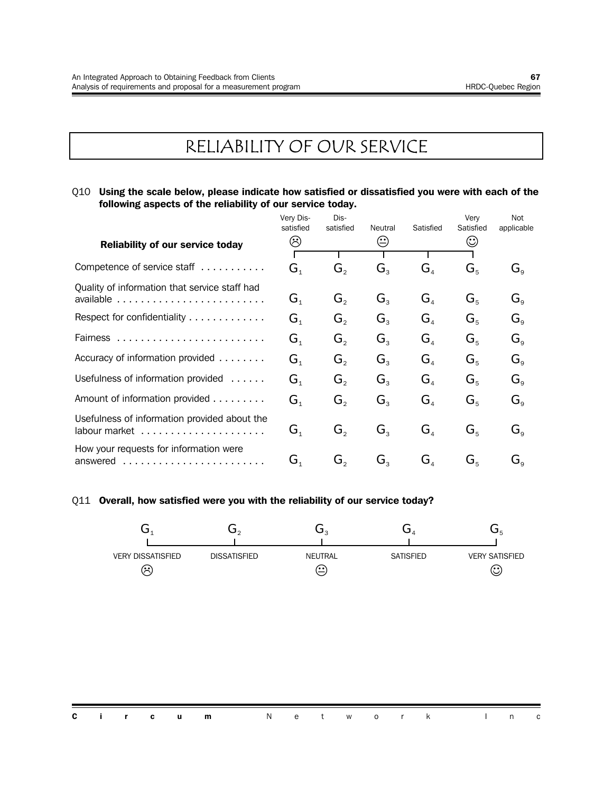# RELIABILITY OF OUR SERVICE

Q10 **Using the scale below, please indicate how satisfied or dissatisfied you were with each of the following aspects of the reliability of our service today.**

|                                                    | Very Dis-<br>satisfied               | Dis-<br>satisfied | Neutral          | Satisfied                           | Very<br>Satisfied           | Not<br>applicable                |
|----------------------------------------------------|--------------------------------------|-------------------|------------------|-------------------------------------|-----------------------------|----------------------------------|
| <b>Reliability of our service today</b>            | ☺                                    |                   | ⊕                |                                     | ☺                           |                                  |
| Competence of service staff                        | $\mathbf{G}_{\scriptscriptstyle{1}}$ | $G_{\circ}$       | G,               | $G_{\scriptscriptstyle\mathcal{A}}$ | $G_{\scriptscriptstyle{5}}$ | $G_{\scriptscriptstyle{\alpha}}$ |
| Quality of information that service staff had      | $\mathbf{G}_{\scriptscriptstyle{1}}$ | $G_{\circ}$       | $G_{\mathrm{R}}$ | $G_{\scriptscriptstyle A}$          | $G_{5}$                     | $G_{\circ}$                      |
| Respect for confidentiality                        | $\mathbf{G}_{\scriptscriptstyle{1}}$ | $G_{\circ}$       | $G_{\rm a}$      | G <sub>a</sub>                      | $G_{5}$                     | $G_{\rm o}$                      |
|                                                    | G <sub>1</sub>                       | $G_{\circ}$       | $G_{\rm a}$      | G <sub>4</sub>                      | $G_{5}$                     | $G_{\rm o}$                      |
| Accuracy of information provided                   | G <sub>1</sub>                       | $G_{\circ}$       | $G_{\rm a}$      | G <sub>4</sub>                      | $G_{5}$                     | $G_{\rm o}$                      |
| Usefulness of information provided                 | $G_{1}$                              | $G_{\circ}$       | $G_{\rm a}$      | G <sub>a</sub>                      | $G_{5}$                     | $G_{\scriptscriptstyle{\alpha}}$ |
| Amount of information provided                     | $G_{1}$                              | $G_{\circ}$       | $G_{\rm a}$      | $G_{\scriptscriptstyle A}$          | $G_{5}$                     | $G_{\rm g}$                      |
| Usefulness of information provided about the       | $\mathbf{G}_{\scriptscriptstyle{1}}$ | $G_{\circ}$       | $G_{\rm a}$      | $G_{4}$                             | $G_{5}$                     | $G_{\circ}$                      |
| How your requests for information were<br>answered | $\mathbf{G}_{\scriptscriptstyle{1}}$ | G,                | $G_{\tiny{2}}$   | $G_{\scriptscriptstyle A}$          | $G_{5}$                     | $\mathbf{G}_{\text{\tiny a}}$    |

#### Q11 **Overall, how satisfied were you with the reliability of our service today?**

| <b>VERY DISSATISFIED</b><br>$\approx$ | <b>DISSATISFIED</b> | <b>NEUTRAL</b><br>(۰۰ | <b>SATISFIED</b> | <b>VERY SATISFIED</b><br>(• •)<br>ب |
|---------------------------------------|---------------------|-----------------------|------------------|-------------------------------------|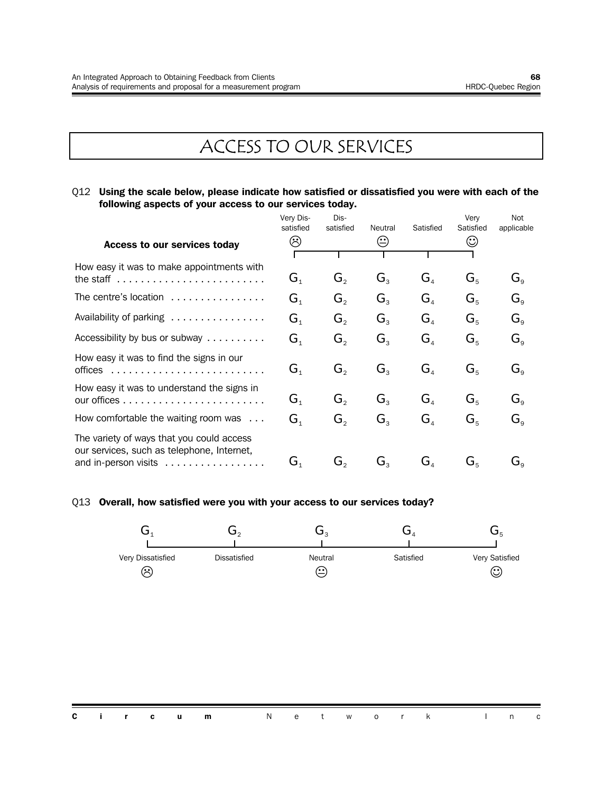# ACCESS TO OUR SERVICES

Q12 **Using the scale below, please indicate how satisfied or dissatisfied you were with each of the following aspects of your access to our services today.**

|                                                                                                                 | Very Dis-<br>satisfied               | Dis-<br>satisfied | Neutral                     | Satisfied                            | Very<br>Satisfied          | Not<br>applicable                |
|-----------------------------------------------------------------------------------------------------------------|--------------------------------------|-------------------|-----------------------------|--------------------------------------|----------------------------|----------------------------------|
| Access to our services today                                                                                    | ☺                                    |                   | ⊖                           |                                      | $\odot$                    |                                  |
| How easy it was to make appointments with                                                                       |                                      |                   |                             |                                      |                            |                                  |
| the staff $\ldots \ldots \ldots \ldots \ldots \ldots \ldots$                                                    | $G_{1}$                              | $G_{2}$           | $G_{3}$                     | $G_{\scriptscriptstyle A}$           | $G_{5}$                    | $G_{\scriptscriptstyle{\alpha}}$ |
| The centre's location                                                                                           | $\mathbf{G}_{\scriptscriptstyle{1}}$ | G,                | $G_{\rm a}$                 | $G_{\scriptscriptstyle A}$           | $G_{5}$                    | $G_{\circ}$                      |
| Availability of parking                                                                                         | $G_{1}$                              | G,                | $G_{\rm a}$                 | $G_{\scriptscriptstyle{A}}$          | $G_{5}$                    | $G_{\circ}$                      |
| Accessibility by bus or subway $\ldots \ldots \ldots$                                                           | $G_{\scriptscriptstyle{1}}$          | G,                | $G_{\rm a}$                 | $G_{\scriptscriptstyle A}$           | $G_{5}$                    | $G_{\circ}$                      |
| How easy it was to find the signs in our<br>offices                                                             | $G_{\scriptscriptstyle{1}}$          | $G_{2}$           | $G_{\rm a}$                 | G <sub>4</sub>                       | $G_{5}$                    | $G_{\circ}$                      |
| How easy it was to understand the signs in                                                                      | $\mathbf{G}_{\scriptscriptstyle{1}}$ | $G_{\circ}$       | $G_{\rm a}$                 | G <sub>4</sub>                       | $G_{5}$                    | $G_{\circ}$                      |
| How comfortable the waiting room was $\dots$                                                                    | $G_{\scriptscriptstyle{1}}$          | $G_{\circ}$       | $G_{\rm a}$                 | G <sub>A</sub>                       | $G_{5}$                    | $G_{\circ}$                      |
| The variety of ways that you could access<br>our services, such as telephone, Internet,<br>and in-person visits | $\mathbf{G}_{\scriptscriptstyle{1}}$ | G,                | $G_{\scriptscriptstyle{2}}$ | $\mathbf{G}_{\scriptscriptstyle{A}}$ | $\mathbf{G}^{\varepsilon}$ | $\mathbf{G}_{\text{\tiny Q}}$    |

#### Q13 **Overall, how satisfied were you with your access to our services today?**

| Very Dissatisfied<br>ణ | Dissatisfied | Neutral<br>(. د | Satisfied | Very Satisfied<br>હ |
|------------------------|--------------|-----------------|-----------|---------------------|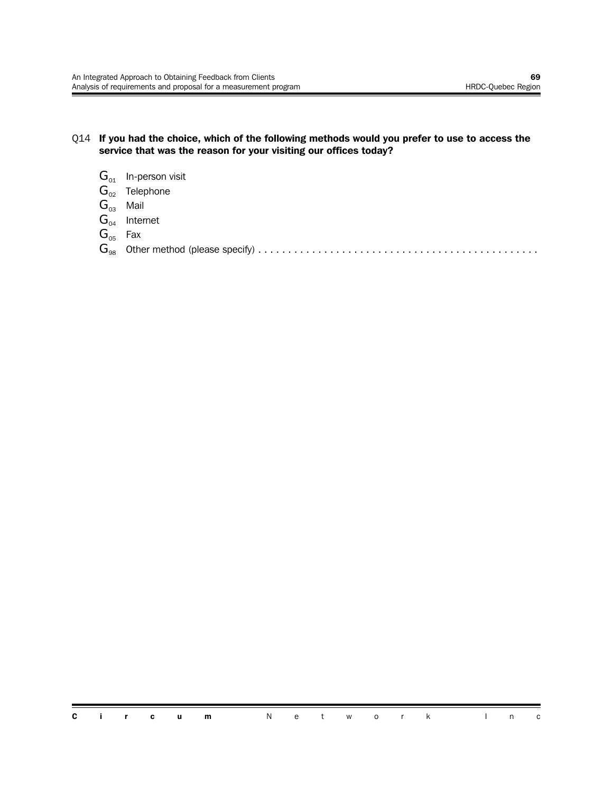#### Q14 **If you had the choice, which of the following methods would you prefer to use to access the service that was the reason for your visiting our offices today?**

- $G_{01}$  In-person visit
- $G_{02}$  Telephone
- $G_{03}$  Mail
- $G_{04}$  Internet
- $G_{05}$  Fax
- G<sup>98</sup> Other method (please specify) ...............................................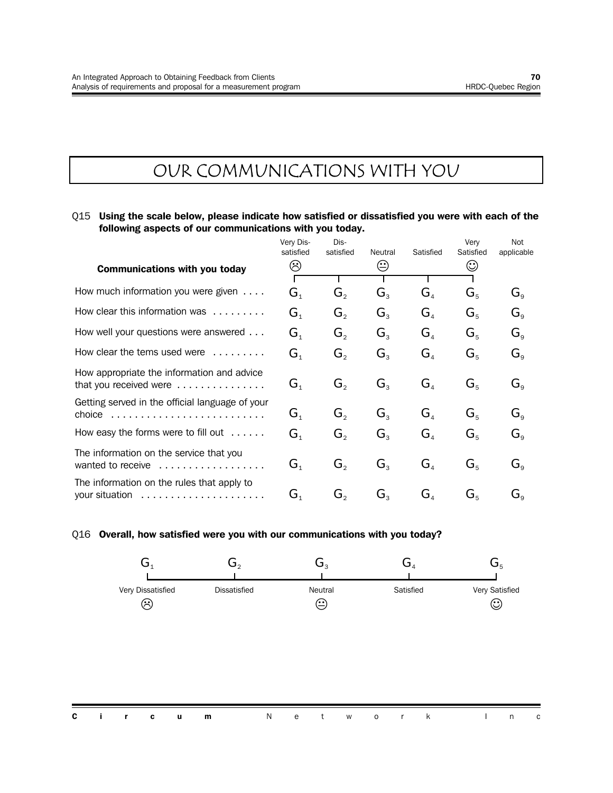## OUR COMMUNICATIONS WITH YOU

#### Q15 **Using the scale below, please indicate how satisfied or dissatisfied you were with each of the following aspects of our communications with you today.**

|                                                                      | Very Dis-<br>satisfied      | Dis-<br>satisfied           | Neutral        | Satisfied                           | Very<br>Satisfied | <b>Not</b><br>applicable    |
|----------------------------------------------------------------------|-----------------------------|-----------------------------|----------------|-------------------------------------|-------------------|-----------------------------|
| <b>Communications with you today</b>                                 | ☺                           |                             | ☺              |                                     | ☺                 |                             |
| How much information you were given                                  | $G_{\scriptscriptstyle{1}}$ | $G_{\scriptscriptstyle{2}}$ | $G_{\rm a}$    | $G_{\scriptscriptstyle{A}}$         | $G_{5}$           | $\mathbf{G}^{\circ}$        |
| How clear this information was                                       | G <sub>1</sub>              | $G_{\scriptscriptstyle{2}}$ | $G_{\rm a}$    | G <sub>4</sub>                      | $G_{5}$           | $G_{\scriptscriptstyle{9}}$ |
| How well your questions were answered                                | $G_{1}$                     | $G_{2}$                     | $G_{\rm a}$    | G <sub>4</sub>                      | $G_{5}$           | $G_{\scriptscriptstyle{9}}$ |
| How clear the tems used were                                         | $G_{1}$                     | $G_{2}$                     | $G_{\rm a}$    | G <sub>4</sub>                      | $G_{5}$           | $\mathbf{G}_{\mathsf{a}}$   |
| How appropriate the information and advice<br>that you received were | $G_{\scriptscriptstyle{1}}$ | $G_{2}$                     | $G_{3}$        | G <sub>4</sub>                      | $G_{5}$           | $G_{\rm g}$                 |
| Getting served in the official language of your<br>choice            | $G_{1}$                     | $G_{\circ}$                 | $G_{\rm a}$    | G <sub>4</sub>                      | $G_{5}$           | $G_{\alpha}$                |
| How easy the forms were to fill out $\dots$ .                        | $G_{1}$                     | $G_{\scriptscriptstyle{2}}$ | $G_{\rm a}$    | G <sub>4</sub>                      | $G_{5}$           | $\mathbf{G}_{\mathsf{a}}$   |
| The information on the service that you<br>wanted to receive         | $G_{1}$                     | $G_{2}$                     | G <sub>3</sub> | G <sub>4</sub>                      | $G_{5}$           | $\mathbf{G}_{\mathrm{o}}$   |
| The information on the rules that apply to<br>your situation         | $G_{1}$                     | G,                          | $G_{\tiny{2}}$ | $G_{\scriptscriptstyle\mathcal{A}}$ | $G_{\kappa}$      | Ġ。                          |

Q16 **Overall, how satisfied were you with our communications with you today?**

| Very Dissatisfied<br>$\approx$ | <b>Dissatisfied</b> | Neutral<br>$\sim$ | Satisfied | Very Satisfied<br>(. .)<br>⊵ |
|--------------------------------|---------------------|-------------------|-----------|------------------------------|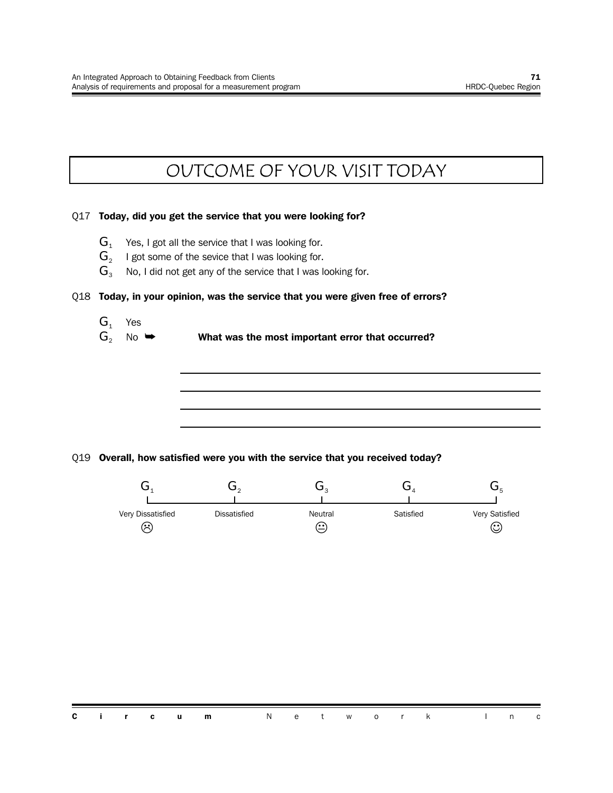## OUTCOME OF YOUR VISIT TODAY

#### Q17 **Today, did you get the service that you were looking for?**

- $G_1$  Yes, I got all the service that I was looking for.
- $\mathbf{G}_2$   $\;\;$  I got some of the sevice that I was looking for.
- $G_3$  No, I did not get any of the service that I was looking for.

#### Q18 **Today, in your opinion, was the service that you were given free of errors?**

- $G_1$  Yes
- G<sub>2</sub> No  $\rightarrow$  What was the most important error that occurred?

#### Q19 **Overall, how satisfied were you with the service that you received today?**

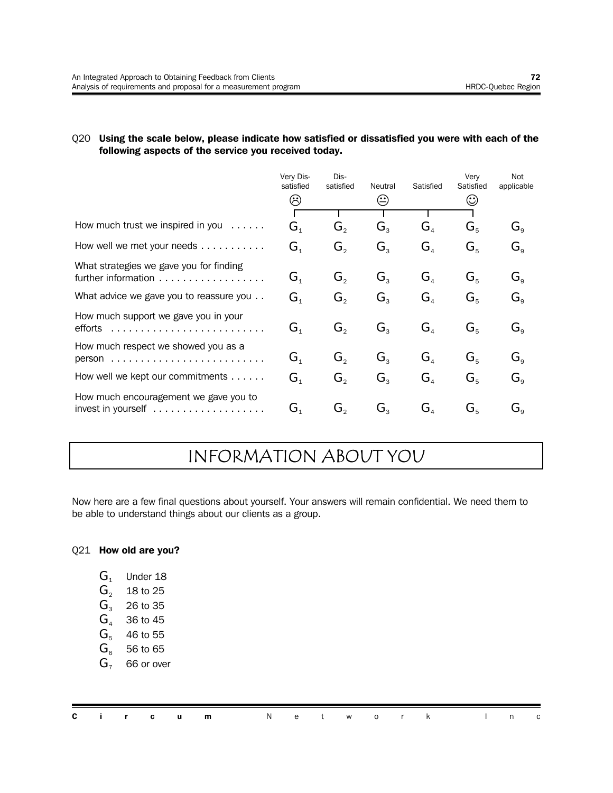#### Q20 **Using the scale below, please indicate how satisfied or dissatisfied you were with each of the following aspects of the service you received today.**

|                                                                | Very Dis-<br>satisfied      | Dis-<br>satisfied           | Neutral     | Satisfied      | Very<br>Satisfied | Not<br>applicable                                |
|----------------------------------------------------------------|-----------------------------|-----------------------------|-------------|----------------|-------------------|--------------------------------------------------|
|                                                                | ☺                           |                             | ⊕           |                | ☺                 |                                                  |
| How much trust we inspired in you $\dots$ .                    | G <sub>1</sub>              | $G_{\circ}$                 | $G_{\rm a}$ | G <sub>4</sub> | $G_{5}$           | $\mathbf{G}_{\mathrm{o}}$                        |
| How well we met your needs $\ldots \ldots \ldots$              | G <sub>1</sub>              | $G_{2}$                     | $G_{3}$     | G <sub>4</sub> | $G_{5}$           | $G_{\scriptscriptstyle{9}}$                      |
| What strategies we gave you for finding<br>further information | $G_{1}$                     | $G_{2}$                     | $G_{3}$     | G <sub>4</sub> | $G_{5}$           | $G_{\scriptscriptstyle\rm Q}$                    |
| What advice we gave you to reassure you                        | G <sub>1</sub>              | $G_{\circ}$                 | $G_{3}$     | G <sub>4</sub> | $G_{5}$           | $G_{\scriptscriptstyle\rm Q}$                    |
| How much support we gave you in your<br>efforts                | G <sub>1</sub>              | $G_{2}$                     | $G_{3}$     | G <sub>4</sub> | $G_{5}$           | $G_{\rm g}$                                      |
| How much respect we showed you as a<br>person                  | $G_{1}$                     | $G_{2}$                     | $G_{3}$     | G <sub>4</sub> | $G_{5}$           | $\mathbf{G}_{\mathsf{a}}$                        |
| How well we kept our commitments                               | G <sub>1</sub>              | $G_{\scriptscriptstyle{2}}$ | $G_{3}$     | G <sub>4</sub> | $G_{5}$           | $G_{\circ}$                                      |
| How much encouragement we gave you to                          | $G_{\scriptscriptstyle{1}}$ | G,                          | $G_{\rm a}$ | G <sub>4</sub> | $G_{5}$           | $\mathbf{G}^{\,}_{\scriptscriptstyle{\text{Q}}}$ |

## INFORMATION ABOUT YOU

Now here are a few final questions about yourself. Your answers will remain confidential. We need them to be able to understand things about our clients as a group.

#### Q21 **How old are you?**

| v | Under 18 |  |
|---|----------|--|
|---|----------|--|

- $G_2$  18 to 25
- $G_3$  26 to 35
- $G_4$  36 to 45
- $G<sub>5</sub>$  46 to 55
- $G<sub>6</sub>$  56 to 65
- $G<sub>7</sub>$  66 or over

|  |  | <b>Circum</b> Network Inc |  |  |  |  |  |
|--|--|---------------------------|--|--|--|--|--|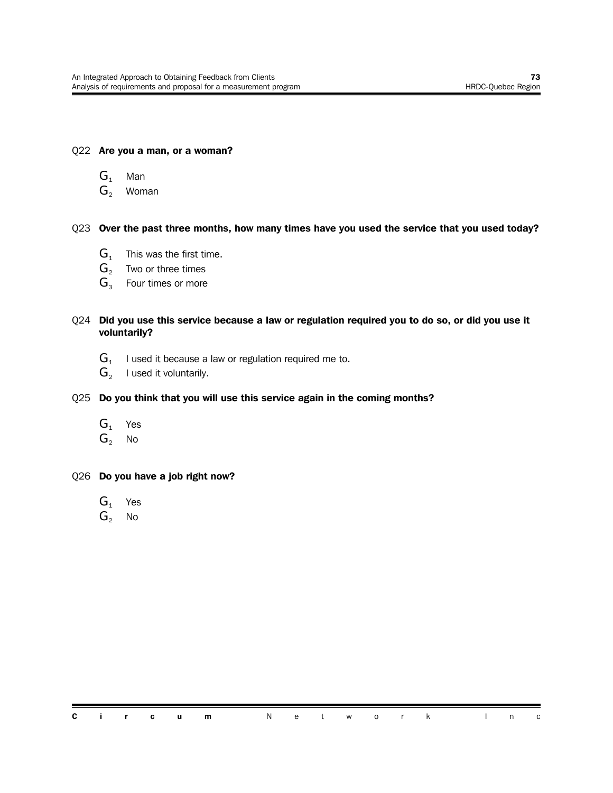#### Q22 **Are you a man, or a woman?**

- $G_1$  Man
- $G_2$  Woman

#### Q23 **Over the past three months, how many times have you used the service that you used today?**

- $G_1$  This was the first time.
- $\mathbf{G}_{2}$  Two or three times
- $G_3$  Four times or more

#### Q24 **Did you use this service because a law or regulation required you to do so, or did you use it voluntarily?**

- ${\bf G}_{\scriptscriptstyle 1}^-$  I used it because a law or regulation required me to.
- $\mathbf{G}_2$  I used it voluntarily.
- Q25 **Do you think that you will use this service again in the coming months?**
	- $G_1$  Yes
	- $G_2$  No
- Q26 **Do you have a job right now?**
	- $G_1$  Yes
	- $G_2$  No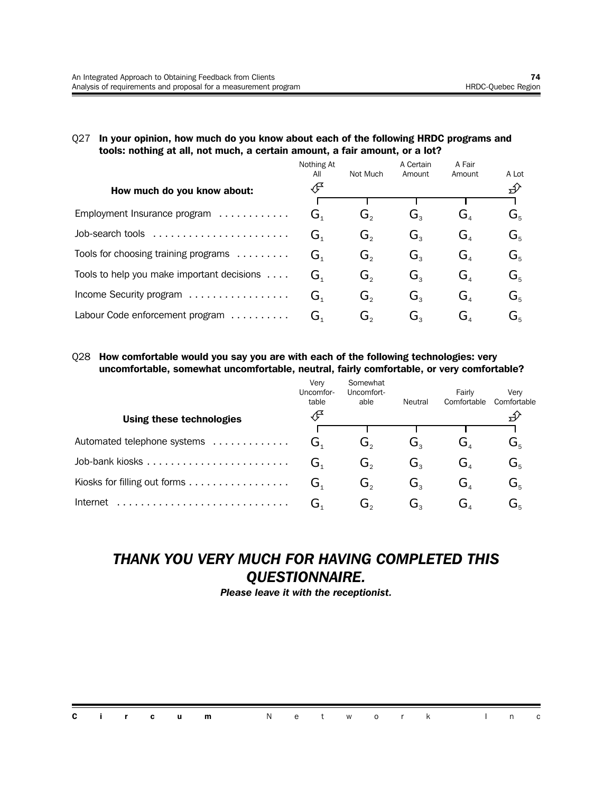#### Q27 **In your opinion, how much do you know about each of the following HRDC programs and tools: nothing at all, not much, a certain amount, a fair amount, or a lot?**

|                                            | Nothing At<br>All | Not Much | A Certain<br>Amount         | A Fair<br>Amount            | A Lot                                                     |
|--------------------------------------------|-------------------|----------|-----------------------------|-----------------------------|-----------------------------------------------------------|
| How much do you know about:                | ∯                 |          |                             |                             | ∯∕                                                        |
|                                            |                   |          |                             |                             |                                                           |
| Employment Insurance program               | G <sub>1</sub>    | Ğ,       | Ġ,                          | Ġ,                          | G,                                                        |
| Job-search tools                           | G,                | G,       | G,                          | $G_{\scriptscriptstyle{A}}$ | $\mathbf{G}^{\vphantom{\dagger}}_{\kappa}$                |
| Tools for choosing training programs       | G <sub>1</sub>    | $G_{2}$  | $G_{\scriptscriptstyle{2}}$ | $G_{\scriptscriptstyle A}$  | $\mathbf{G}^{\vphantom{\dagger}}_{\scriptscriptstyle{5}}$ |
| Tools to help you make important decisions | G <sub>1</sub>    | G,       | $G_{\rm a}$                 | $G_{\scriptscriptstyle{A}}$ | G,                                                        |
| Income Security program                    | G <sub>1</sub>    | G,       | $G_{\tiny{2}}$              | G <sub>a</sub>              | G,                                                        |
| Labour Code enforcement program            | G,                | G。       | G。                          | G,                          | G.                                                        |

#### Q28 **How comfortable would you say you are with each of the following technologies: very uncomfortable, somewhat uncomfortable, neutral, fairly comfortable, or very comfortable?**

 $\mathcal{L}$ 

|                              | Verv<br>Uncomfor-<br>table | Somewhat<br>Uncomfort-<br>able | Neutral | Fairly<br>Comfortable | Verv<br>Comfortable       |
|------------------------------|----------------------------|--------------------------------|---------|-----------------------|---------------------------|
| Using these technologies     |                            |                                |         |                       |                           |
|                              |                            |                                |         |                       |                           |
| Automated telephone systems  | Ğ,                         | ن.                             | C۰.     | ، ت                   | $\mathbf{G}_{\mathbf{s}}$ |
|                              | ىت                         | G。                             | G,      | G,                    | $\mathbf{G}_{\mathrm{s}}$ |
| Kiosks for filling out forms | G,                         | G,                             | G,      | G,                    | $G_{\rm s}$               |
| Internet                     | ىر                         | ەت                             | ەت      | ⊿ل                    | ىر                        |

### *THANK YOU VERY MUCH FOR HAVING COMPLETED THIS QUESTIONNAIRE.*

*Please leave it with the receptionist.*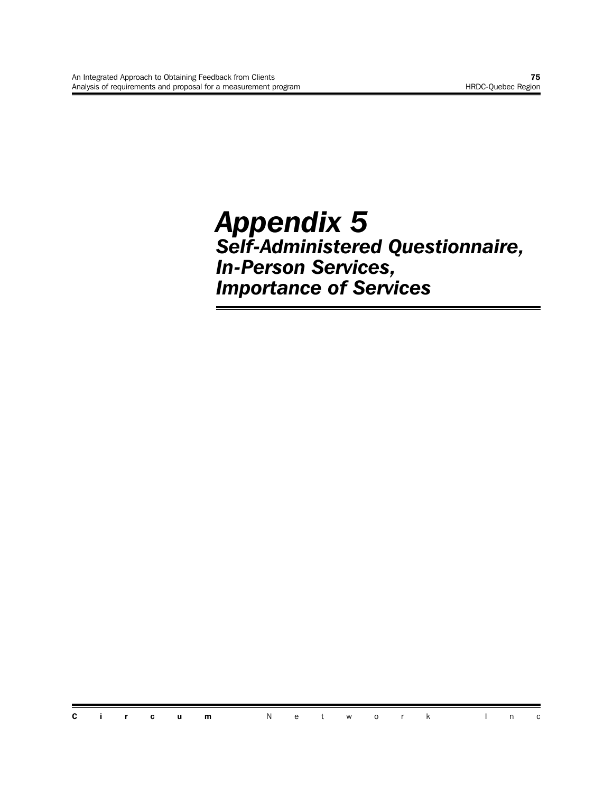## *Appendix 5 Self-Administered Questionnaire, In-Person Services, Importance of Services*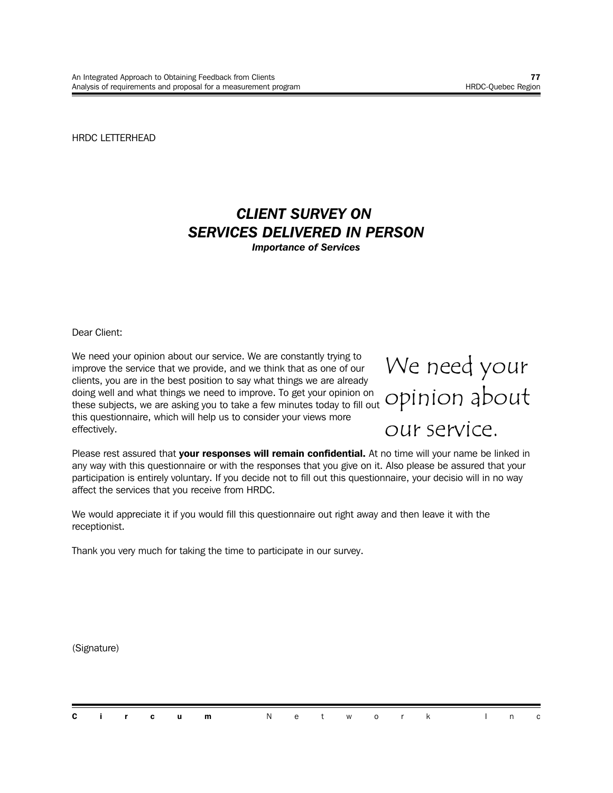HRDC LETTERHEAD

## *CLIENT SURVEY ON SERVICES DELIVERED IN PERSON*

*Importance of Services*

Dear Client:

We need your opinion about our service. We are constantly trying to improve the service that we provide, and we think that as one of our clients, you are in the best position to say what things we are already doing well and what things we need to improve. To get your opinion on these subjects, we are asking you to take a few minutes today to fill out this questionnaire, which will help us to consider your views more effectively.

We need your opinion about our service.

Please rest assured that **your responses will remain confidential.** At no time will your name be linked in any way with this questionnaire or with the responses that you give on it. Also please be assured that your participation is entirely voluntary. If you decide not to fill out this questionnaire, your decisio will in no way affect the services that you receive from HRDC.

We would appreciate it if you would fill this questionnaire out right away and then leave it with the receptionist.

Thank you very much for taking the time to participate in our survey.

(Signature)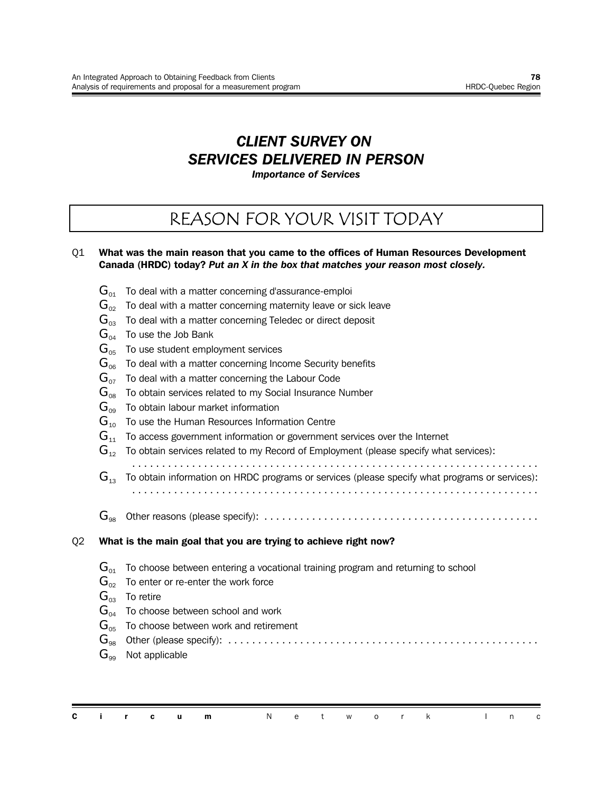## *CLIENT SURVEY ON SERVICES DELIVERED IN PERSON*

*Importance of Services*

## REASON FOR YOUR VISIT TODAY

#### Q1 **What was the main reason that you came to the offices of Human Resources Development Canada (HRDC) today?** *Put an X in the box that matches your reason most closely.*

- $\mathbf{G}_{01}$  To deal with a matter concerning d'assurance-emploi
- $\mathbf{G}_{02}$  To deal with a matter concerning maternity leave or sick leave
- $G_{03}$  To deal with a matter concerning Teledec or direct deposit
- $G_{04}$  To use the Job Bank
- $\mathbf{G}_{05}$  To use student employment services
- $G<sub>06</sub>$  To deal with a matter concerning Income Security benefits
- $G_{07}$  To deal with a matter concerning the Labour Code
- $\mathbf{G}_{\text{08}}$  To obtain services related to my Social Insurance Number
- $G_{09}$  To obtain labour market information
- $G_{10}$  To use the Human Resources Information Centre
- $G_{11}$  To access government information or government services over the Internet
- $\mathbf{G}_{12}$  To obtain services related to my Record of Employment (please specify what services):
- ....................................................................  $\mathbf{G}_{13}$  To obtain information on HRDC programs or services (please specify what programs or services): ....................................................................
- 
- G<sup>98</sup> Other reasons (please specify): ..............................................

#### Q2 **What is the main goal that you are trying to achieve right now?**

- $G_{01}$  To choose between entering a vocational training program and returning to school
- $\mathbf{G}_{02}$  To enter or re-enter the work force
- $G_{03}$  To retire
- $G_{04}$  To choose between school and work
- $G_{05}$  To choose between work and retirement

G<sup>98</sup> Other (please specify): ....................................................

 $G_{\text{eq}}$  Not applicable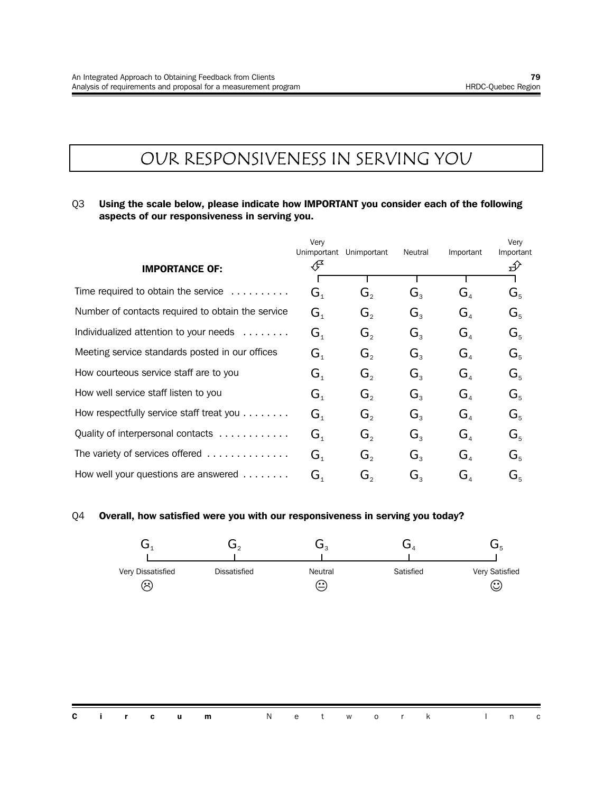## OUR RESPONSIVENESS IN SERVING YOU

#### Q3 **Using the scale below, please indicate how IMPORTANT you consider each of the following aspects of our responsiveness in serving you.**

|                                                                                                           | Very<br>Unimportant | Unimportant                 | Neutral                     | Important                            | Very<br>Important         |
|-----------------------------------------------------------------------------------------------------------|---------------------|-----------------------------|-----------------------------|--------------------------------------|---------------------------|
| <b>IMPORTANCE OF:</b>                                                                                     | Æ                   |                             |                             |                                      | $\mathcal{D}$             |
| Time required to obtain the service<br>.                                                                  | G <sub>1</sub>      | $G_{\circ}$                 | $G_{\tiny{2}}$              | $G_{\scriptscriptstyle\mathcal{A}}$  | $G_{5}$                   |
| Number of contacts required to obtain the service                                                         | G <sub>1</sub>      | $G_{\circ}$                 | $G_{\tiny{2}}$              | $G_{\scriptscriptstyle\mathcal{A}}$  | $G_{5}$                   |
| Individualized attention to your needs<br>$\alpha$ , $\alpha$ , $\alpha$ , $\alpha$ , $\alpha$ , $\alpha$ | G <sub>1</sub>      | $G_{\circ}$                 | $G_{\rm a}$                 | G <sub>4</sub>                       | $G_{5}$                   |
| Meeting service standards posted in our offices                                                           | G <sub>1</sub>      | $G_{\circ}$                 | $G_{\tiny{2}}$              | G <sub>4</sub>                       | $G_{5}$                   |
| How courteous service staff are to you                                                                    | G <sub>1</sub>      | $G_{\circ}$                 | $G_{\tiny{2}}$              | $G_{\scriptscriptstyle\mathcal{A}}$  | $G_{5}$                   |
| How well service staff listen to you                                                                      | $G_{1}$             | G,                          | $G_{\scriptscriptstyle{2}}$ | $G_{\scriptscriptstyle A}$           | $G_{5}$                   |
| How respectfully service staff treat you $\ldots \ldots$                                                  | G <sub>1</sub>      | $G_{\scriptscriptstyle{2}}$ | $G_{\mathrm{R}}$            | $\mathbf{G}_{\scriptscriptstyle{A}}$ | $G_{5}$                   |
| Quality of interpersonal contacts                                                                         | G <sub>1</sub>      | $G_{\scriptscriptstyle{2}}$ | $G_{\mathrm{R}}$            | $\mathbf{G}_{\scriptscriptstyle{A}}$ | $G_{5}$                   |
| The variety of services offered                                                                           | G <sub>1</sub>      | $\mathbf{G}_{2}$            | $G_{3}$                     | G <sub>4</sub>                       | $G_{5}$                   |
| How well your questions are answered $\ldots \ldots$                                                      | G <sub>1</sub>      | G,                          | $G_{\tiny{2}}$              | $\mathbf{G}_{\scriptscriptstyle{A}}$ | $\mathbf{G}_{\mathbf{s}}$ |

#### Q4 **Overall, how satisfied were you with our responsiveness in serving you today?**

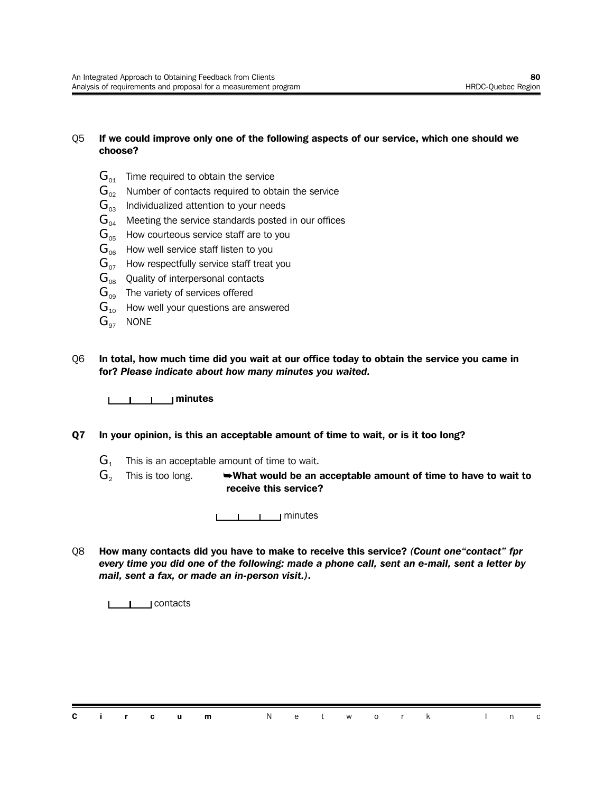#### Q5 **If we could improve only one of the following aspects of our service, which one should we choose?**

- $G_{01}$  Time required to obtain the service
- $\mathbf{G}_{02}$  Number of contacts required to obtain the service
- $G_{03}$  Individualized attention to your needs
- $G<sub>04</sub>$  Meeting the service standards posted in our offices
- $G_{\text{obs}}$  How courteous service staff are to you
- $G<sub>06</sub>$  How well service staff listen to you
- $G_{07}$  How respectfully service staff treat you
- $G_{08}$  Quality of interpersonal contacts
- $G_{09}$  The variety of services offered
- $G_{10}$  How well your questions are answered
- $G_{97}$  NONE
- Q6 **In total, how much time did you wait at our office today to obtain the service you came in for?** *Please indicate about how many minutes you waited.*



- **Q7 In your opinion, is this an acceptable amount of time to wait, or is it too long?**
	- $G_1$  This is an acceptable amount of time to wait.
	- G<sub>2</sub> This is too long.  $\rightarrow$  What would be an acceptable amount of time to have to wait to **receive this service?**

<u>LLLLLL</u> | minutes

Q8 **How many contacts did you have to make to receive this service?** *(Count one"contact" fpr every time you did one of the following: made a phone call, sent an e-mail, sent a letter by mail, sent a fax, or made an in-person visit.)***.**

<u>**Later Lines**</u> contacts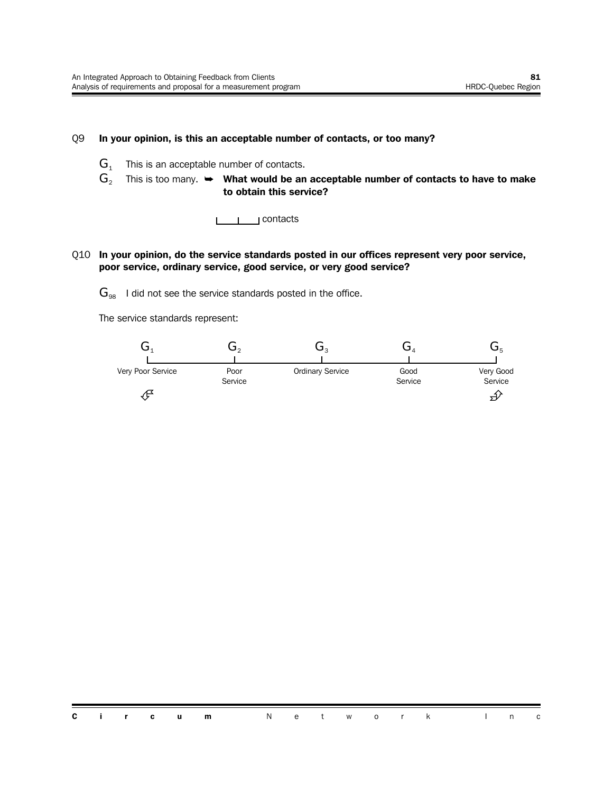#### Q9 **In your opinion, is this an acceptable number of contacts, or too many?**

- $G_1$  This is an acceptable number of contacts.
- $G_2$  This is too many.  $\rightarrow$  What would be an acceptable number of contacts to have to make **to obtain this service?**
	- <u>I</u>Contacts

#### Q10 **In your opinion, do the service standards posted in our offices represent very poor service, poor service, ordinary service, good service, or very good service?**

 $\mathbf{G}_{98}$  I did not see the service standards posted in the office.

The service standards represent:

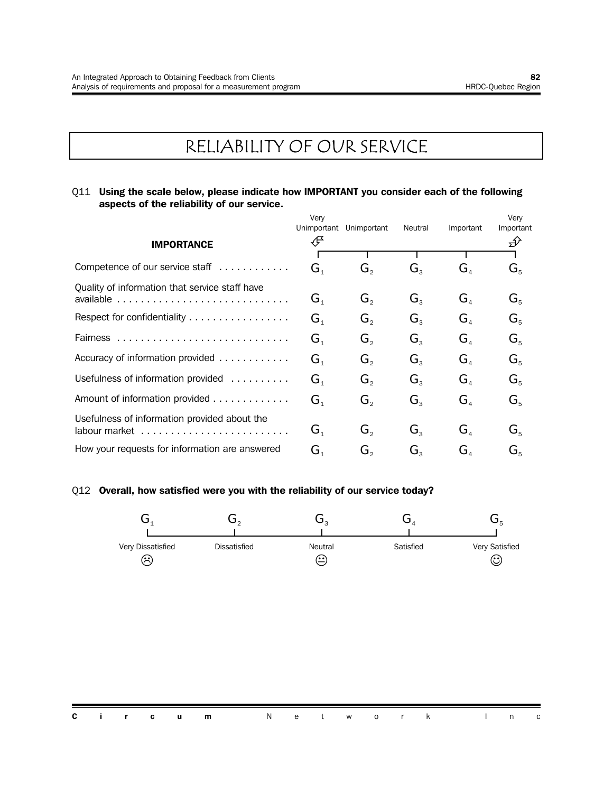## RELIABILITY OF OUR SERVICE

#### Q11 **Using the scale below, please indicate how IMPORTANT you consider each of the following aspects of the reliability of our service.**

|                                                | Very<br>Unimportant                  | Unimportant                 | Neutral                     | Important                            | Very<br>Important         |
|------------------------------------------------|--------------------------------------|-----------------------------|-----------------------------|--------------------------------------|---------------------------|
| <b>IMPORTANCE</b>                              | F                                    |                             |                             |                                      | ∯                         |
|                                                |                                      |                             |                             |                                      |                           |
| Competence of our service staff                | $\mathbf{G}_{\scriptscriptstyle{1}}$ | G,                          | $G_{\tiny{2}}$              | $\mathbf{G}_{\scriptscriptstyle{A}}$ | $\mathbf{G}_{\kappa}$     |
| Quality of information that service staff have |                                      |                             |                             |                                      |                           |
| available                                      | $\mathbf{G}_{\scriptscriptstyle{1}}$ | $G_{\scriptscriptstyle{2}}$ | $G_{\scriptscriptstyle{3}}$ | $G_{\scriptscriptstyle A}$           | $G_{5}$                   |
| Respect for confidentiality                    | $\mathbf{G}_{1}$                     | $G_{\circ}$                 | $G_{\rm a}$                 | G <sub>a</sub>                       | $G_{5}$                   |
|                                                | $\mathbf{G}_{\scriptscriptstyle{1}}$ | $G_{\circ}$                 | $G_{\rm a}$                 | G <sub>a</sub>                       | $G_{5}$                   |
| Accuracy of information provided               | $\mathbf{G}_{1}$                     | $G_{\circ}$                 | $G_{\rm a}$                 | G <sub>a</sub>                       | $G_{5}$                   |
| Usefulness of information provided             | $\mathbf{G}_{\scriptscriptstyle{1}}$ | $G_{2}$                     | $G_{\rm a}$                 | $\mathbf{G}_{\scriptscriptstyle{A}}$ | $G_{5}$                   |
| Amount of information provided                 | $\mathbf{G}_{\scriptscriptstyle{1}}$ | $G_{2}$                     | $G_{3}$                     | G <sub>4</sub>                       | $G_{5}$                   |
| Usefulness of information provided about the   |                                      |                             |                             |                                      |                           |
|                                                | $\mathbf{G}_{\scriptscriptstyle{1}}$ | $G_{\scriptscriptstyle{2}}$ | $G_{\rm a}$                 | $G_{\scriptscriptstyle{A}}$          | $G_{5}$                   |
| How your requests for information are answered | G,                                   | G,                          | $G_{\scriptscriptstyle{2}}$ | $G_{\scriptscriptstyle{A}}$          | $\mathbf{G}^{ }_{\kappa}$ |

#### Q12 **Overall, how satisfied were you with the reliability of our service today?**

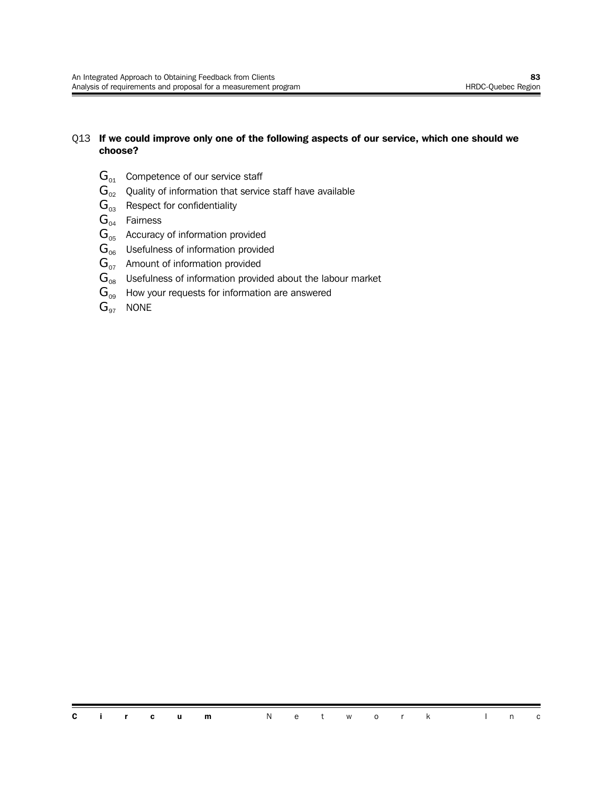#### Q13 **If we could improve only one of the following aspects of our service, which one should we choose?**

- $G_{01}$  Competence of our service staff
- $\mathbf{G}_{02}$  Quality of information that service staff have available
- $G_{03}$  Respect for confidentiality
- $G_{04}$  Fairness
- $G<sub>05</sub>$  Accuracy of information provided
- $G<sub>06</sub>$  Usefulness of information provided
- $G<sub>07</sub>$  Amount of information provided
- $\mathbf{G}_{08}$  Usefulness of information provided about the labour market
- $G_{09}$  How your requests for information are answered
- $G_{97}$  NONE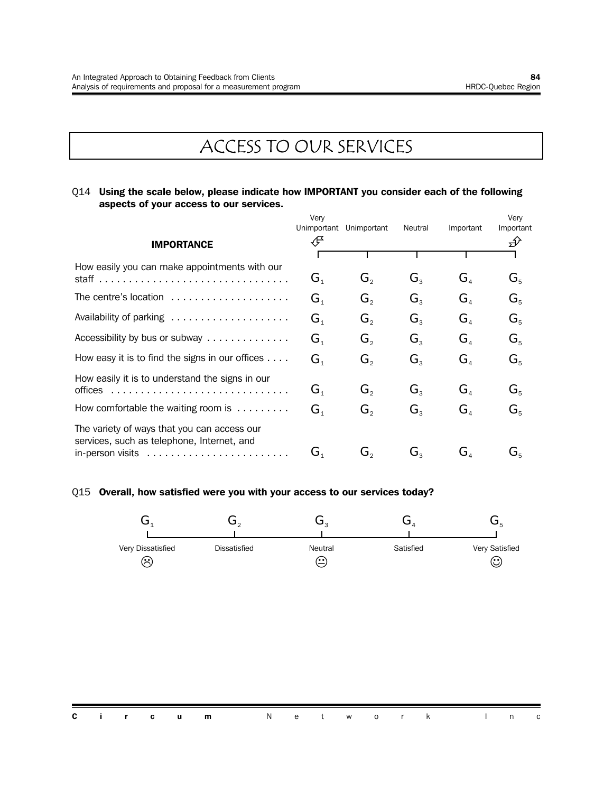## ACCESS TO OUR SERVICES

#### Q14 **Using the scale below, please indicate how IMPORTANT you consider each of the following aspects of your access to our services.**

|                                                                                                                                                                  | Very<br>Unimportant         | Unimportant | Neutral        | Important                            | Very<br>Important |
|------------------------------------------------------------------------------------------------------------------------------------------------------------------|-----------------------------|-------------|----------------|--------------------------------------|-------------------|
| <b>IMPORTANCE</b>                                                                                                                                                | Æ                           |             |                |                                      | Ð                 |
| How easily you can make appointments with our                                                                                                                    | $G_{\scriptscriptstyle{1}}$ | G,          | $G_{\rm a}$    | $G_{\scriptscriptstyle\mathcal{A}}$  | $G_{5}$           |
| The centre's location                                                                                                                                            | $G_{\scriptscriptstyle 1}$  | $G_{\circ}$ | $G_{\tiny{2}}$ | $G_{\scriptscriptstyle A}$           | $G_{\kappa}$      |
| Availability of parking                                                                                                                                          | G <sub>1</sub>              | G,          | $G_{\tiny{2}}$ | G <sub>A</sub>                       | $G_{5}$           |
| Accessibility by bus or subway                                                                                                                                   | G <sub>1</sub>              | G,          | $G_{\tiny{2}}$ | G <sub>A</sub>                       | $G_{5}$           |
| How easy it is to find the signs in our offices $\dots$ .                                                                                                        | $G_{1}$                     | G,          | $G_{3}$        | G <sub>4</sub>                       | $G_{5}$           |
| How easily it is to understand the signs in our<br>offices                                                                                                       | $G_{\scriptscriptstyle{1}}$ | $G_{\circ}$ | $G_{3}$        | G <sub>4</sub>                       | $G_{5}$           |
| How comfortable the waiting room is $\dots\dots\dots$                                                                                                            | $G_{\scriptscriptstyle{1}}$ | G,          | $G_{\rm a}$    | $G_{\scriptscriptstyle{A}}$          | $G_{5}$           |
| The variety of ways that you can access our<br>services, such as telephone, Internet, and<br>in-person visits $\ldots \ldots \ldots \ldots \ldots \ldots \ldots$ | $G_{1}$                     | G,          | G,             | $\mathbf{G}_{\scriptscriptstyle{A}}$ | G,                |

#### Q15 **Overall, how satisfied were you with your access to our services today?**

| Very Dissatisfied | <b>Dissatisfied</b> | Neutral | Satisfied | Very Satisfied |
|-------------------|---------------------|---------|-----------|----------------|
| ′…                |                     | ٬.      |           | ٬.<br>ש        |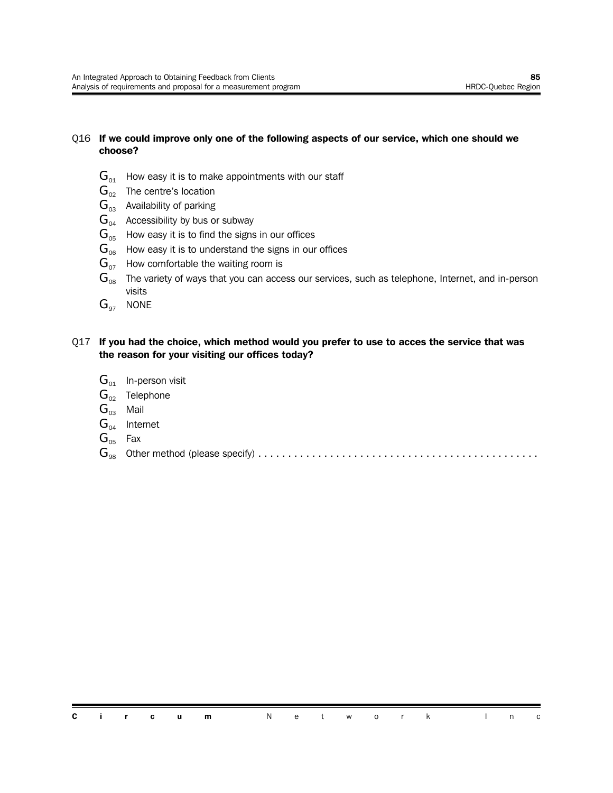#### Q16 **If we could improve only one of the following aspects of our service, which one should we choose?**

- $\mathbf{G}_{01}$  How easy it is to make appointments with our staff
- $\mathbf{G}_{02}$  The centre's location
- $\mathbf{G}_{03}$  Availability of parking
- $G_{04}$  Accessibility by bus or subway
- $G_{05}$  How easy it is to find the signs in our offices
- $G<sub>06</sub>$  How easy it is to understand the signs in our offices
- $G_{07}$  How comfortable the waiting room is
- $\mathbf{G}_{\text{o}s}$  The variety of ways that you can access our services, such as telephone, Internet, and in-person visits
- $G_{97}$  NONE

#### Q17 **If you had the choice, which method would you prefer to use to acces the service that was the reason for your visiting our offices today?**

- $G_{01}$  In-person visit
- $G_{02}$  Telephone
- $G_{03}$  Mail
- $G_{04}$  Internet
- $G_{05}$  Fax
- G<sup>98</sup> Other method (please specify) ...............................................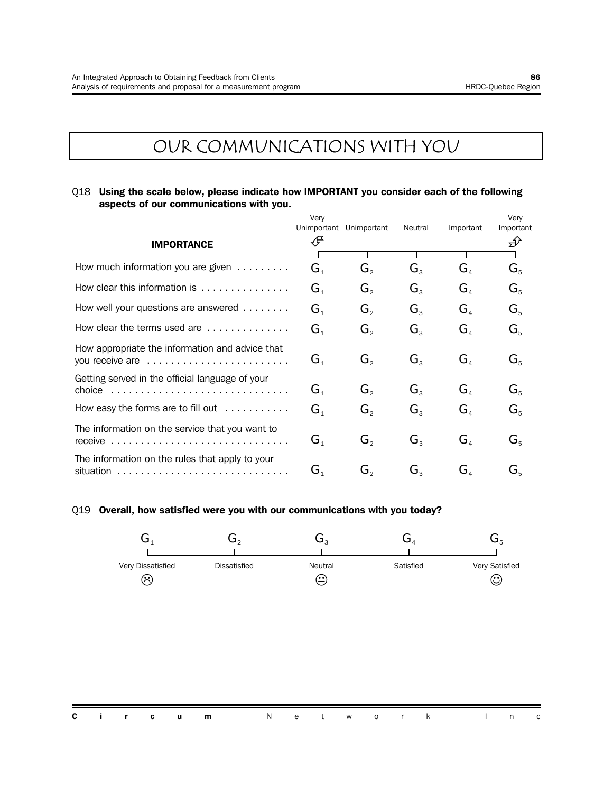## OUR COMMUNICATIONS WITH YOU

#### Q18 **Using the scale below, please indicate how IMPORTANT you consider each of the following aspects of our communications with you.**

|                                                                                                                            | Very<br>Unimportant         | Unimportant | Neutral        | Important                            | Very<br>Important |
|----------------------------------------------------------------------------------------------------------------------------|-----------------------------|-------------|----------------|--------------------------------------|-------------------|
| <b>IMPORTANCE</b>                                                                                                          | ∉                           |             |                |                                      | ∯                 |
| How much information you are given $\dots\dots\dots$                                                                       | $G_{\scriptscriptstyle{1}}$ | $G_{\circ}$ | $G_{3}$        | $G_{\scriptscriptstyle A}$           | $G_{5}$           |
| How clear this information is                                                                                              | G <sub>1</sub>              | $G_{2}$     | $G_{\rm a}$    | G <sub>a</sub>                       | $G_{5}$           |
| How well your questions are answered                                                                                       | $G_{1}$                     | $G_{\rm o}$ | $G_{\rm a}$    | G <sub>4</sub>                       | $G_{5}$           |
| How clear the terms used are                                                                                               | G <sub>1</sub>              | $G_{\circ}$ | $G_{\rm a}$    | $\mathbf{G}_{\scriptscriptstyle{A}}$ | $G_{5}$           |
| How appropriate the information and advice that<br>you receive are                                                         | G <sub>1</sub>              | $G_{2}$     | $G_{3}$        | $\mathbf{G}_4$                       | $G_{5}$           |
| Getting served in the official language of your<br>choice $\ldots \ldots \ldots \ldots \ldots \ldots \ldots \ldots \ldots$ | $G_{\scriptscriptstyle{1}}$ | $G_{2}$     | $G_{\rm a}$    | $G_{\scriptscriptstyle{A}}$          | $G_{5}$           |
| How easy the forms are to fill out                                                                                         | G <sub>1</sub>              | $G_{2}$     | $G_{\rm a}$    | G <sub>4</sub>                       | $G_{5}$           |
| The information on the service that you want to<br>receive                                                                 | $G_{1}$                     | $G_{2}$     | $G_{\rm a}$    | G <sub>4</sub>                       | $G_{5}$           |
| The information on the rules that apply to your                                                                            | $G_{1}$                     | $G_{\circ}$ | $G_{\tiny{2}}$ | $G_{\scriptscriptstyle A}$           | G,                |

#### Q19 **Overall, how satisfied were you with our communications with you today?**

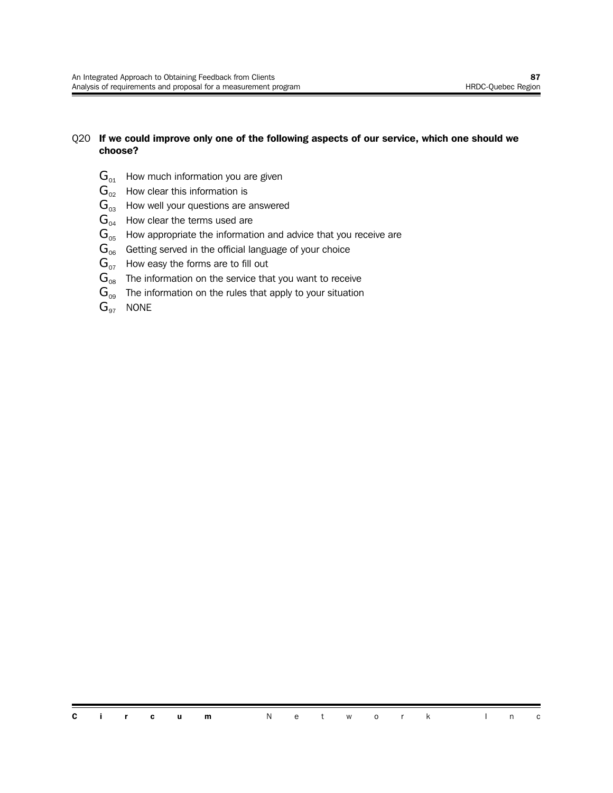#### Q20 **If we could improve only one of the following aspects of our service, which one should we choose?**

- $G_{01}$  How much information you are given
- $\mathbf{G}_{02}$  How clear this information is
- $\mathbf{G}_{03}$  How well your questions are answered
- $\mathbf{G}_{04}$  How clear the terms used are
- $G<sub>05</sub>$  How appropriate the information and advice that you receive are
- $G<sub>06</sub>$  Getting served in the official language of your choice
- $G_{07}$  How easy the forms are to fill out
- $\mathbf{G}_{08}$  The information on the service that you want to receive
- $G_{09}$  The information on the rules that apply to your situation
- $G_{97}$  NONE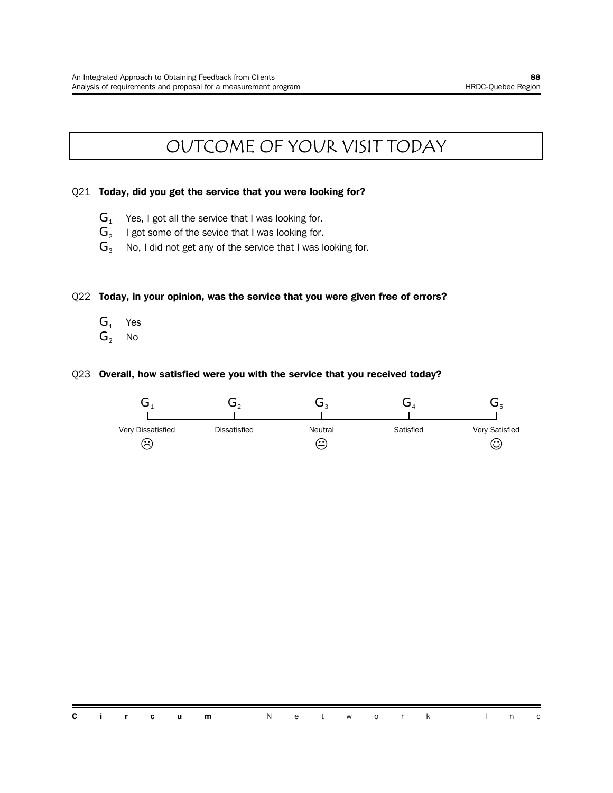## OUTCOME OF YOUR VISIT TODAY

#### Q21 **Today, did you get the service that you were looking for?**

- $G_1$  Yes, I got all the service that I was looking for.
- $\mathbf{G}_2$   $\;\;$  I got some of the sevice that I was looking for.
- $G_3$  No, I did not get any of the service that I was looking for.

#### Q22 **Today, in your opinion, was the service that you were given free of errors?**

- $G_1$  Yes
- $G_2$  No

#### Q23 **Overall, how satisfied were you with the service that you received today?**

| Very Dissatisfied | Dissatisfied | Neutral | Satisfied | Very Satisfied |
|-------------------|--------------|---------|-----------|----------------|
| $\sim$            |              | $\sim$  |           | (۰۰<br>ש       |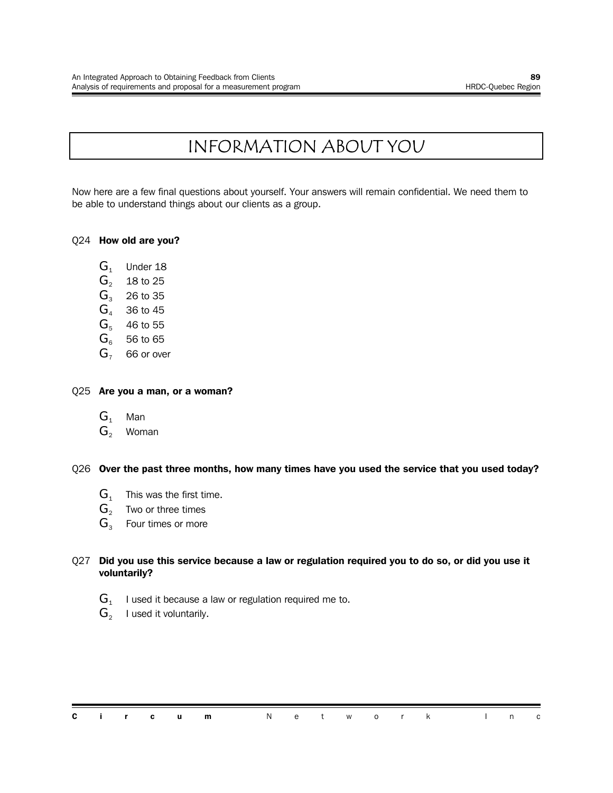## INFORMATION ABOUT YOU

Now here are a few final questions about yourself. Your answers will remain confidential. We need them to be able to understand things about our clients as a group.

#### Q24 **How old are you?**

- $G<sub>1</sub>$  Under 18
- $G_2$  18 to 25<br> $G_3$  26 to 35
- 26 to 35
- $G<sub>4</sub>$  36 to 45
- $G<sub>5</sub>$  46 to 55
- $G_6$  56 to 65
- $G<sub>7</sub>$  66 or over

#### Q25 **Are you a man, or a woman?**

- $G_1$  Man
- $G_2$  Woman

#### Q26 **Over the past three months, how many times have you used the service that you used today?**

- $G_1$  This was the first time.
- $G<sub>2</sub>$  Two or three times
- $G_3$  Four times or more

#### Q27 **Did you use this service because a law or regulation required you to do so, or did you use it voluntarily?**

- ${\bf G}_{\scriptscriptstyle 1}^-$  I used it because a law or regulation required me to.
- $\mathbf{G}_2$  I used it voluntarily.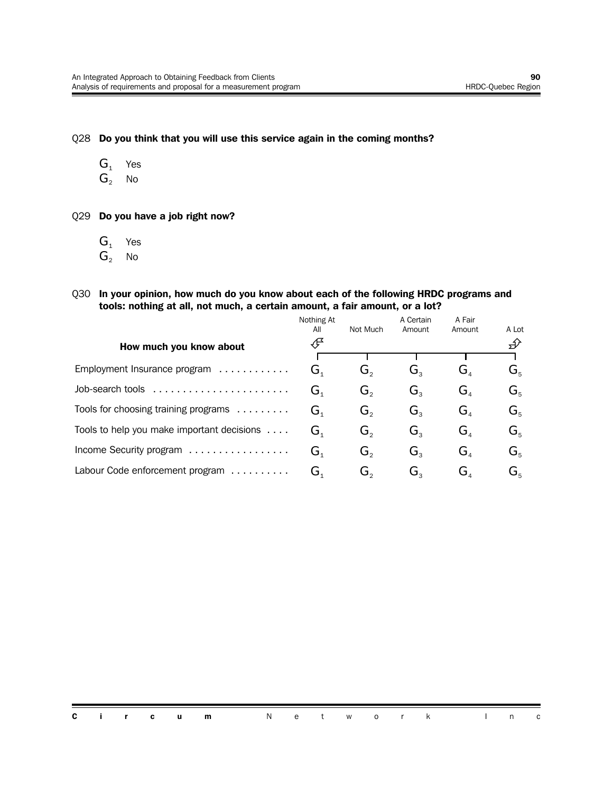Q28 **Do you think that you will use this service again in the coming months?**

- $G_1$  Yes
- $G_2$  No

Q29 **Do you have a job right now?**

- $G_1$  Yes
- $G_2$  No
- Q30 **In your opinion, how much do you know about each of the following HRDC programs and tools: nothing at all, not much, a certain amount, a fair amount, or a lot?**

|                                            | Nothing At<br>All                    | Not Much                    | A Certain<br>Amount         | A Fair<br>Amount                     | A Lot   |
|--------------------------------------------|--------------------------------------|-----------------------------|-----------------------------|--------------------------------------|---------|
| How much you know about                    | ∯                                    |                             |                             |                                      | ∯       |
|                                            |                                      |                             |                             |                                      |         |
| Employment Insurance program               | G,                                   | G.                          | Ġ,                          | $\mathbf{G}_{\scriptscriptstyle{A}}$ | $G_{5}$ |
| Job-search tools                           | $\mathbf{G}_1$                       | G,                          | $G_{\scriptscriptstyle{2}}$ | G,                                   | $G_{5}$ |
| Tools for choosing training programs       | $\mathbf{G}_{\scriptscriptstyle{1}}$ | $G_{2}$                     | $G_{\rm a}$                 | $G_{\scriptscriptstyle{A}}$          | $G_{5}$ |
| Tools to help you make important decisions | $\mathbf{G}_{\scriptscriptstyle{1}}$ | $G_{\scriptscriptstyle{2}}$ | $G_{\scriptscriptstyle{2}}$ | $G_{\scriptscriptstyle A}$           | $G_{5}$ |
| Income Security program                    | $\mathbf{G}_{\scriptscriptstyle{1}}$ | Ġ,                          | $G_{\rm a}$                 | G,                                   | $G_{5}$ |
| Labour Code enforcement program            | G,                                   | G。                          | G,                          | G,                                   | $G_{5}$ |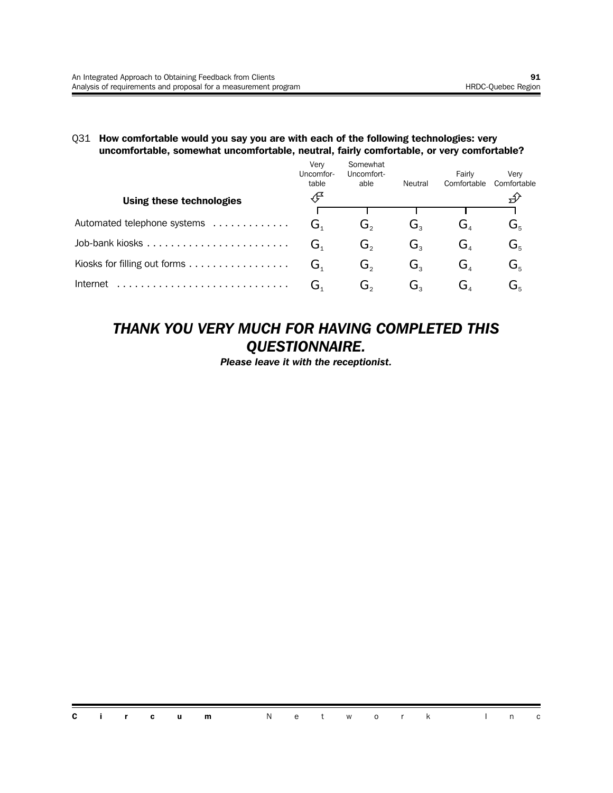#### Q31 **How comfortable would you say you are with each of the following technologies: very uncomfortable, somewhat uncomfortable, neutral, fairly comfortable, or very comfortable?**

|                              | Verv<br>Uncomfor-<br>table | Somewhat<br>Uncomfort-<br>able | Neutral | Fairly<br>Comfortable | Verv<br>Comfortable       |
|------------------------------|----------------------------|--------------------------------|---------|-----------------------|---------------------------|
| Using these technologies     |                            |                                |         |                       |                           |
| Automated telephone systems  | G.                         | G،                             | G。      | ى ت                   | G,                        |
|                              | ِت                         | G。                             | G,      | G.                    | $\mathbf{G}_{\mathbf{s}}$ |
| Kiosks for filling out forms | G.                         | G,                             | G,      | G,                    | $\mathbf{G}_{\mathbf{s}}$ |
| Internet                     | ىر                         | ەت                             | G。      | ⊿ل                    | ىر                        |

### *THANK YOU VERY MUCH FOR HAVING COMPLETED THIS QUESTIONNAIRE.*

*Please leave it with the receptionist.*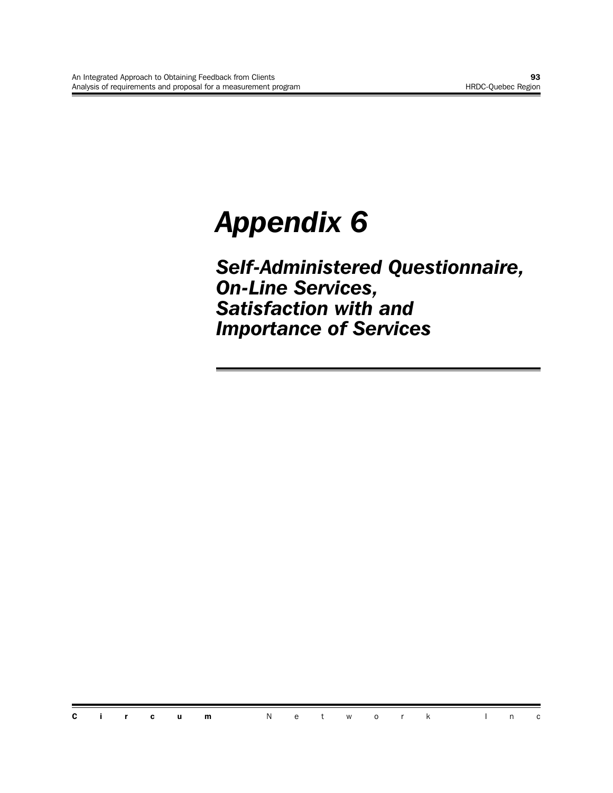## *Appendix 6*

*Self-Administered Questionnaire, On-Line Services, Satisfaction with and Importance of Services*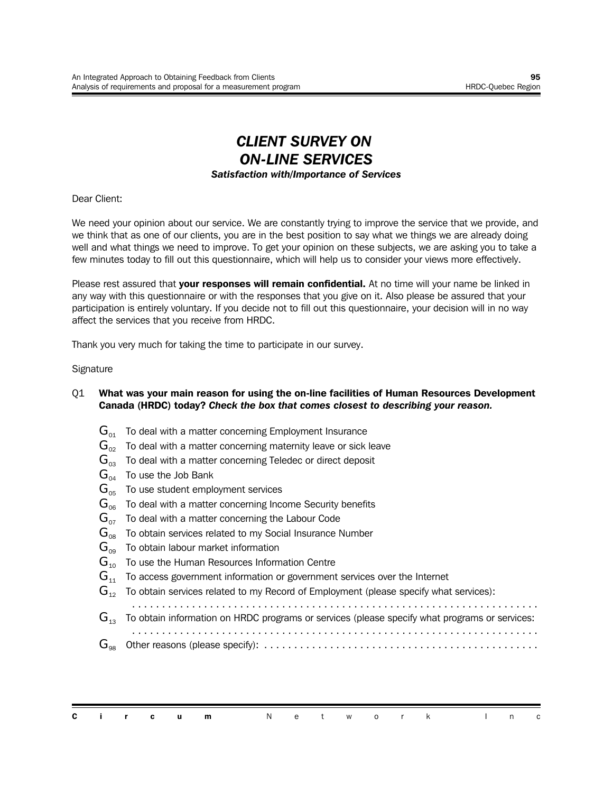### *CLIENT SURVEY ON ON-LINE SERVICES Satisfaction with/Importance of Services*

Dear Client:

We need your opinion about our service. We are constantly trying to improve the service that we provide, and we think that as one of our clients, you are in the best position to say what we things we are already doing well and what things we need to improve. To get your opinion on these subjects, we are asking you to take a few minutes today to fill out this questionnaire, which will help us to consider your views more effectively.

Please rest assured that **your responses will remain confidential.** At no time will your name be linked in any way with this questionnaire or with the responses that you give on it. Also please be assured that your participation is entirely voluntary. If you decide not to fill out this questionnaire, your decision will in no way affect the services that you receive from HRDC.

Thank you very much for taking the time to participate in our survey.

#### **Signature**

#### Q1 **What was your main reason for using the on-line facilities of Human Resources Development Canada (HRDC) today?** *Check the box that comes closest to describing your reason.*

- $\mathbf{G}_{\alpha1}$  To deal with a matter concerning Employment Insurance
- $\mathbf{G}_{02}$  To deal with a matter concerning maternity leave or sick leave
- $\mathbf{G}_{03}$  To deal with a matter concerning Teledec or direct deposit
- $G_{04}$  To use the Job Bank
- $\mathbf{G}_{05}$  To use student employment services
- $\mathbf{G}_{\text{06}}$  To deal with a matter concerning Income Security benefits
- $\mathbf{G}_{07}$  To deal with a matter concerning the Labour Code
- $\mathbf{G}_{\text{08}}$  To obtain services related to my Social Insurance Number
- $G_{\infty}$  To obtain labour market information
- $G_{10}$  To use the Human Resources Information Centre
- $G_{11}$  To access government information or government services over the Internet

 $\mathbf{G}_{12}$  To obtain services related to my Record of Employment (please specify what services):

- ....................................................................
- $\mathbf{G}_{13}$  To obtain information on HRDC programs or services (please specify what programs or services:

.................................................................... G<sup>98</sup> Other reasons (please specify): ..............................................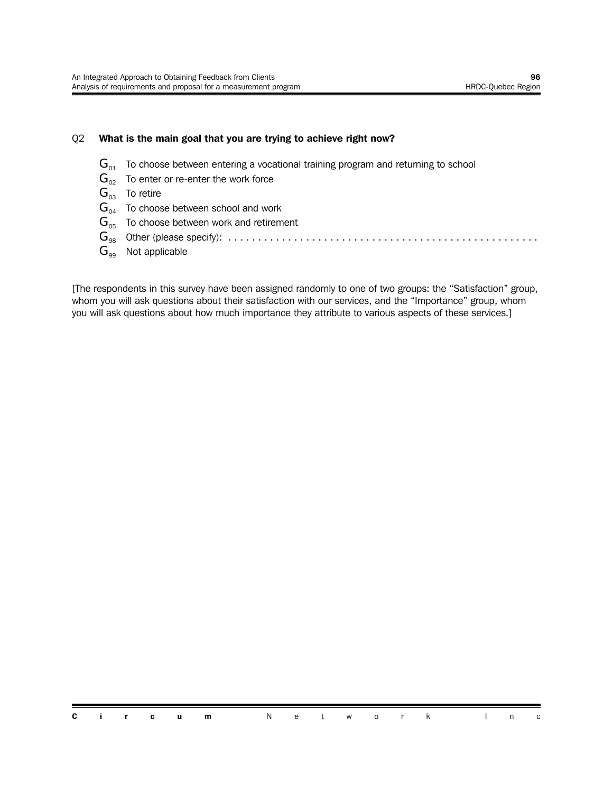#### Q2 **What is the main goal that you are trying to achieve right now?**

- $\mathbf{G}_{01}$  To choose between entering a vocational training program and returning to school
- $\mathbf{G}_{02}$  To enter or re-enter the work force
- $G_{03}$  To retire
- $\mathbf{G}_{04}$  To choose between school and work
- $G<sub>05</sub>$  To choose between work and retirement
- G<sup>98</sup> Other (please specify): ....................................................
- $\mathbf{G}_{99}$  Not applicable

[The respondents in this survey have been assigned randomly to one of two groups: the "Satisfaction" group, whom you will ask questions about their satisfaction with our services, and the "Importance" group, whom you will ask questions about how much importance they attribute to various aspects of these services.]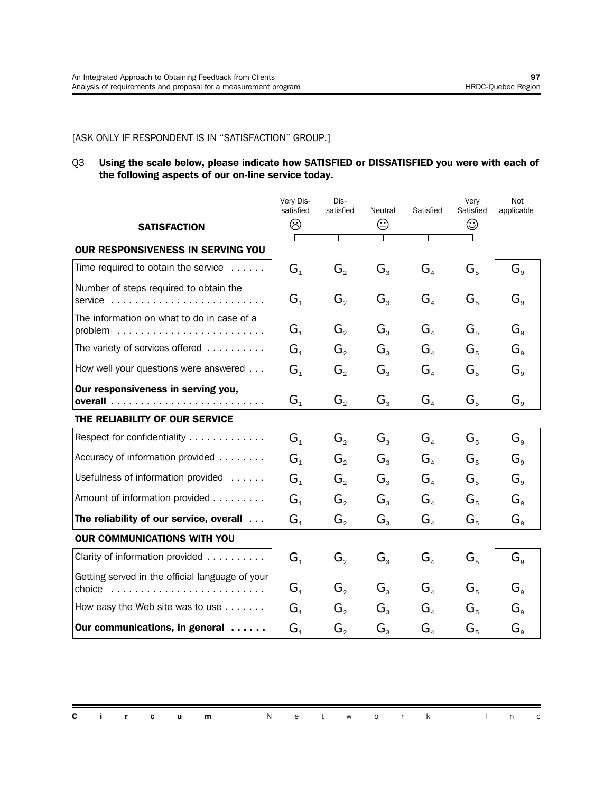#### [ASK ONLY IF RESPONDENT IS IN "SATISFACTION" GROUP.]

#### Q3 **Using the scale below, please indicate how SATISFIED or DISSATISFIED you were with each of the following aspects of our on-line service today.**

|                                                                                                              | Very Dis-<br>satisfied | Dis-<br>satisfied           | Neutral        | Satisfied                           | Very<br>Satisfied | Not<br>applicable                |
|--------------------------------------------------------------------------------------------------------------|------------------------|-----------------------------|----------------|-------------------------------------|-------------------|----------------------------------|
| <b>SATISFACTION</b>                                                                                          | ☺                      |                             | ☺              |                                     | ☺                 |                                  |
| <b>OUR RESPONSIVENESS IN SERVING YOU</b>                                                                     |                        |                             |                |                                     |                   |                                  |
| Time required to obtain the service $\dots$ .                                                                | G <sub>1</sub>         | $G_{2}$                     | $G_{3}$        | G <sub>4</sub>                      | $G_{5}$           | $G_{\rm g}$                      |
| Number of steps required to obtain the<br>service                                                            | $G_{1}$                | G,                          | $G_{3}$        | $G_{\scriptscriptstyle\mathcal{A}}$ | $G_{5}$           | $G_{\rm g}$                      |
| The information on what to do in case of a                                                                   | G <sub>1</sub>         | $G_{2}$                     | $G_{3}$        | G <sub>4</sub>                      | $G_{5}$           | $G_{\rm g}$                      |
| The variety of services offered                                                                              | $G_{1}$                | $G_{\scriptscriptstyle{2}}$ | $G_{\tiny{2}}$ | $G_{\scriptscriptstyle\mathcal{A}}$ | $G_{5}$           | $G_{\scriptscriptstyle{\alpha}}$ |
| How well your questions were answered                                                                        | G <sub>1</sub>         | G,                          | $G_{3}$        | $G_{\scriptscriptstyle{A}}$         | $G_{5}$           | $G_{\scriptscriptstyle{9}}$      |
| Our responsiveness in serving you,                                                                           | G <sub>1</sub>         | $G_{2}$                     | $G_{3}$        | G <sub>4</sub>                      | $G_{5}$           | $G_{\scriptscriptstyle{9}}$      |
| THE RELIABILITY OF OUR SERVICE                                                                               |                        |                             |                |                                     |                   |                                  |
| Respect for confidentiality                                                                                  | G <sub>1</sub>         | $G_{\circ}$                 | $G_{3}$        | G <sub>a</sub>                      | $G_{5}$           | $G_{\circ}$                      |
| Accuracy of information provided                                                                             | G <sub>1</sub>         | $G_{\scriptscriptstyle{2}}$ | $G_{3}$        | $G_{\scriptscriptstyle\mathcal{A}}$ | $G_{5}$           | $G_{\mathrm{a}}$                 |
| Usefulness of information provided                                                                           | G <sub>1</sub>         | $G_{2}$                     | $G_{3}$        | $G_{\scriptscriptstyle\mathcal{A}}$ | $G_{5}$           | $G_{\rm g}$                      |
| Amount of information provided                                                                               | G <sub>1</sub>         | $G_{\scriptscriptstyle{2}}$ | $G_{3}$        | $G_{\scriptscriptstyle\mathcal{A}}$ | $G_{5}$           | $G_{\rm g}$                      |
| The reliability of our service, overall                                                                      | $G_{1}$                | $G_{2}$                     | $G_{3}$        | G <sub>4</sub>                      | $G_{5}$           | $G_{\rm s}$                      |
| OUR COMMUNICATIONS WITH YOU                                                                                  |                        |                             |                |                                     |                   |                                  |
| Clarity of information provided                                                                              | G <sub>1</sub>         | $G_{2}$                     | $G_{3}$        | G <sub>4</sub>                      | $G_{5}$           | $G_{\rm s}$                      |
| Getting served in the official language of your<br>choice $\ldots \ldots \ldots \ldots \ldots \ldots \ldots$ | $G_{1}$                | $G_{\scriptscriptstyle{2}}$ | $G_{3}$        | G <sub>4</sub>                      | $G_{5}$           | $G_{\circ}$                      |
| How easy the Web site was to use                                                                             | G <sub>1</sub>         | $G_{2}$                     | $G_{3}$        | $G_{\scriptscriptstyle\mathcal{A}}$ | $G_{5}$           | $G_{\rm g}$                      |
| Our communications, in general                                                                               | G <sub>1</sub>         | G,                          | $G_{3}$        | $G_{\scriptscriptstyle{A}}$         | $G_{5}$           | $G_{\rm g}$                      |

|  |  | <b>Circum</b> Network Inc |  |  |  |  |  |  |
|--|--|---------------------------|--|--|--|--|--|--|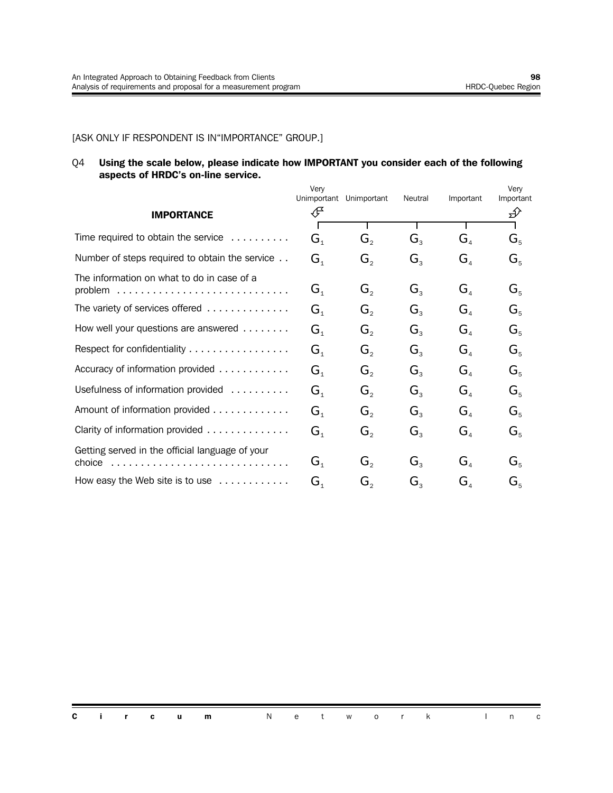#### [ASK ONLY IF RESPONDENT IS IN"IMPORTANCE" GROUP.]

#### Q4 **Using the scale below, please indicate how IMPORTANT you consider each of the following aspects of HRDC's on-line service.**

|                                                            | Very           |                             |                |                                      | Very      |
|------------------------------------------------------------|----------------|-----------------------------|----------------|--------------------------------------|-----------|
|                                                            | Unimportant    | Unimportant                 | Neutral        | Important                            | Important |
| <b>IMPORTANCE</b>                                          | ∉              |                             |                |                                      | ∯∕        |
|                                                            |                |                             |                |                                      |           |
| Time required to obtain the service $\ldots \ldots \ldots$ | G <sub>1</sub> | G,                          | $G_{3}$        | $\mathbf{G}_4$                       | $G_{5}$   |
| Number of steps required to obtain the service             | G <sub>1</sub> | $G_{2}$                     | $G_{3}$        | $\mathbf{G}_4$                       | $G_{5}$   |
| The information on what to do in case of a                 |                |                             |                |                                      |           |
|                                                            | $G_{1}$        | $G_{\scriptscriptstyle{2}}$ | $G_{\tiny{2}}$ | $G_{\scriptscriptstyle\mathcal{A}}$  | $G_{5}$   |
| The variety of services offered                            | G <sub>1</sub> | $G_{\scriptscriptstyle{2}}$ | $G_{\tiny{2}}$ | $\mathbf{G}_{\scriptscriptstyle{A}}$ | $G_{5}$   |
| How well your questions are answered                       | G <sub>1</sub> | $G_{\scriptscriptstyle{2}}$ | $G_{\tiny{2}}$ | $\mathbf{G}_{\scriptscriptstyle{A}}$ | $G_{5}$   |
| Respect for confidentiality                                | G <sub>1</sub> | $G_{\scriptscriptstyle{2}}$ | $G_{\tiny{2}}$ | $G_{\scriptscriptstyle\mathcal{A}}$  | $G_{5}$   |
| Accuracy of information provided                           | G <sub>1</sub> | $G_{\scriptscriptstyle{2}}$ | $G_{\tiny{2}}$ | $\mathbf{G}_{\scriptscriptstyle{A}}$ | $G_{5}$   |
| Usefulness of information provided                         | G <sub>1</sub> | $G_{\scriptscriptstyle{2}}$ | $G_{\tiny{2}}$ | $G_{\scriptscriptstyle\mathcal{A}}$  | $G_{5}$   |
| Amount of information provided                             | G <sub>1</sub> | $G_{\scriptscriptstyle{2}}$ | $G_{\tiny{2}}$ | $\mathbf{G}_{\scriptscriptstyle{A}}$ | $G_{5}$   |
| Clarity of information provided                            | G <sub>1</sub> | $G_{2}$                     | $G_{3}$        | $\mathbf{G}_4$                       | $G_{5}$   |
| Getting served in the official language of your            |                |                             |                |                                      |           |
|                                                            | $G_{1}$        | $G_{2}$                     | $G_{\tiny{2}}$ | $G_{\scriptscriptstyle{A}}$          | $G_{5}$   |
| How easy the Web site is to use $\ldots \ldots \ldots$     | G <sub>1</sub> | G,                          | $G_{\tiny{2}}$ | $G_{\scriptscriptstyle A}$           | $G_{5}$   |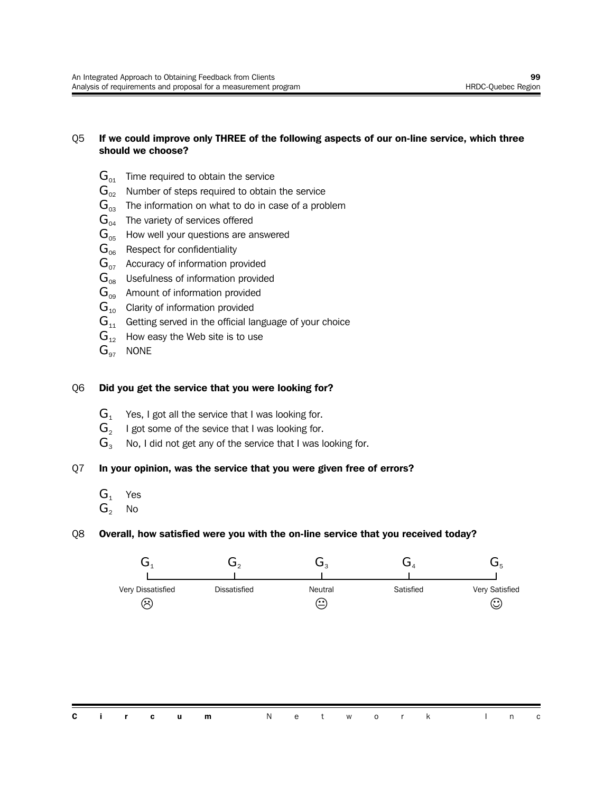#### Q5 **If we could improve only THREE of the following aspects of our on-line service, which three should we choose?**

- $G_{01}$  Time required to obtain the service
- $\mathbf{G}_{02}$  Number of steps required to obtain the service
- $\mathbf{G}_{03}$  The information on what to do in case of a problem
- $G<sub>04</sub>$  The variety of services offered
- $G_{\text{de}}$  How well your questions are answered
- $G<sub>06</sub>$  Respect for confidentiality
- $G_{07}$  Accuracy of information provided
- $\mathbf{G}_{\text{08}}$  Usefulness of information provided
- $G_{09}$  Amount of information provided
- $G_{10}$  Clarity of information provided
- $G_{11}$  Getting served in the official language of your choice
- $G_{12}$  How easy the Web site is to use
- $G_{97}$  NONE

#### Q6 **Did you get the service that you were looking for?**

- $G_1$  Yes, I got all the service that I was looking for.
- $G_{\circ}$ I got some of the sevice that I was looking for.
- $G_3$  No, I did not get any of the service that I was looking for.

#### Q7 **In your opinion, was the service that you were given free of errors?**

- $G_1$  Yes
- $G_2$  No

#### Q8 **Overall, how satisfied were you with the on-line service that you received today?**

| Very Dissatisfied | <b>Dissatisfied</b> | Neutral | Satisfied | Very Satisfied |
|-------------------|---------------------|---------|-----------|----------------|
| ౫                 |                     | (∙∙)    |           | $\odot$        |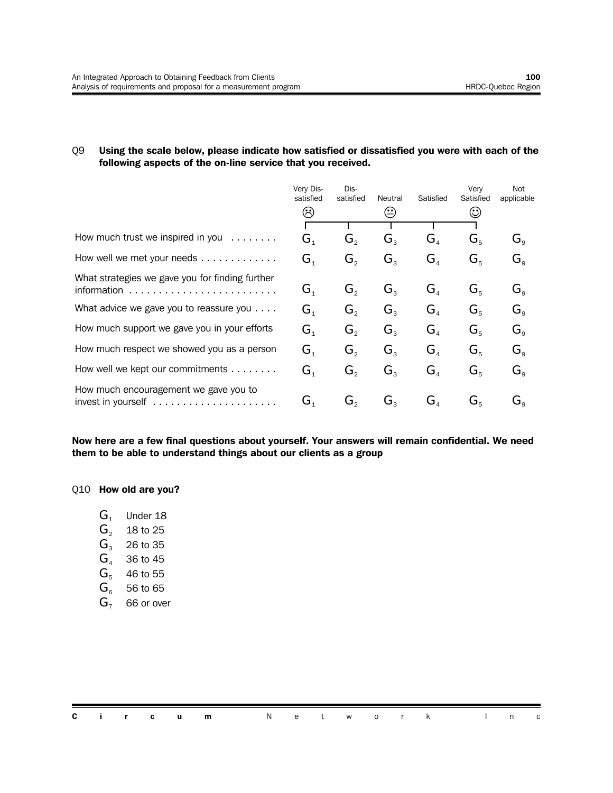#### Q9 **Using the scale below, please indicate how satisfied or dissatisfied you were with each of the following aspects of the on-line service that you received.**

|                                                                                           | Very Dis-<br>satisfied<br>$\left(\ddot{\cdot}\right)$ | Dis-<br>satisfied           | Neutral<br>$\odot$          | Satisfied                            | Very<br>Satisfied<br>$\odot$  | Not<br>applicable                         |
|-------------------------------------------------------------------------------------------|-------------------------------------------------------|-----------------------------|-----------------------------|--------------------------------------|-------------------------------|-------------------------------------------|
|                                                                                           |                                                       |                             |                             |                                      |                               |                                           |
| How much trust we inspired in you<br>$\alpha$ , $\alpha$ , $\alpha$ , $\alpha$ , $\alpha$ | $\mathbf{G}_{\scriptscriptstyle{1}}$                  | G,                          | $\mathbf{G}^{\mathrm{s}}$   | $\mathbf{G}_{\scriptscriptstyle{A}}$ | $\mathbf{G}^{\varepsilon}$    | $\mathbf{G}_{\mathrm{s}}$                 |
| How well we met your needs $\ldots \ldots \ldots$                                         | $\mathbf{G}_{\scriptscriptstyle{1}}$                  | G,                          | $G_{\tiny{2}}$              | $G_{\scriptscriptstyle A}$           | $\mathbf{G}^{\prime}$         | $\mathbf{G}_{\text{\tiny a}}$             |
| What strategies we gave you for finding further                                           |                                                       |                             |                             |                                      |                               |                                           |
|                                                                                           | G,                                                    | G,                          | $G_{\rm a}$                 | $G_{\scriptscriptstyle\varDelta}$    | $G_{\kappa}$                  | $G_{\circ}$                               |
| What advice we gave you to reassure you $\dots$ .                                         | $\mathbf{G}_{\scriptscriptstyle{1}}$                  | $G_{\scriptscriptstyle{2}}$ | $G_{\tiny{2}}$              | G <sub>a</sub>                       | $\mathbf{G}^{\varepsilon}$    | $G_{\circ}$                               |
| How much support we gave you in your efforts                                              | $\mathbf{G}_{\scriptscriptstyle{1}}$                  | G,                          | $G_{\scriptscriptstyle{2}}$ | $G_{\scriptscriptstyle A}$           | $G_{\kappa}$                  | $\mathbf{G}_{\mathsf{a}}$                 |
| How much respect we showed you as a person                                                | $\mathbf{G}_{\scriptscriptstyle{1}}$                  | G,                          | $G_{\mathrm{R}}$            | G <sub>a</sub>                       | $G_{\scriptscriptstyle\rm E}$ | $G_{\alpha}$                              |
| How well we kept our commitments                                                          | $\mathbf{G}_{\scriptscriptstyle{1}}$                  | G,                          | $\mathbf{G}^{\mathrm{s}}$   | $\mathbf{G}_{\scriptscriptstyle{A}}$ | $\mathbf{G}_{\mathbf{s}}$     | $G_{\scriptscriptstyle{\alpha}}$          |
| How much encouragement we gave you to                                                     | $\mathbf{G}_{\scriptscriptstyle{4}}$                  | G,                          | G,                          | G,                                   | G.                            | $\mathbf{G}_{\scriptscriptstyle{\alpha}}$ |

**Now here are a few final questions about yourself. Your answers will remain confidential. We need them to be able to understand things about our clients as a group**

#### Q10 **How old are you?**

- $G_1$  Under 18
- $G_2$  18 to 25
- $G_3$  26 to 35
- $G<sub>4</sub>$  36 to 45
- $G<sub>5</sub>$  46 to 55
- $G<sub>6</sub>$  56 to 65
- $G<sub>7</sub>$  66 or over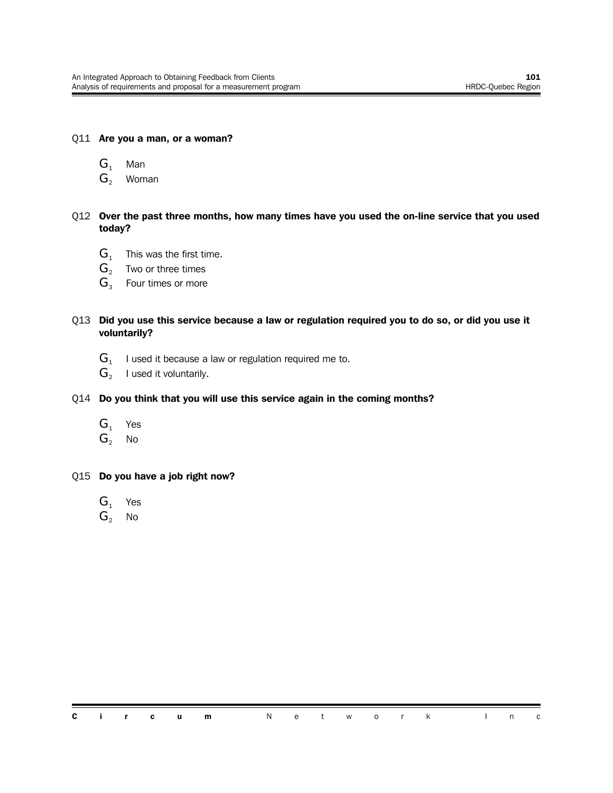#### Q11 **Are you a man, or a woman?**

- $G_1$  Man
- $G_2$  Woman

#### Q12 **Over the past three months, how many times have you used the on-line service that you used today?**

- $G_1$  This was the first time.
- $G_2$  Two or three times
- $G_3$  Four times or more

#### Q13 **Did you use this service because a law or regulation required you to do so, or did you use it voluntarily?**

- ${\bf G}_{_{1}}$   $\;$  I used it because a law or regulation required me to.
- $\mathbf{G}_2$  I used it voluntarily.

#### Q14 **Do you think that you will use this service again in the coming months?**

- $G_1$  Yes
- $G<sub>2</sub>$  No

#### Q15 **Do you have a job right now?**

- $G_1$  Yes
- $G_2$  No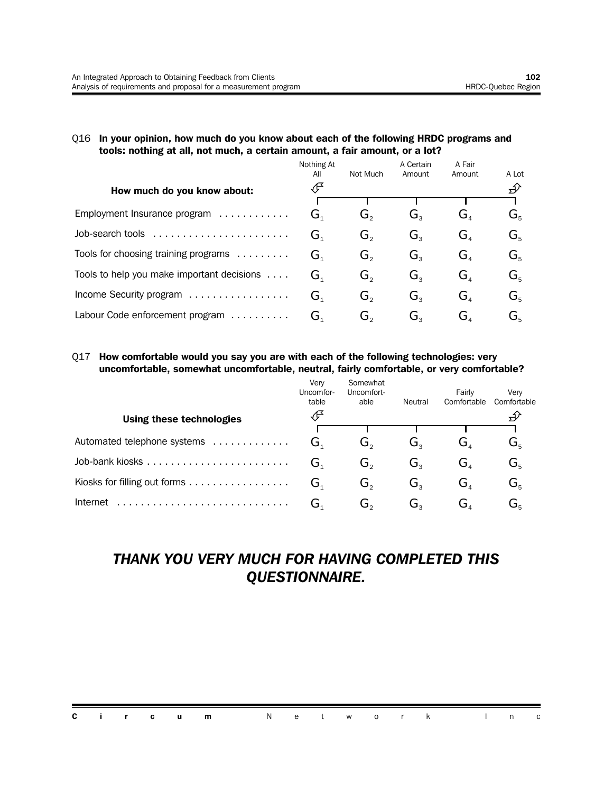#### Q16 **In your opinion, how much do you know about each of the following HRDC programs and tools: nothing at all, not much, a certain amount, a fair amount, or a lot?**

|                                            | Nothing At<br>All | Not Much | A Certain<br>Amount         | A Fair<br>Amount            | A Lot                                                     |
|--------------------------------------------|-------------------|----------|-----------------------------|-----------------------------|-----------------------------------------------------------|
| How much do you know about:                | ∯                 |          |                             |                             | ∯∕                                                        |
|                                            |                   |          |                             |                             |                                                           |
| Employment Insurance program               | G <sub>1</sub>    | Ğ,       | Ġ,                          | Ġ,                          | G,                                                        |
| Job-search tools                           | G,                | G,       | G,                          | $G_{\scriptscriptstyle{A}}$ | $\mathbf{G}^{\vphantom{\dagger}}_{\kappa}$                |
| Tools for choosing training programs       | G <sub>1</sub>    | $G_{2}$  | $G_{\scriptscriptstyle{2}}$ | $G_{\scriptscriptstyle A}$  | $\mathbf{G}^{\vphantom{\dagger}}_{\scriptscriptstyle{5}}$ |
| Tools to help you make important decisions | G <sub>1</sub>    | G,       | $G_{\rm a}$                 | $G_{\scriptscriptstyle{A}}$ | G,                                                        |
| Income Security program                    | G <sub>1</sub>    | G,       | $G_{\tiny{2}}$              | G <sub>a</sub>              | G,                                                        |
| Labour Code enforcement program            | G,                | G。       | G。                          | G,                          | G.                                                        |

#### Q17 **How comfortable would you say you are with each of the following technologies: very uncomfortable, somewhat uncomfortable, neutral, fairly comfortable, or very comfortable?**

 $\mathcal{L}$ 

|                              | Verv<br>Uncomfor-<br>table | Somewhat<br>Uncomfort-<br>able | Neutral | Fairly<br>Comfortable | Verv<br>Comfortable       |
|------------------------------|----------------------------|--------------------------------|---------|-----------------------|---------------------------|
| Using these technologies     |                            |                                |         |                       |                           |
|                              |                            |                                |         |                       |                           |
| Automated telephone systems  | Ğ,                         | ن.                             | C۰.     | ، ت                   | $\mathbf{G}_{\mathbf{s}}$ |
|                              | ىت                         | G。                             | G,      | G,                    | $\mathbf{G}_{\mathrm{s}}$ |
| Kiosks for filling out forms | G,                         | G,                             | G,      | G,                    | $G_{\rm s}$               |
| Internet                     | ىر                         | ەت                             | ەت      | ⊿ل                    | ىر                        |

## *THANK YOU VERY MUCH FOR HAVING COMPLETED THIS QUESTIONNAIRE.*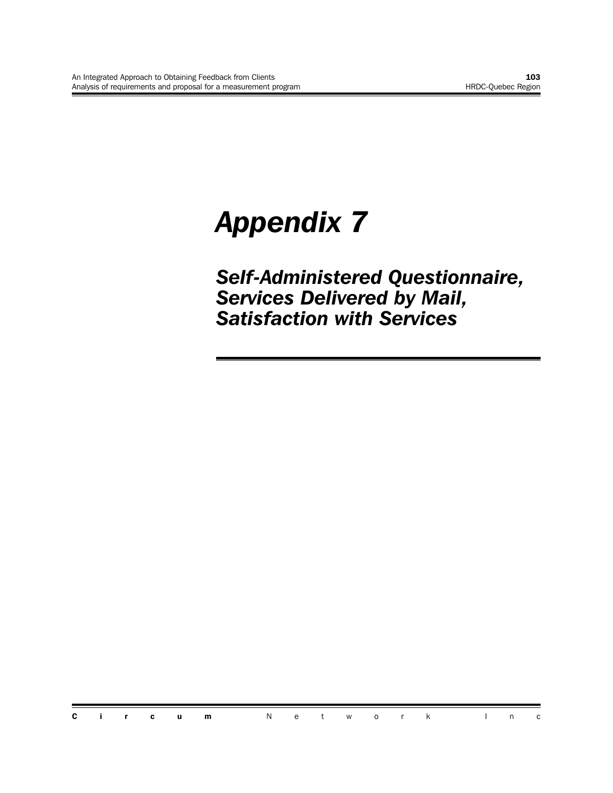# *Appendix 7*

*Self-Administered Questionnaire, Services Delivered by Mail, Satisfaction with Services*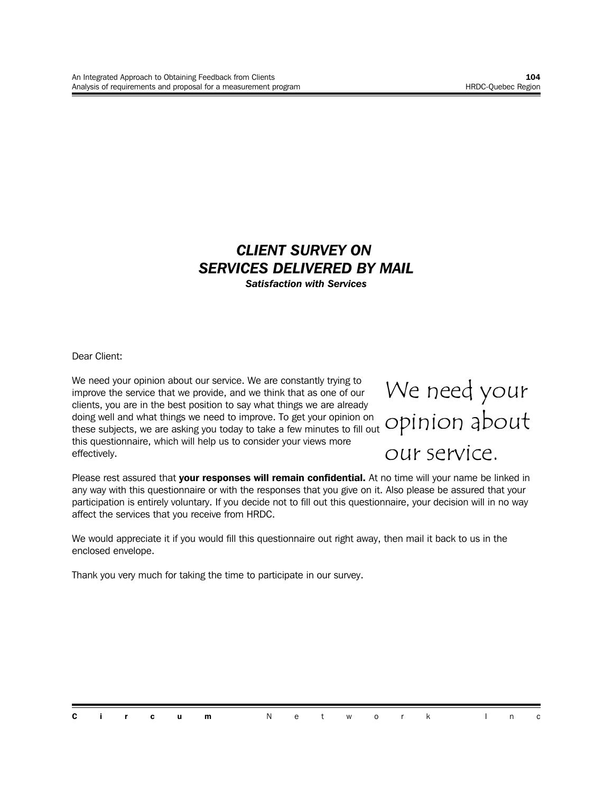#### *CLIENT SURVEY ON SERVICES DELIVERED BY MAIL Satisfaction with Services*

Dear Client:

We need your opinion about our service. We are constantly trying to improve the service that we provide, and we think that as one of our clients, you are in the best position to say what things we are already doing well and what things we need to improve. To get your opinion on these subjects, we are asking you today to take a few minutes to fill out this questionnaire, which will help us to consider your views more effectively.

## We need your opinion about

our service.

Please rest assured that **your responses will remain confidential.** At no time will your name be linked in any way with this questionnaire or with the responses that you give on it. Also please be assured that your participation is entirely voluntary. If you decide not to fill out this questionnaire, your decision will in no way affect the services that you receive from HRDC.

We would appreciate it if you would fill this questionnaire out right away, then mail it back to us in the enclosed envelope.

Thank you very much for taking the time to participate in our survey.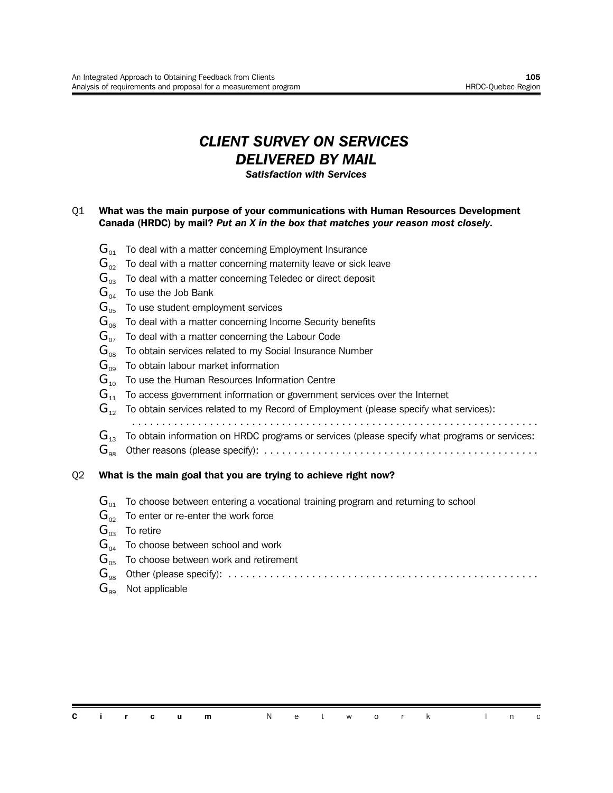## *CLIENT SURVEY ON SERVICES DELIVERED BY MAIL*

*Satisfaction with Services*

#### Q1 **What was the main purpose of your communications with Human Resources Development Canada (HRDC) by mail?** *Put an X in the box that matches your reason most closely.*

- $\mathbf{G}_{01}$  To deal with a matter concerning Employment Insurance
- $\mathbf{G}_{02}$  To deal with a matter concerning maternity leave or sick leave
- $G_{03}$  To deal with a matter concerning Teledec or direct deposit
- $\mathbf{G}_{04}$  To use the Job Bank
- $G_{05}$  To use student employment services
- $\mathbf{G}_{06}$  To deal with a matter concerning Income Security benefits
- $G_{07}$  To deal with a matter concerning the Labour Code
- $G_{08}$  To obtain services related to my Social Insurance Number
- $G_{09}$  To obtain labour market information
- $G_{10}$  To use the Human Resources Information Centre
- $G_{11}$  To access government information or government services over the Internet
- $G_{12}$  To obtain services related to my Record of Employment (please specify what services):
- ....................................................................
- $\mathbf{G}_{12}$  To obtain information on HRDC programs or services (please specify what programs or services:
- G<sup>98</sup> Other reasons (please specify): ..............................................

#### Q2 **What is the main goal that you are trying to achieve right now?**

- $\mathbf{G}_{01}$  To choose between entering a vocational training program and returning to school
- $\mathbf{G}_{02}$  To enter or re-enter the work force
- $G_{02}$  To retire
- $G_{04}$  To choose between school and work
- $G_{05}$  To choose between work and retirement
- G<sup>98</sup> Other (please specify): ....................................................
- $G_{\infty}$  Not applicable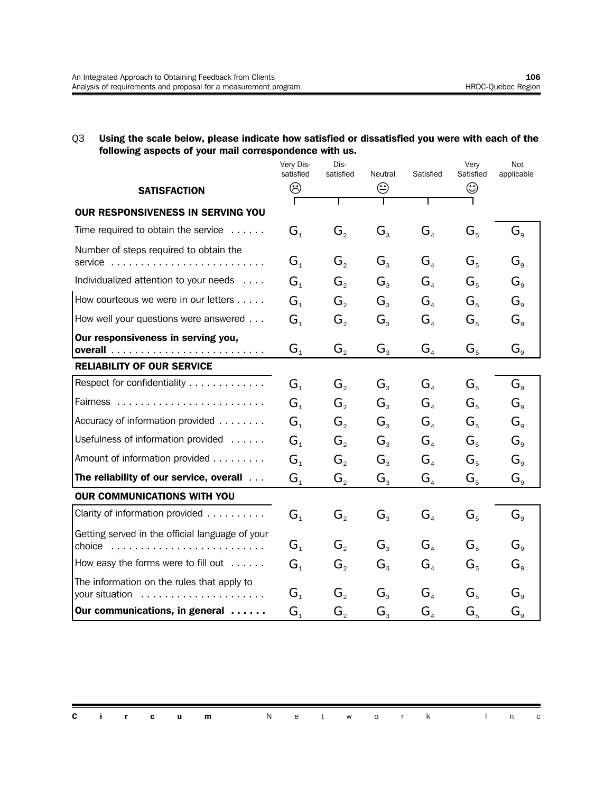#### Q3 **Using the scale below, please indicate how satisfied or dissatisfied you were with each of the following aspects of your mail correspondence with us.**

|                                                              | Very Dis-<br>satisfied      | Dis-<br>satisfied           | Neutral        | Satisfied                           | Very<br>Satisfied | Not<br>applicable                |
|--------------------------------------------------------------|-----------------------------|-----------------------------|----------------|-------------------------------------|-------------------|----------------------------------|
| <b>SATISFACTION</b>                                          | ☺                           |                             | ☺              |                                     | ☺                 |                                  |
| OUR RESPONSIVENESS IN SERVING YOU                            |                             |                             |                |                                     |                   |                                  |
| Time required to obtain the service                          | G <sub>1</sub>              |                             | $G_{3}$        | $G_{\scriptscriptstyle{A}}$         | $G_{5}$           | $G_{\rm g}$                      |
|                                                              |                             | $G_{2}$                     |                |                                     |                   |                                  |
| Number of steps required to obtain the<br>$s$ ervice         | G <sub>1</sub>              | $G_{2}$                     | $G_{3}$        | $G_{\scriptscriptstyle\mathcal{A}}$ | $G_{5}$           | $G_{\rm o}$                      |
| Individualized attention to your needs                       | G <sub>1</sub>              | $G_{\scriptscriptstyle{2}}$ | $G_{\tiny{2}}$ | $G_{\scriptscriptstyle\mathcal{A}}$ | $G_{5}$           | $G_{\scriptscriptstyle{\alpha}}$ |
| How courteous we were in our letters                         | G <sub>1</sub>              | $G_{\scriptscriptstyle{2}}$ | $G_{\tiny{2}}$ | $G_{\scriptscriptstyle{A}}$         | $G_{5}$           | $G_{\mathrm{a}}$                 |
| How well your questions were answered                        | G <sub>1</sub>              | $G_{2}$                     | $G_{3}$        | G <sub>4</sub>                      | $G_{5}$           | $G_{\scriptscriptstyle{9}}$      |
| Our responsiveness in serving you,                           | $\mathbf{G}_\text{1}$       | G <sub>2</sub>              | $G_{3}$        | G <sub>4</sub>                      | $G_{5}$           | $G_{\scriptscriptstyle{9}}$      |
| <b>RELIABILITY OF OUR SERVICE</b>                            |                             |                             |                |                                     |                   |                                  |
| Respect for confidentiality                                  | G <sub>1</sub>              | $G_{2}$                     | $G_{3}$        | G <sub>4</sub>                      | $G_{5}$           | $G_{\scriptscriptstyle{\alpha}}$ |
|                                                              | G <sub>1</sub>              | $G_{\scriptscriptstyle{2}}$ | $G_{3}$        | $G_{\scriptscriptstyle\mathcal{A}}$ | $G_{5}$           | $G_{\scriptscriptstyle{\alpha}}$ |
| Accuracy of information provided                             | G <sub>1</sub>              | $G_{\scriptscriptstyle{2}}$ | $G_{\tiny{2}}$ | $G_{\scriptscriptstyle\mathcal{A}}$ | $G_{5}$           | $G_{\rm o}$                      |
| Usefulness of information provided                           | G <sub>1</sub>              | $G_{2}$                     | $G_{\tiny{2}}$ | $G_{\scriptscriptstyle\mathcal{A}}$ | $G_{5}$           | $G_{\scriptscriptstyle{\alpha}}$ |
| Amount of information provided                               | G <sub>1</sub>              | $G_{2}$                     | $G_{3}$        | $G_{\scriptscriptstyle\mathcal{A}}$ | $G_{5}$           | $G_{\rm o}$                      |
| The reliability of our service, overall                      | $\mathsf{G}_\mathfrak{1}$   | G <sub>2</sub>              | $G_{3}$        | G <sub>4</sub>                      | $G_{5}$           | $G_{\scriptscriptstyle{9}}$      |
| <b>OUR COMMUNICATIONS WITH YOU</b>                           |                             |                             |                |                                     |                   |                                  |
| Clarity of information provided                              | G <sub>1</sub>              | $G_{2}$                     | $G_{3}$        | $G_{\scriptscriptstyle\mathcal{A}}$ | $G_{5}$           | $G_{\rm g}$                      |
| Getting served in the official language of your<br>choice    | $G_{\scriptscriptstyle{1}}$ | $G_{\scriptscriptstyle{2}}$ | $G_{\rm a}$    | $G_{\scriptscriptstyle\mathcal{A}}$ | $G_{5}$           | $G_{\mathrm{a}}$                 |
| How easy the forms were to fill out                          | G <sub>1</sub>              | $G_{2}$                     | $G_{3}$        | G <sub>4</sub>                      | $G_{5}$           | $G_{\scriptscriptstyle{9}}$      |
| The information on the rules that apply to<br>your situation | G <sub>1</sub>              | $G_{2}$                     | $G_{3}$        | $G_{\scriptscriptstyle\mathcal{A}}$ | $G_{5}$           | $G_{\scriptscriptstyle{\alpha}}$ |
| Our communications, in general                               | $G_{1}$                     | G,                          | $G_{\tiny{2}}$ | $G_{\scriptscriptstyle\mathcal{A}}$ | $G_{5}$           | $G_{\scriptscriptstyle{\alpha}}$ |

|  |  | <b>Circum</b> Network Inc |  |  |  |  |  |
|--|--|---------------------------|--|--|--|--|--|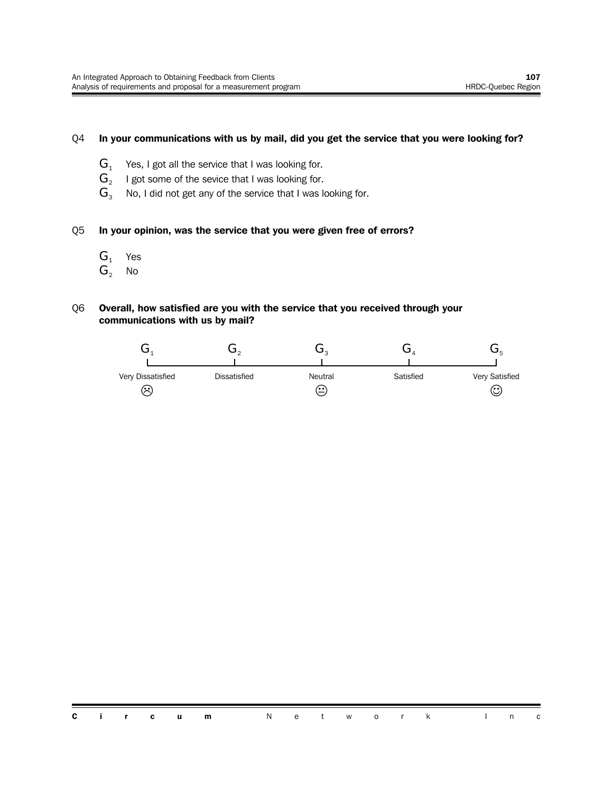#### Q4 **In your communications with us by mail, did you get the service that you were looking for?**

- $G_1$  Yes, I got all the service that I was looking for.
- $G<sub>2</sub>$ I got some of the sevice that I was looking for.
- $G_3$  No, I did not get any of the service that I was looking for.

#### Q5 **In your opinion, was the service that you were given free of errors?**

- $G_1$  Yes
- $G_2$  No

#### Q6 **Overall, how satisfied are you with the service that you received through your communications with us by mail?**

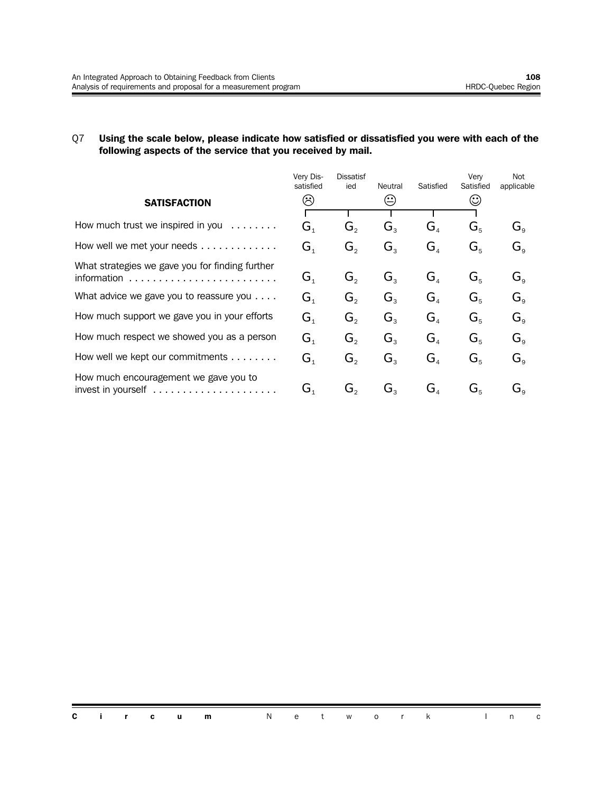#### Q7 **Using the scale below, please indicate how satisfied or dissatisfied you were with each of the following aspects of the service that you received by mail.**

|                                                                                         | Very Dis-<br>satisfied               | Dissatisf<br>ied | Neutral        | Satisfied                            | Very<br>Satisfied             | Not<br>applicable                         |
|-----------------------------------------------------------------------------------------|--------------------------------------|------------------|----------------|--------------------------------------|-------------------------------|-------------------------------------------|
| <b>SATISFACTION</b>                                                                     | $\hat{\mathcal{C}}$                  |                  |                |                                      | $\odot$                       |                                           |
|                                                                                         |                                      |                  |                |                                      |                               |                                           |
| How much trust we inspired in you<br>$\mathcal{L}$ is a set of the set of $\mathcal{L}$ | $\mathbf{G}_{\scriptscriptstyle{1}}$ | G,               | G,             | $\mathbf{G}_{\scriptscriptstyle{A}}$ | $\mathbf{G}_{\kappa}$         | $\mathbf{G}_{\text{\tiny a}}$             |
| How well we met your needs                                                              | $\mathbf{G}_{\scriptscriptstyle{1}}$ | $G_{2}$          | $G_{\tiny{3}}$ | G <sub>4</sub>                       | $G_{5}$                       | $G_{\rm g}$                               |
| What strategies we gave you for finding further                                         |                                      |                  |                |                                      |                               |                                           |
| information                                                                             | $\mathbf{G}_{\scriptscriptstyle{1}}$ | $G_{\circ}$      | $G_{\tiny{2}}$ | G <sub>4</sub>                       | $G_{\kappa}$                  | $G_{\circ}$                               |
| What advice we gave you to reassure you $\dots$ .                                       | $\mathbf{G}_{\scriptscriptstyle{1}}$ | $G_{2}$          | $G_{\tiny{2}}$ | G <sub>a</sub>                       | $\mathbf{G}_{\kappa}$         | $\mathbf{G}_{\mathsf{a}}$                 |
| How much support we gave you in your efforts                                            | $\mathbf{G}_{\scriptscriptstyle{1}}$ | G,               | $\mathbf{G}_3$ | $G_{4}$                              | $G_{\scriptscriptstyle\rm E}$ | $G_{\circ}$                               |
| How much respect we showed you as a person                                              | $G_{\scriptscriptstyle{1}}$          | G,               | G,             | G <sub>a</sub>                       | $G_{\kappa}$                  | $G_{\alpha}$                              |
| How well we kept our commitments                                                        | $\mathbf{G}_{\scriptscriptstyle{1}}$ | G,               | $G_{3}$        | $\mathbf{G}_{\scriptscriptstyle{A}}$ | $G_{5}$                       | $G_{\alpha}$                              |
| How much encouragement we gave you to                                                   | G,                                   | G,               | G,             | G,                                   | $\mathbf{G}^{\varepsilon}$    | $\mathbf{G}_{\scriptscriptstyle{\alpha}}$ |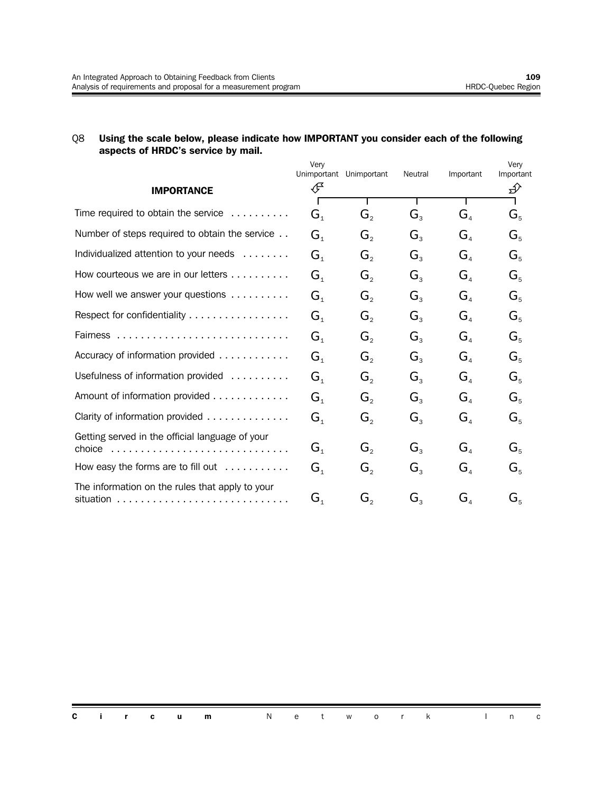#### Q8 **Using the scale below, please indicate how IMPORTANT you consider each of the following aspects of HRDC's service by mail.**

|                                                            | Very           |                             |                |                                      | Very      |
|------------------------------------------------------------|----------------|-----------------------------|----------------|--------------------------------------|-----------|
|                                                            | Unimportant    | Unimportant                 | Neutral        | Important                            | Important |
| <b>IMPORTANCE</b>                                          | ∉              |                             |                |                                      | ∯         |
| Time required to obtain the service $\ldots \ldots \ldots$ | G <sub>1</sub> | $G_{2}$                     | $G_{3}$        | $G_{\scriptscriptstyle\mathcal{A}}$  | $G_{5}$   |
| Number of steps required to obtain the service             | G <sub>1</sub> | $G_{\scriptscriptstyle{2}}$ | $G_{3}$        | $G_{\scriptscriptstyle\mathcal{A}}$  | $G_{5}$   |
| Individualized attention to your needs                     | G <sub>1</sub> | $G_{2}$                     | $G_{3}$        | $G_{\scriptscriptstyle\mathcal{A}}$  | $G_{5}$   |
| How courteous we are in our letters                        | $G_{1}$        | $G_{\scriptscriptstyle{2}}$ | $G_{\tiny{2}}$ | $G_{\scriptscriptstyle\mathcal{A}}$  | $G_{5}$   |
| How well we answer your questions $\ldots \ldots \ldots$   | G <sub>1</sub> | $G_{2}$                     | $G_{3}$        | $G_{\scriptscriptstyle\mathcal{A}}$  | $G_{5}$   |
| Respect for confidentiality                                | G <sub>1</sub> | $G_{\scriptscriptstyle{2}}$ | $G_{\tiny{2}}$ | $\mathbf{G}_{\scriptscriptstyle{A}}$ | $G_{5}$   |
|                                                            | G <sub>1</sub> | $G_{2}$                     | $G_{3}$        | $G_{\scriptscriptstyle\mathcal{A}}$  | $G_{5}$   |
| Accuracy of information provided                           | G <sub>1</sub> | $G_{2}$                     | $G_{3}$        | G <sub>4</sub>                       | $G_{5}$   |
| Usefulness of information provided                         | G <sub>1</sub> | $G_{\scriptscriptstyle{2}}$ | $G_{3}$        | $G_{\scriptscriptstyle\mathcal{A}}$  | $G_{5}$   |
| Amount of information provided                             | G <sub>1</sub> | $G_{\scriptscriptstyle{2}}$ | $G_{3}$        | G <sub>4</sub>                       | $G_{5}$   |
| Clarity of information provided                            | G <sub>1</sub> | $G_{2}$                     | $G_{3}$        | $G_{\scriptscriptstyle\mathcal{A}}$  | $G_{5}$   |
| Getting served in the official language of your            | $G_{1}$        | $G_{2}$                     | $G_{3}$        | G <sub>4</sub>                       | $G_{5}$   |
| How easy the forms are to fill out $\dots\dots\dots$       | G <sub>1</sub> | $G_{2}$                     | $G_{3}$        | $\mathbf{G}_4$                       | $G_{5}$   |
| The information on the rules that apply to your            | $G_{1}$        | G,                          | $G_{3}$        | $\mathbf{G}_{\scriptscriptstyle{A}}$ | $G_{5}$   |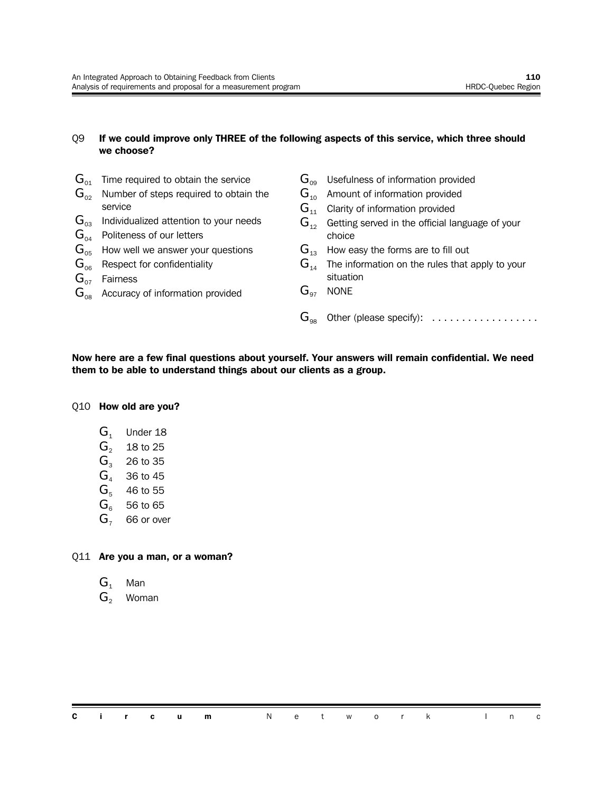#### Q9 **If we could improve only THREE of the following aspects of this service, which three should we choose?**

 $\mathbf{G}_{01}$  Time required to obtain the service  $G_{02}$  Number of steps required to obtain the service  $G_{03}$  Individualized attention to your needs  $G_{04}$  Politeness of our letters  $G_{\text{OB}}$  How well we answer your questions  $G<sub>06</sub>$  Respect for confidentiality  $G_{07}$  Fairness  $\mathbf{G}_{\text{08}}$  Accuracy of information provided  $\mathbf{G}_{09}$  Usefulness of information provided  $G_{10}$  Amount of information provided  $G_{11}$  Clarity of information provided  $G_{12}$  Getting served in the official language of your choice  $G_{13}$  How easy the forms are to fill out  $G_{14}$  The information on the rules that apply to your situation  $G_{97}$  NONE

**Now here are a few final questions about yourself. Your answers will remain confidential. We need them to be able to understand things about our clients as a group.**

 $\mathbf{G}_{98}$  Other (please specify): ..................

#### Q10 **How old are you?**

- $G<sub>1</sub>$  Under 18
- $G_2$  18 to 25
- $G<sub>3</sub>$  26 to 35
- $G<sub>4</sub>$  36 to 45
- $G<sub>5</sub>$  46 to 55
- $G_6$  56 to 65
- $G<sub>7</sub>$  66 or over

#### Q11 **Are you a man, or a woman?**

- $G_1$  Man
- G<sub>2</sub> Woman

**Circum** Network In c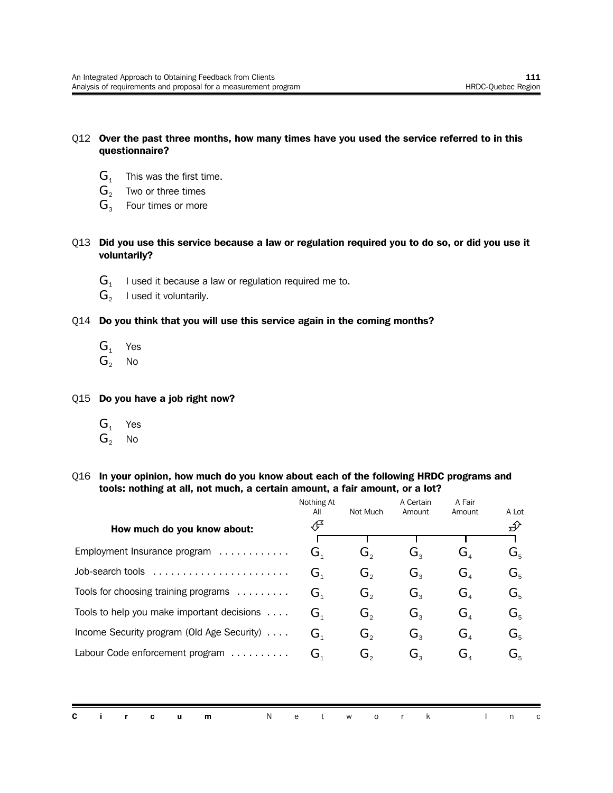#### Q12 **Over the past three months, how many times have you used the service referred to in this questionnaire?**

- $G_1$  This was the first time.
- $G_2$  Two or three times
- $G<sub>3</sub>$  Four times or more

#### Q13 **Did you use this service because a law or regulation required you to do so, or did you use it voluntarily?**

- $G<sub>1</sub>$ I used it because a law or regulation required me to.
- $G_{2}$ I used it voluntarily.

#### Q14 **Do you think that you will use this service again in the coming months?**

- $G_1$  Yes
- $G_2$  No

Q15 **Do you have a job right now?**

- $G_1$  Yes
- $G_2$  No

#### Q16 **In your opinion, how much do you know about each of the following HRDC programs and tools: nothing at all, not much, a certain amount, a fair amount, or a lot?**

|                                            | Nothing At<br>All                    | Not Much | A Certain<br>Amount | A Fair<br>Amount                     | A Lot   |
|--------------------------------------------|--------------------------------------|----------|---------------------|--------------------------------------|---------|
| How much do you know about:                | Æ                                    |          |                     |                                      | ∯       |
| Employment Insurance program<br>.          | $\mathbf{G}_{\scriptscriptstyle{1}}$ | G,       | $G_{3}$             | $\mathbf{G}_{\scriptscriptstyle{A}}$ | $G_{5}$ |
| Job-search tools                           | G <sub>1</sub>                       | G,       | $G_{3}$             | $G_{\scriptscriptstyle\mathcal{A}}$  | $G_{5}$ |
| Tools for choosing training programs       | $\mathbf{G}_{\scriptscriptstyle{1}}$ | G,       | $G_{\tiny{2}}$      | $G_{A}$                              | $G_{5}$ |
| Tools to help you make important decisions | $G_{\scriptscriptstyle{1}}$          | G,       | $G_{\tiny{2}}$      | G,                                   | $G_{5}$ |
| Income Security program (Old Age Security) | $G_{\scriptscriptstyle{1}}$          | G,       | $G_{\rm a}$         | G <sub>a</sub>                       | $G_{5}$ |
| Labour Code enforcement program            | G,                                   | G,       | $G_{3}$             | $G_{\scriptscriptstyle\mathcal{A}}$  | $G_{5}$ |
|                                            |                                      |          |                     |                                      |         |

|  |  | <b>Circum</b> Network Inc |  |  |  |  |  |
|--|--|---------------------------|--|--|--|--|--|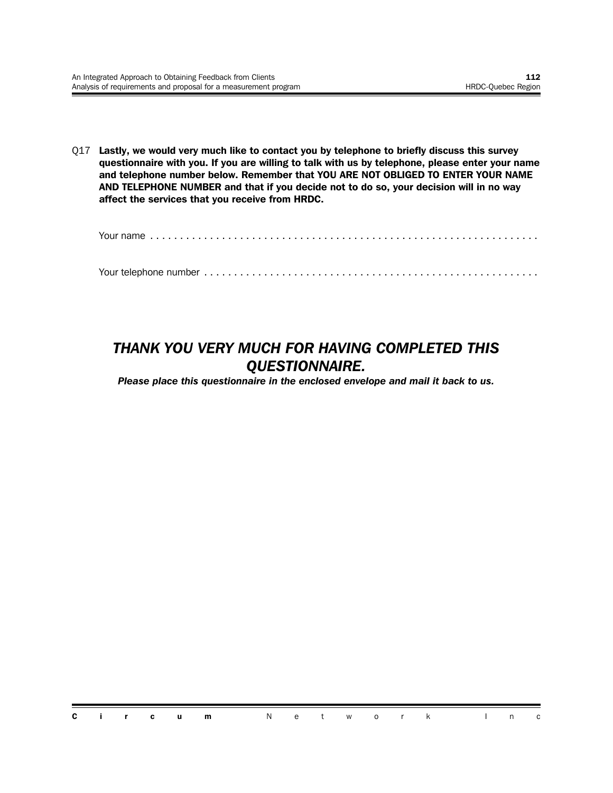Q17 **Lastly, we would very much like to contact you by telephone to briefly discuss this survey questionnaire with you. If you are willing to talk with us by telephone, please enter your name and telephone number below. Remember that YOU ARE NOT OBLIGED TO ENTER YOUR NAME AND TELEPHONE NUMBER and that if you decide not to do so, your decision will in no way affect the services that you receive from HRDC.**

Your name ............

Your telephone number ........................................................

### *THANK YOU VERY MUCH FOR HAVING COMPLETED THIS QUESTIONNAIRE.*

*Please place this questionnaire in the enclosed envelope and mail it back to us.*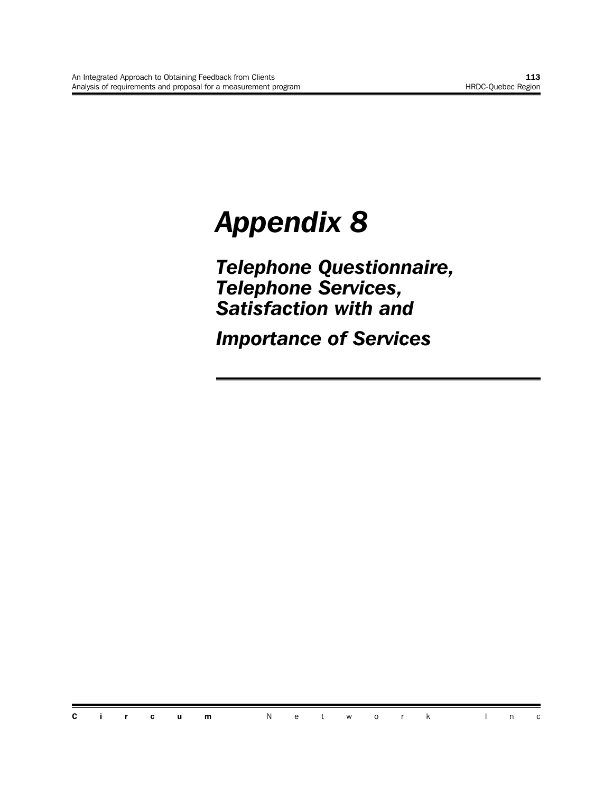# *Appendix 8*

*Telephone Questionnaire, Telephone Services, Satisfaction with and* 

*Importance of Services*

**Circum** Network In c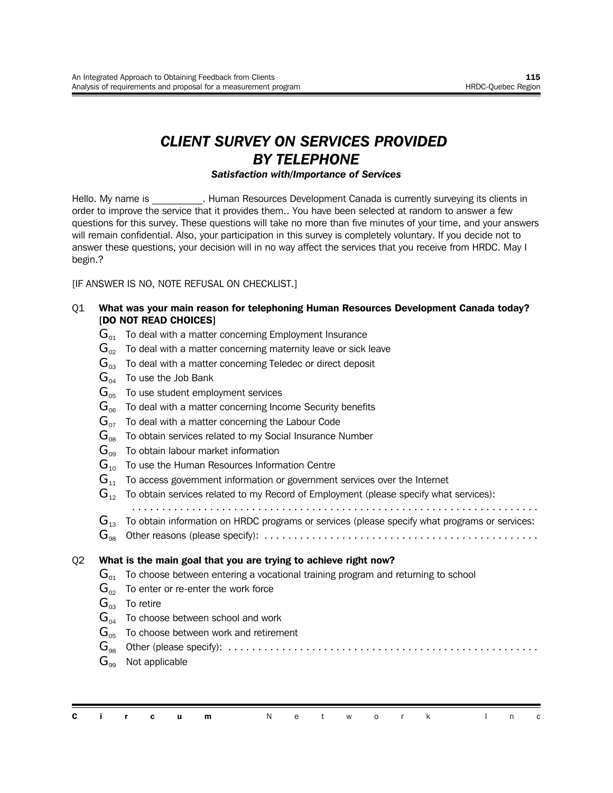## *CLIENT SURVEY ON SERVICES PROVIDED BY TELEPHONE*

#### *Satisfaction with/Importance of Services*

Hello. My name is **Example 20 Final Auman Resources Development Canada is currently surveying its clients in** order to improve the service that it provides them.. You have been selected at random to answer a few questions for this survey. These questions will take no more than five minutes of your time, and your answers will remain confidential. Also, your participation in this survey is completely voluntary. If you decide not to answer these questions, your decision will in no way affect the services that you receive from HRDC. May I begin.?

[IF ANSWER IS NO, NOTE REFUSAL ON CHECKLIST.]

- Q1 **What was your main reason for telephoning Human Resources Development Canada today? [DO NOT READ CHOICES]**
	- $\mathbf{G}_{01}$  To deal with a matter concerning Employment Insurance
	- $\mathbf{G}_{\infty}$  To deal with a matter concerning maternity leave or sick leave
	- $\mathbf{G}_{03}$  To deal with a matter concerning Teledec or direct deposit
	- $\mathbf{G}_{\alpha 4}$  To use the Job Bank
	- $G_{\text{05}}$  To use student employment services
	- $G<sub>06</sub>$  To deal with a matter concerning Income Security benefits
	- $\mathbf{G}_{\alpha z}$  To deal with a matter concerning the Labour Code
	- $G_{08}$  To obtain services related to my Social Insurance Number
	- $G_{09}$  To obtain labour market information
	- $G_{10}$  To use the Human Resources Information Centre
	- $G_{11}$  To access government information or government services over the Internet
	- $\mathbf{G}_{12}$  To obtain services related to my Record of Employment (please specify what services):
	- ....................................................................
	- $\mathbf{G}_{12}$  To obtain information on HRDC programs or services (please specify what programs or services:
	- G<sup>98</sup> Other reasons (please specify): ..............................................

#### Q2 **What is the main goal that you are trying to achieve right now?**

- $\mathbf{G}_{01}$  To choose between entering a vocational training program and returning to school
- $\mathbf{G}_{02}$  To enter or re-enter the work force
- $G_{03}$  To retire
- $G_{04}$  To choose between school and work
- $G<sub>05</sub>$  To choose between work and retirement

G<sup>98</sup> Other (please specify): ....................................................

 $G_{\infty}$  Not applicable

|  |  | <b>Circum</b> Network Inc |  |  |  |  |  |  |
|--|--|---------------------------|--|--|--|--|--|--|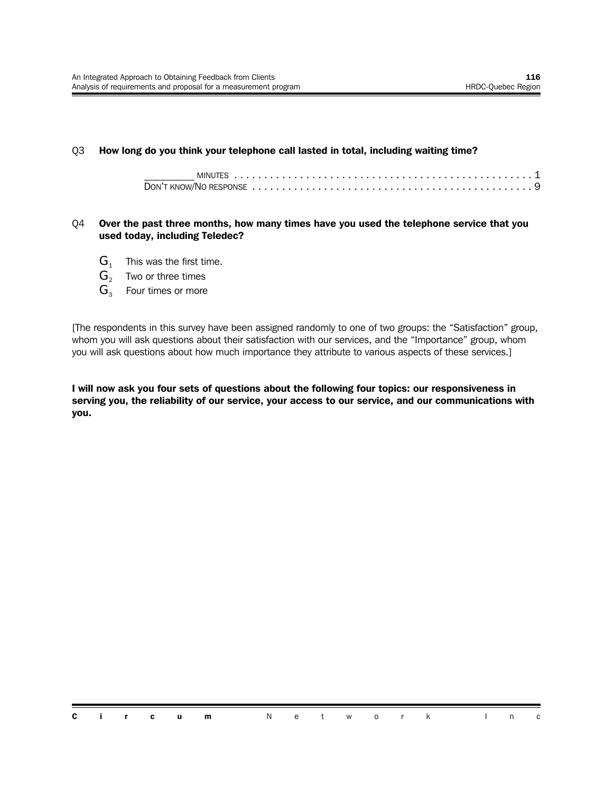#### Q3 **How long do you think your telephone call lasted in total, including waiting time?**

#### Q4 **Over the past three months, how many times have you used the telephone service that you used today, including Teledec?**

- $G_1$  This was the first time.
- $G_2$  Two or three times
- $G_3$  Four times or more

[The respondents in this survey have been assigned randomly to one of two groups: the "Satisfaction" group, whom you will ask questions about their satisfaction with our services, and the "Importance" group, whom you will ask questions about how much importance they attribute to various aspects of these services.]

**I will now ask you four sets of questions about the following four topics: our responsiveness in serving you, the reliability of our service, your access to our service, and our communications with you.**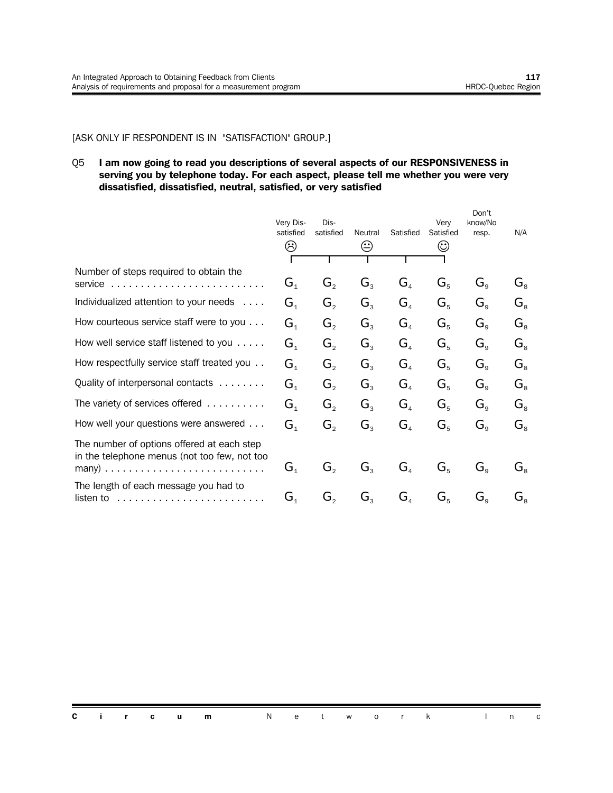#### [ASK ONLY IF RESPONDENT IS IN "SATISFACTION" GROUP.]

#### Q5 **I am now going to read you descriptions of several aspects of our RESPONSIVENESS in serving you by telephone today. For each aspect, please tell me whether you were very dissatisfied, dissatisfied, neutral, satisfied, or very satisfied**

|                                                                                                       | Very Dis-<br>satisfied<br>☺          | Dis-<br>satisfied           | Neutral<br>☺   | Satisfied                           | Verv<br>Satisfied<br>☺ | Don't<br>know/No<br>resp. | N/A                             |
|-------------------------------------------------------------------------------------------------------|--------------------------------------|-----------------------------|----------------|-------------------------------------|------------------------|---------------------------|---------------------------------|
|                                                                                                       |                                      |                             |                |                                     |                        |                           |                                 |
| Number of steps required to obtain the<br>service                                                     | $G_{1}$                              | $G_{\scriptscriptstyle{2}}$ | $G_{3}$        | $G_{\scriptscriptstyle{A}}$         | $G_{5}$                | $G_{\rm g}$               | $G_{\scriptscriptstyle{8}}$     |
| Individualized attention to your needs                                                                | $G_{1}$                              | $G_{2}$                     | $G_{3}$        | $G_{\scriptscriptstyle\mathcal{A}}$ | $G_{5}$                | $G_{\rm g}$               | $G_{8}$                         |
| How courteous service staff were to you                                                               | G <sub>1</sub>                       | G,                          | $G_{3}$        | G <sub>4</sub>                      | $G_{5}$                | $G_{\rm g}$               | $G_{8}$                         |
| How well service staff listened to you                                                                | $G_{1}$                              | $G_{2}$                     | $G_{3}$        | G <sub>4</sub>                      | $G_{5}$                | $G_{\rm g}$               | $G_{8}$                         |
| How respectfully service staff treated you                                                            | $G_{\scriptscriptstyle{1}}$          | $G_{2}$                     | $G_{3}$        | $G_{\scriptscriptstyle{A}}$         | $G_{5}$                | $G_{\rm g}$               | $G_{\scriptscriptstyle{\rm R}}$ |
| Quality of interpersonal contacts                                                                     | $G_{1}$                              | $G_{2}$                     | G <sub>3</sub> | G <sub>4</sub>                      | $G_{5}$                | $G_{\rm g}$               | $G_{8}$                         |
| The variety of services offered                                                                       | G <sub>1</sub>                       | $G_{2}$                     | $G_{3}$        | $G_{\scriptscriptstyle{A}}$         | $G_{5}$                | $G_{\rm g}$               | $G_{8}$                         |
| How well your questions were answered                                                                 | $G_{\scriptscriptstyle{1}}$          | G,                          | $G_{3}$        | $G_{\scriptscriptstyle{A}}$         | $G_{5}$                | $G_{\rm g}$               | $G_{8}$                         |
| The number of options offered at each step<br>in the telephone menus (not too few, not too            | $\mathbf{G}_{\scriptscriptstyle{1}}$ | G,                          | $G_{3}$        | $\mathbf{G}_4$                      | $G_{5}$                | $G_{\rm g}$               | $G_{8}$                         |
|                                                                                                       |                                      |                             |                |                                     |                        |                           |                                 |
| The length of each message you had to<br>listen to $\ldots \ldots \ldots \ldots \ldots \ldots \ldots$ | G,                                   | G,                          | $G_{3}$        | $\mathbf{G}_4$                      | $G_{5}$                | $G_{\rm g}$               | $G_{8}$                         |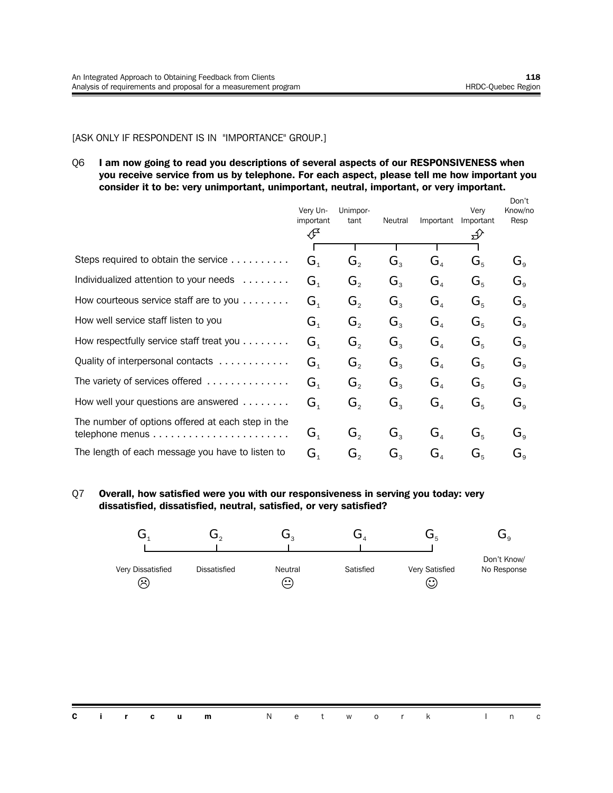#### [ASK ONLY IF RESPONDENT IS IN "IMPORTANCE" GROUP.]

Q6 **I am now going to read you descriptions of several aspects of our RESPONSIVENESS when you receive service from us by telephone. For each aspect, please tell me how important you consider it to be: very unimportant, unimportant, neutral, important, or very important.**

|                                                               | Very Un-<br>important                | Unimpor-<br>tant | Neutral     | Important                            | Verv<br>Important | Don't<br>Know/no<br>Resp                  |
|---------------------------------------------------------------|--------------------------------------|------------------|-------------|--------------------------------------|-------------------|-------------------------------------------|
|                                                               | ℐ                                    |                  |             |                                      | $\mathcal{D}$     |                                           |
| Steps required to obtain the service                          | $\mathbf{G}_{\scriptscriptstyle{1}}$ |                  | $G_{3}$     | $\mathbf{G}_{\scriptscriptstyle{A}}$ |                   |                                           |
|                                                               |                                      | $G_{2}$          |             |                                      | $G_{5}$           | $G_{\rm g}$                               |
| Individualized attention to your needs                        | $\mathbf{G}_{\scriptscriptstyle{1}}$ | $G_{2}$          | $G_{3}$     | $G_{\scriptscriptstyle\mathcal{A}}$  | $G_{5}$           | $G_{\rm g}$                               |
| How courteous service staff are to you                        | $G_{\scriptscriptstyle{1}}$          | $G_{2}$          | $G_{3}$     | $G_{\scriptscriptstyle\mathcal{A}}$  | $G_{5}$           | $G_{\circ}$                               |
| How well service staff listen to you                          | $\mathbf{G}_{\scriptscriptstyle{1}}$ | $G_{2}$          | $G_{3}$     | $G_{\scriptscriptstyle\mathcal{A}}$  | $G_{5}$           | $G_{\rm g}$                               |
| How respectfully service staff treat you                      | $G_{1}$                              | $G_{2}$          | $G_{3}$     | G <sub>a</sub>                       | $G_{5}$           | $G_{\rm g}$                               |
| Quality of interpersonal contacts                             | $\mathbf{G}_{\scriptscriptstyle{1}}$ | $G_{2}$          | $G_{3}$     | $\mathbf{G}_{\scriptscriptstyle{A}}$ | $G_{5}$           | $G_{\rm g}$                               |
| The variety of services offered $\ldots \ldots \ldots \ldots$ | $\mathbf{G}_{\scriptscriptstyle{1}}$ | $G_{\circ}$      | $G_{\rm a}$ | $G_{\scriptscriptstyle A}$           | $G_{5}$           | $G_{\circ}$                               |
| How well your questions are answered                          | $\mathbf{G}_{\scriptscriptstyle{1}}$ | $G_{2}$          | $G_{3}$     | $G_{\scriptscriptstyle\mathcal{A}}$  | $G_{5}$           | $G_{\rm g}$                               |
| The number of options offered at each step in the             |                                      |                  |             |                                      |                   |                                           |
|                                                               | $\mathbf{G}_{\scriptscriptstyle{1}}$ | $G_{2}$          | $G_{3}$     | $G_{\scriptscriptstyle\mathcal{A}}$  | $G_{5}$           | $G_{\alpha}$                              |
| The length of each message you have to listen to              | G.                                   | G,               | G,          | $\mathbf{G}_{\scriptscriptstyle{A}}$ | $G_{\kappa}$      | $\mathbf{G}_{\scriptscriptstyle{\alpha}}$ |

#### Q7 **Overall, how satisfied were you with our responsiveness in serving you today: very dissatisfied, dissatisfied, neutral, satisfied, or very satisfied?**

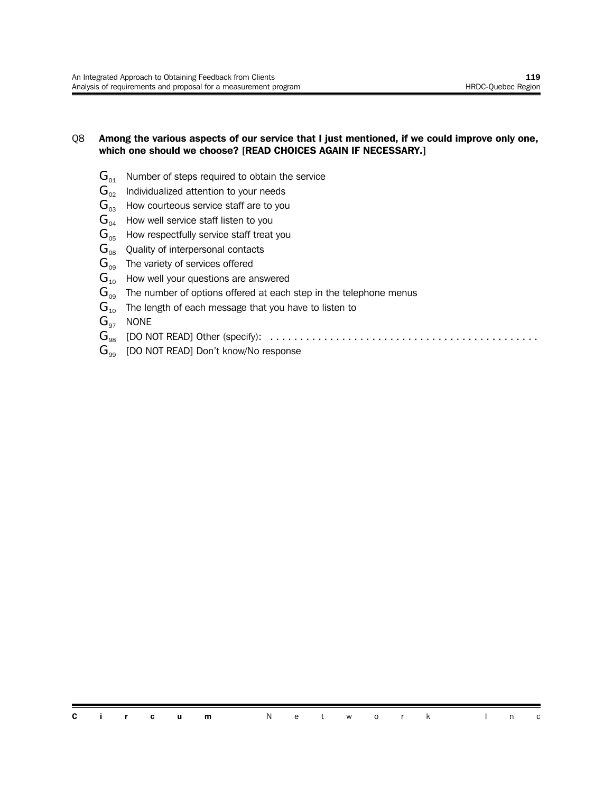#### Q8 **Among the various aspects of our service that I just mentioned, if we could improve only one, which one should we choose? [READ CHOICES AGAIN IF NECESSARY.]**

- $G_{01}$  Number of steps required to obtain the service
- $\mathbf{G}_{02}$  Individualized attention to your needs
- $\mathbf{G}_{03}$  How courteous service staff are to you
- $G_{04}$  How well service staff listen to you
- $G<sub>05</sub>$  How respectfully service staff treat you
- $G_{08}$  Quality of interpersonal contacts
- $\mathbf{G}_{09}$  The variety of services offered
- $G_{10}$  How well your questions are answered
- $G_{00}$  The number of options offered at each step in the telephone menus
- $G_{10}$  The length of each message that you have to listen to
- $G_{97}$  NONE
- G<sup>98</sup> [DO NOT READ] Other (specify): .............................................
- $G_{\text{eq}}$  [DO NOT READ] Don't know/No response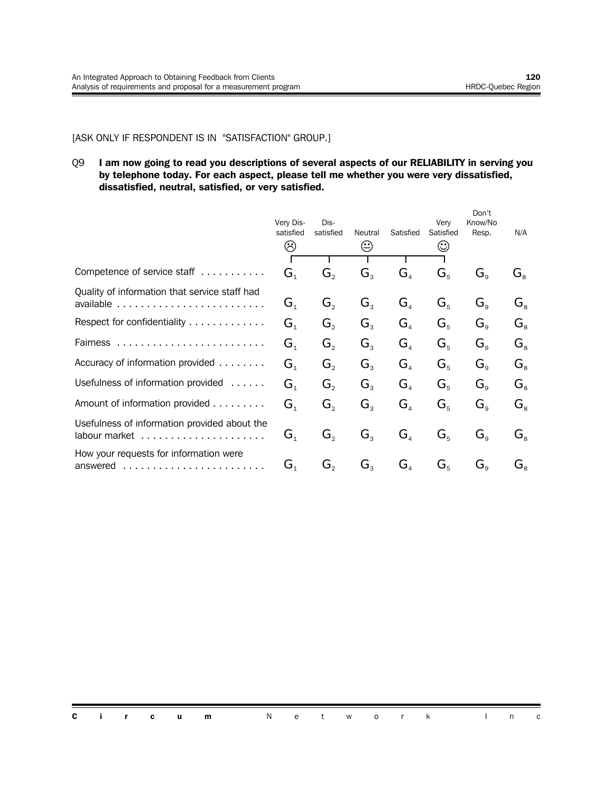#### [ASK ONLY IF RESPONDENT IS IN "SATISFACTION" GROUP.]

#### Q9 **I am now going to read you descriptions of several aspects of our RELIABILITY in serving you by telephone today. For each aspect, please tell me whether you were very dissatisfied, dissatisfied, neutral, satisfied, or very satisfied.**

|                                                                                 | Very Dis-<br>satisfied<br>⊗          | Dis-<br>satisfied           | Neutral<br>$\rm \odot$ | Satisfied                           | Very<br>Satisfied<br>☺ | Don't<br>Know/No<br>Resp. | N/A                         |
|---------------------------------------------------------------------------------|--------------------------------------|-----------------------------|------------------------|-------------------------------------|------------------------|---------------------------|-----------------------------|
|                                                                                 |                                      |                             |                        |                                     |                        |                           |                             |
| Competence of service staff                                                     | $G_{1}$                              | G,                          | $G_{3}$                | $G_{\scriptscriptstyle{A}}$         | $G_{5}$                | $G_{\rm g}$               | $G_{8}$                     |
| Quality of information that service staff had                                   | $G_{\scriptscriptstyle{1}}$          | $G_{\circ}$                 | G <sub>3</sub>         | G <sub>4</sub>                      | $G_{5}$                | $G_{\rm g}$               | $G_{8}$                     |
| Respect for confidentiality                                                     | G <sub>1</sub>                       | $G_{\circ}$                 | $G_{\rm a}$            | G <sub>4</sub>                      | $G_{5}$                | $G_{\alpha}$              | $\mathbf{G}_{\mathrm{s}}$   |
|                                                                                 | G <sub>1</sub>                       | $G_{\circ}$                 | $G_{3}$                | G <sub>4</sub>                      | $G_{5}$                | $G_{\rm g}$               | $G_{8}$                     |
| Accuracy of information provided                                                | G <sub>1</sub>                       | $G_{\scriptscriptstyle{2}}$ | $G_{\rm a}$            | G <sub>4</sub>                      | $G_{5}$                | $G_{\alpha}$              | $G_{\scriptscriptstyle{8}}$ |
| Usefulness of information provided<br>$\alpha$ , $\alpha$ , $\alpha$ , $\alpha$ | G <sub>1</sub>                       | $G_{\circ}$                 | $G_{\rm a}$            | $G_{\scriptscriptstyle\mathcal{A}}$ | $G_{5}$                | $G_{\alpha}$              | $G_{\scriptscriptstyle{8}}$ |
| Amount of information provided                                                  | G <sub>1</sub>                       | $G_{2}$                     | $G_{\rm a}$            | G <sub>4</sub>                      | $G_{5}$                | $G_{\rm g}$               | $G_{\scriptscriptstyle{8}}$ |
| Usefulness of information provided about the                                    | $\mathbf{G}_{\scriptscriptstyle{1}}$ | G,                          | $G_{\tiny{3}}$         | $G_{\scriptscriptstyle{A}}$         | $G_{5}$                | $G_{\alpha}$              | $G_{8}$                     |
| How your requests for information were<br>answered<br>.                         | $G_{\scriptscriptstyle{1}}$          | G,                          | $G_{\tiny{2}}$         | $G_{\scriptscriptstyle{A}}$         | $G_{5}$                | $G_{\alpha}$              | $\mathbf{G}_{\mathrm{s}}$   |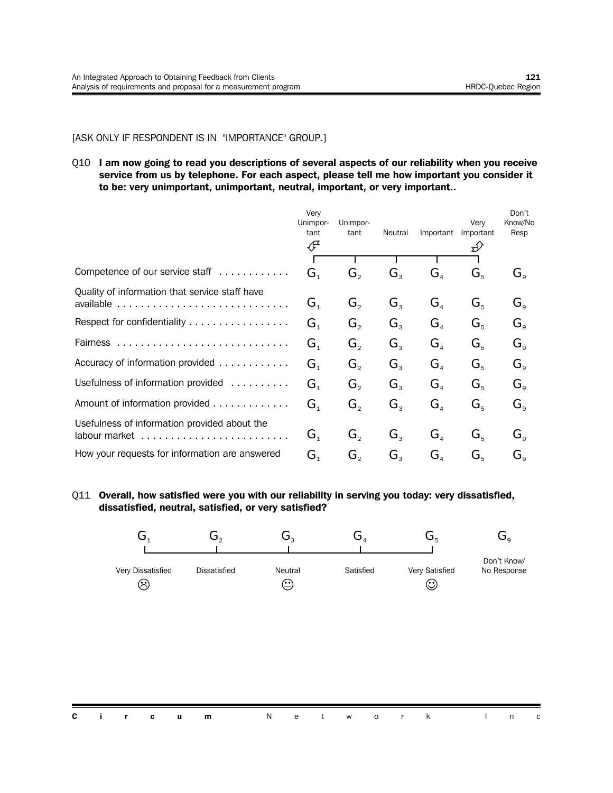#### [ASK ONLY IF RESPONDENT IS IN "IMPORTANCE" GROUP.]

Q10 **I am now going to read you descriptions of several aspects of our reliability when you receive service from us by telephone. For each aspect, please tell me how important you consider it to be: very unimportant, unimportant, neutral, important, or very important..**

|                                                | Very<br>Unimpor-<br>tant<br>∉        | Unimpor-<br>tant            | Neutral          | Important                            | Very<br>Important | Don't<br>Know/No<br>Resp |
|------------------------------------------------|--------------------------------------|-----------------------------|------------------|--------------------------------------|-------------------|--------------------------|
|                                                |                                      |                             |                  |                                      |                   |                          |
| Competence of our service staff                | $\mathbf{G}_{\scriptscriptstyle{1}}$ | $G_{2}$                     | $G_{3}$          | $\mathbf{G}_4$                       | $G_{5}$           | $G_{\rm g}$              |
| Quality of information that service staff have | $\mathbf{G}_{\scriptscriptstyle{1}}$ | $G_{2}$                     | $G_{3}$          | $\mathbf{G}_{\scriptscriptstyle{A}}$ | $G_{5}$           | $G_{\rm g}$              |
| Respect for confidentiality                    | $G_{1}$                              | $G_{\scriptscriptstyle{2}}$ | $G_{\mathrm{R}}$ | $\mathbf{G}_4$                       | $G_{\kappa}$      | $G_{\circ}$              |
| Fairness                                       | $G_{1}$                              | $G_{\circ}$                 | $G_{\rm a}$      | $G_{\scriptscriptstyle{A}}$          | $G_{5}$           | $G_{\circ}$              |
| Accuracy of information provided               | $G_{1}$                              | $G_{\circ}$                 | $G_{3}$          | $G_{\scriptscriptstyle{A}}$          | $G_{5}$           | $G_{\rm g}$              |
| Usefulness of information provided             | $\mathbf{G}_{\scriptscriptstyle{1}}$ | $G_{2}$                     | $G_{\rm a}$      | $G_{\scriptscriptstyle{A}}$          | $G_{5}$           | $G_{\circ}$              |
| Amount of information provided                 | $\mathbf{G}_{\scriptscriptstyle{1}}$ | $\mathbf{G}_{2}$            | $G_{3}$          | G <sub>4</sub>                       | $G_{5}$           | $G_{\rm g}$              |
| Usefulness of information provided about the   | G,                                   | $G_{\circ}$                 | $G_{\rm a}$      | $G_{\scriptscriptstyle{A}}$          | $G_{5}$           | $G_{\alpha}$             |
| How your requests for information are answered | G,                                   | G,                          | $G_{\rm a}$      | $\mathbf{G}_{\scriptscriptstyle{A}}$ | $G_{5}$           | $G_{\alpha}$             |

#### Q11 **Overall, how satisfied were you with our reliability in serving you today: very dissatisfied, dissatisfied, neutral, satisfied, or very satisfied?**



**Circum** Network In c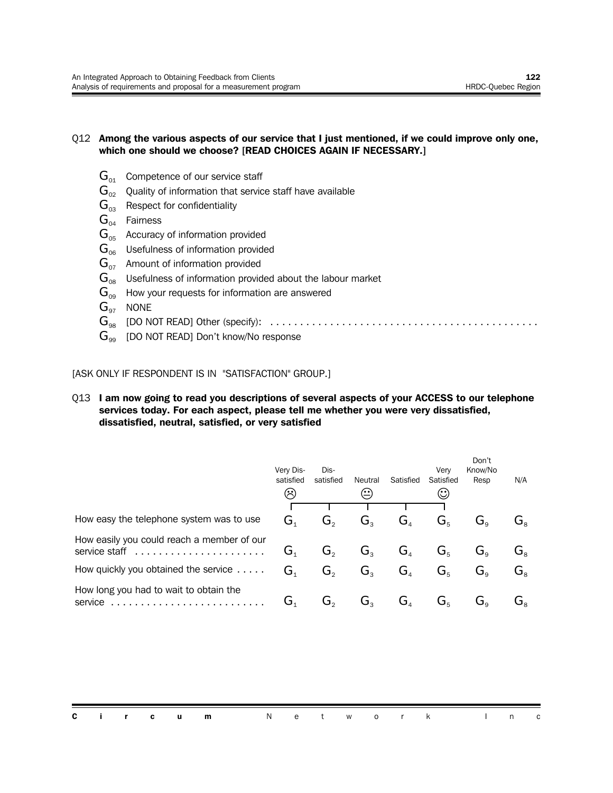#### Q12 **Among the various aspects of our service that I just mentioned, if we could improve only one, which one should we choose? [READ CHOICES AGAIN IF NECESSARY.]**

- $G_{01}$  Competence of our service staff
- $\mathbf{G}_{02}$  Quality of information that service staff have available
- $G_{03}$  Respect for confidentiality
- $G<sub>04</sub>$  Fairness
- $G_{05}$  Accuracy of information provided
- $G<sub>06</sub>$  Usefulness of information provided
- $G_{07}$  Amount of information provided
- $\mathbf{G}_{\text{08}}$  Usefulness of information provided about the labour market
- $\mathbf{G}_{09}$  How your requests for information are answered
- $G_{97}$  NONE
- G<sup>98</sup> [DO NOT READ] Other (specify): .............................................
- $G_{\infty}$  [DO NOT READ] Don't know/No response

[ASK ONLY IF RESPONDENT IS IN "SATISFACTION" GROUP.]

#### Q13 **I am now going to read you descriptions of several aspects of your ACCESS to our telephone services today. For each aspect, please tell me whether you were very dissatisfied, dissatisfied, neutral, satisfied, or very satisfied**

|                                                             | Very Dis-<br>satisfied<br>$(\prec)$ | Dis-<br>satisfied | Neutral<br>$\left( \begin{smallmatrix} \cdot & \cdot \end{smallmatrix} \right)$ | Satisfied                   | Verv<br>Satisfied<br>$\odot$ | Don't<br>Know/No<br>Resp                  | N/A                                            |
|-------------------------------------------------------------|-------------------------------------|-------------------|---------------------------------------------------------------------------------|-----------------------------|------------------------------|-------------------------------------------|------------------------------------------------|
|                                                             |                                     |                   |                                                                                 |                             |                              |                                           |                                                |
| How easy the telephone system was to use                    | $\mathbf{G}_1$                      | $G_{\circ}$       | $G_{\mathrm{a}}$                                                                | G <sub>4</sub>              | $G_{5}$                      | $G_{\scriptscriptstyle{\alpha}}$          | $G_{\scriptscriptstyle{8}}$                    |
| How easily you could reach a member of our<br>service staff | G <sub>1</sub>                      | $G_{\circ}$       | $G_{\scriptscriptstyle{2}}$                                                     | G <sub>4</sub>              | $G_{5}$                      | $G_{\circ}$                               | $\mathbf{G}^{\vphantom{\dagger}}_{\mathbf{s}}$ |
| How quickly you obtained the service                        | G <sub>1</sub>                      | $G_{\circ}$       | $G_{\rm a}$                                                                     | G <sub>4</sub>              | $G_{5}$                      | $G_{\alpha}$                              | $G_{\scriptscriptstyle{\mathrm{s}}}$           |
| How long you had to wait to obtain the<br>service           | G.                                  | G,                | $G_{\rm a}$                                                                     | $G_{\scriptscriptstyle{A}}$ | $G_{5}$                      | $\mathbf{G}_{\scriptscriptstyle{\alpha}}$ | Ġ。                                             |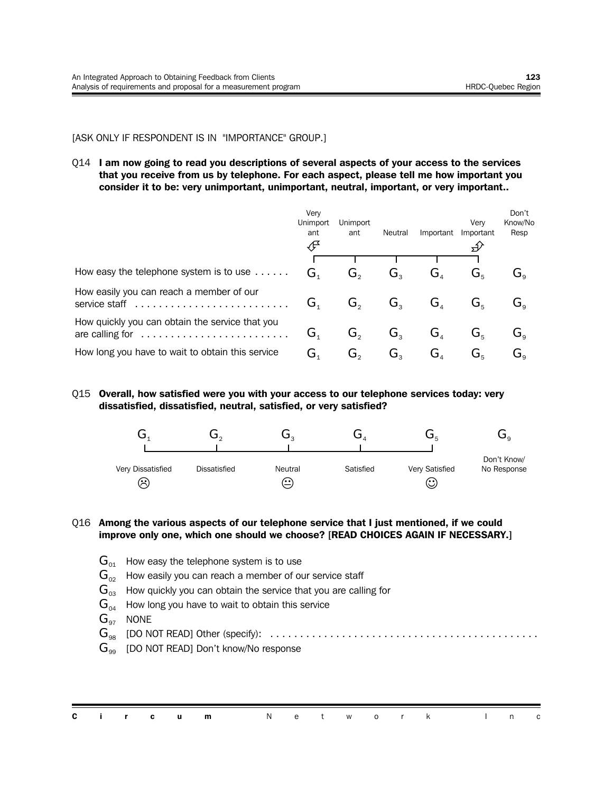#### [ASK ONLY IF RESPONDENT IS IN "IMPORTANCE" GROUP.]

Q14 **I am now going to read you descriptions of several aspects of your access to the services that you receive from us by telephone. For each aspect, please tell me how important you consider it to be: very unimportant, unimportant, neutral, important, or very important..**

|                                                                    | Very<br><b>Unimport</b><br>ant<br>ℐ  | <b>Unimport</b><br>ant | Neutral                                        | Important                            | Verv<br>Important             | Don't<br>Know/No<br>Resp  |
|--------------------------------------------------------------------|--------------------------------------|------------------------|------------------------------------------------|--------------------------------------|-------------------------------|---------------------------|
|                                                                    |                                      |                        |                                                |                                      |                               |                           |
| How easy the telephone system is to use                            | $\mathbf{G}_{\scriptscriptstyle{1}}$ | G,                     | $\mathbf{G}^{\vphantom{\dagger}}_{\mathbf{C}}$ | G,                                   | $G_{\scriptscriptstyle\rm E}$ | G。                        |
| How easily you can reach a member of our                           | G.                                   | G,                     | G,                                             | $\mathbf{G}_4$                       | $G_{\scriptscriptstyle\rm E}$ | $\mathbf{G}_\circ$        |
| How quickly you can obtain the service that you<br>are calling for | G.                                   | G,                     | G,                                             | $G_{\scriptscriptstyle A}$           | $G_{\scriptscriptstyle\rm E}$ | $\mathbf{G}_\circ$        |
| How long you have to wait to obtain this service                   | G,                                   | G,                     | G,                                             | $\mathbf{G}_{\scriptscriptstyle{A}}$ | $G_{\scriptscriptstyle\rm E}$ | $\mathbf{G}^{\,}_{\circ}$ |

Q15 **Overall, how satisfied were you with your access to our telephone services today: very dissatisfied, dissatisfied, neutral, satisfied, or very satisfied?**



#### Q16 **Among the various aspects of our telephone service that I just mentioned, if we could improve only one, which one should we choose? [READ CHOICES AGAIN IF NECESSARY.]**

- $\mathbf{G}_{01}$  How easy the telephone system is to use
- $G_{02}$  How easily you can reach a member of our service staff
- $G_{03}$  How quickly you can obtain the service that you are calling for
- $\mathbf{G}_{04}$  How long you have to wait to obtain this service
- $G_{97}$  NONE
- G<sup>98</sup> [DO NOT READ] Other (specify): .............................................
- $G_{99}$  [DO NOT READ] Don't know/No response

|  |  | <b>Circum</b> Network Inc |  |  |  |  |  |
|--|--|---------------------------|--|--|--|--|--|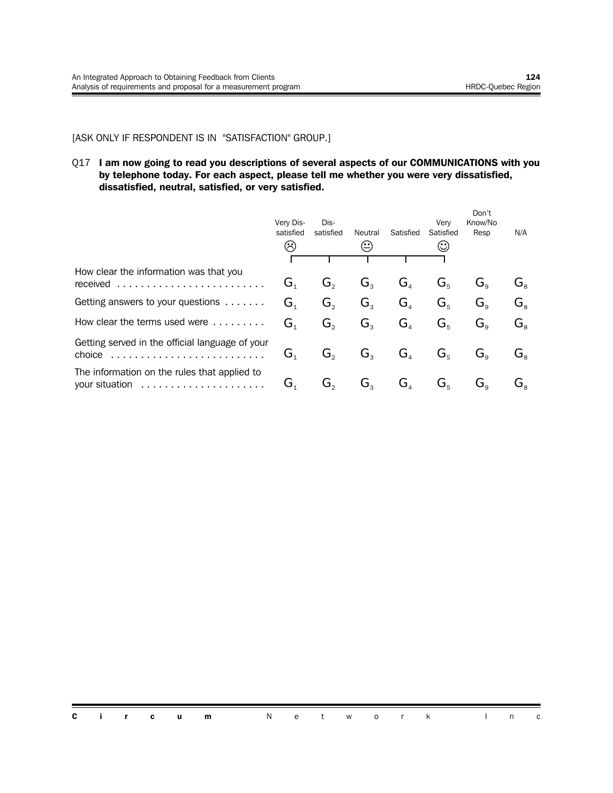#### [ASK ONLY IF RESPONDENT IS IN "SATISFACTION" GROUP.]

#### Q17 **I am now going to read you descriptions of several aspects of our COMMUNICATIONS with you by telephone today. For each aspect, please tell me whether you were very dissatisfied, dissatisfied, neutral, satisfied, or very satisfied.**

|                                                           | Very Dis-<br>satisfied      | Dis-<br>satisfied | Neutral        | Satisfied                            | Verv<br>Satisfied         | Don't<br>Know/No<br>Resp                  | N/A                              |
|-----------------------------------------------------------|-----------------------------|-------------------|----------------|--------------------------------------|---------------------------|-------------------------------------------|----------------------------------|
|                                                           | $\hat{\mathcal{L}}$         |                   |                |                                      | $\rm{(\mathcal{C})}$      |                                           |                                  |
| How clear the information was that you                    |                             |                   |                |                                      |                           |                                           |                                  |
| received                                                  | G <sub>1</sub>              | G,                | G,             | $G_{\scriptscriptstyle{A}}$          | $G_{\kappa}$              | $G_{\scriptscriptstyle{\alpha}}$          | $G_{\rm s}$                      |
| Getting answers to your questions                         | G <sub>1</sub>              | $G_{\circ}$       | $G_{\rm a}$    | $G_{\scriptscriptstyle\mathcal{A}}$  | $G_{\kappa}$              | $G_{\circ}$                               | $G_{\scriptscriptstyle{\alpha}}$ |
| How clear the terms used were                             | G <sub>1</sub>              | $G_{\circ}$       | $G_{\rm a}$    | $G_{\scriptscriptstyle\mathcal{A}}$  | $G_{5}$                   | $G_{\alpha}$                              | $G_{\rm s}$                      |
| Getting served in the official language of your<br>choice | $G_{\scriptscriptstyle{1}}$ | $G_{\circ}$       | $G_{\rm a}$    | $G_{\scriptscriptstyle\mathcal{A}}$  | $G_{5}$                   | $G_{\scriptscriptstyle{\alpha}}$          | G。                               |
| The information on the rules that applied to              | G <sub>1</sub>              | G,                | $G_{\tiny{2}}$ | $\mathbf{G}_{\scriptscriptstyle{A}}$ | $\mathbf{G}_{\mathrm{s}}$ | $\mathbf{G}_{\scriptscriptstyle{\alpha}}$ | Ġ。                               |

**Circum** Network In c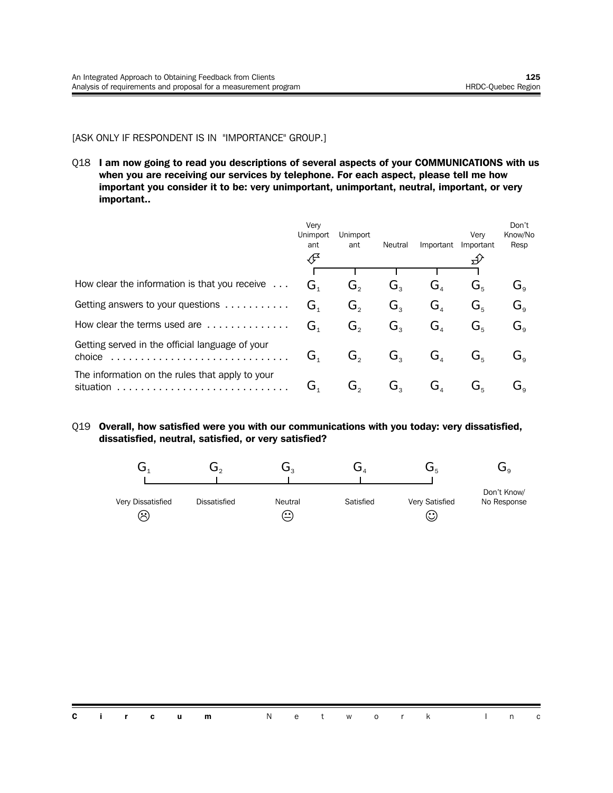#### [ASK ONLY IF RESPONDENT IS IN "IMPORTANCE" GROUP.]

Q18 **I am now going to read you descriptions of several aspects of your COMMUNICATIONS with us when you are receiving our services by telephone. For each aspect, please tell me how important you consider it to be: very unimportant, unimportant, neutral, important, or very important..**

|                                                              | Very<br><b>Unimport</b><br>ant<br>€  | Unimport<br>ant | Neutral             | Important                            | Very<br>Important                 | Don't<br>Know/No<br>Resp |
|--------------------------------------------------------------|--------------------------------------|-----------------|---------------------|--------------------------------------|-----------------------------------|--------------------------|
|                                                              |                                      |                 |                     |                                      |                                   |                          |
| How clear the information is that you receive                | $\mathbf{G}_{\scriptscriptstyle{1}}$ | G,              | $\mathbf{G}_{_{3}}$ | $\mathbf{G}_{\scriptscriptstyle{A}}$ | $\mathbf{G}^{\vphantom{\dagger}}$ | G。                       |
| Getting answers to your questions                            | $G_{1}$                              | G,              | G,                  | $G_{\scriptscriptstyle\mathcal{A}}$  | $G_{5}$                           | $\mathbf{G}_\circ$       |
| How clear the terms used are                                 | $G_{\scriptscriptstyle{1}}$          | $G_{2}$         | $G_{3}$             | $\mathbf{G}_{\scriptscriptstyle{A}}$ | $G_{5}$                           | $G_{\alpha}$             |
| Getting served in the official language of your<br>choice    | G.                                   | G,              | G,                  | $\mathbf{G}_{\scriptscriptstyle{A}}$ | $\mathbf{G}^{\varepsilon}$        | G。                       |
| The information on the rules that apply to your<br>situation | G,                                   | G,              | G,                  | G,                                   | $\mathbf{G}^{\varepsilon}$        | $\mathbf{G}_\circ$       |

#### Q19 **Overall, how satisfied were you with our communications with you today: very dissatisfied, dissatisfied, neutral, satisfied, or very satisfied?**

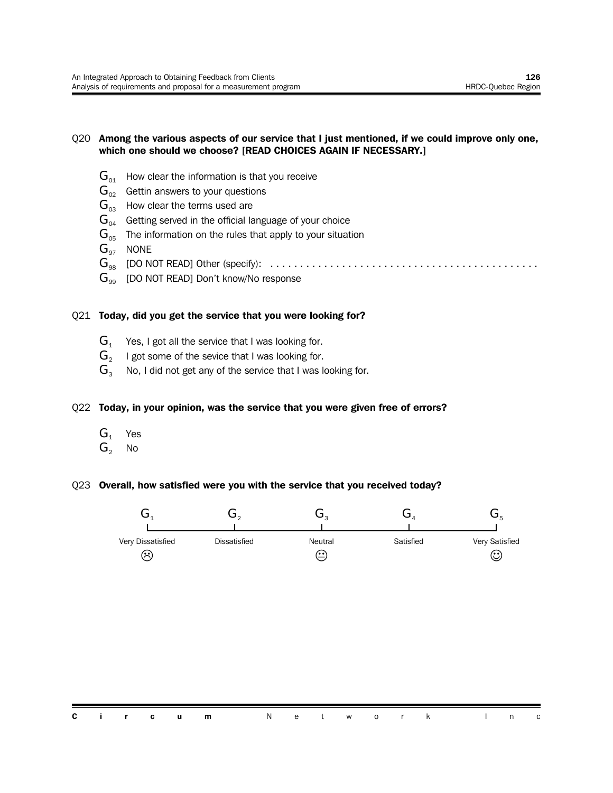#### Q20 **Among the various aspects of our service that I just mentioned, if we could improve only one, which one should we choose? [READ CHOICES AGAIN IF NECESSARY.]**

- $G_{01}$  How clear the information is that you receive
- $G_{02}$  Gettin answers to your questions
- $G_{03}$  How clear the terms used are
- $\mathbf{G}_{04}$  Getting served in the official language of your choice
- $G<sub>05</sub>$  The information on the rules that apply to your situation
- $G_{\alpha7}$  NONE
- G<sup>98</sup> [DO NOT READ] Other (specify): .............................................
- $G_{99}$  [DO NOT READ] Don't know/No response

#### Q21 **Today, did you get the service that you were looking for?**

- $G_1$  Yes, I got all the service that I was looking for.
- $\mathbf{G}_2$   $\;\;$  I got some of the sevice that I was looking for.
- $G_3$  No, I did not get any of the service that I was looking for.

#### Q22 **Today, in your opinion, was the service that you were given free of errors?**

- $G_1$  Yes
- $G_2$  No

#### Q23 **Overall, how satisfied were you with the service that you received today?**

| Very Dissatisfied | <b>Dissatisfied</b> | Neutral | Satisfied | Very Satisfied |
|-------------------|---------------------|---------|-----------|----------------|
| ∺                 |                     | (. . )  |           | $\mathbb{C}$   |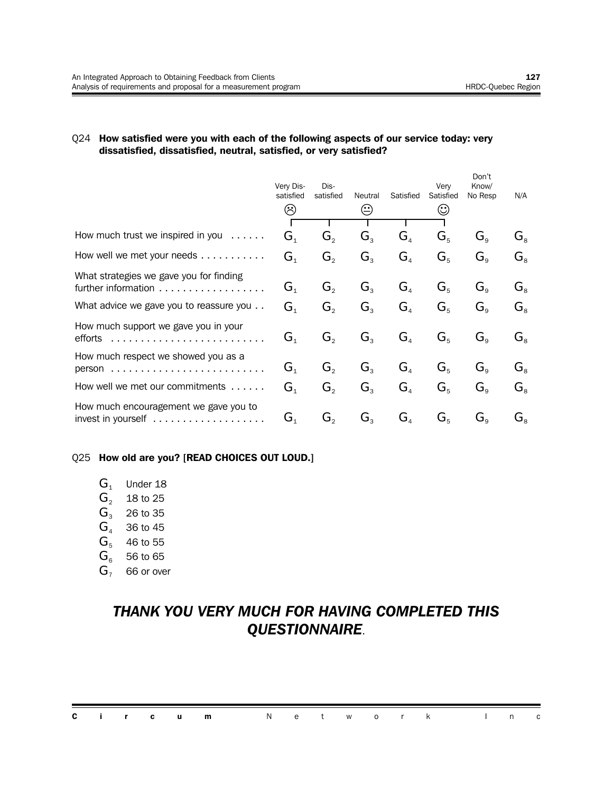#### Q24 **How satisfied were you with each of the following aspects of our service today: very dissatisfied, dissatisfied, neutral, satisfied, or very satisfied?**

|                                                                                | Very Dis-<br>satisfied<br>⊗ | Dis-<br>satisfied | Neutral        | Satisfied                           | Very<br>Satisfied | Don't<br>Know/<br>No Resp                 | N/A                           |
|--------------------------------------------------------------------------------|-----------------------------|-------------------|----------------|-------------------------------------|-------------------|-------------------------------------------|-------------------------------|
|                                                                                |                             |                   |                |                                     |                   |                                           |                               |
| How much trust we inspired in you<br>$\alpha$ , $\alpha$ , $\alpha$ , $\alpha$ | $G_{1}$                     | $G_{2}$           | $G_{\rm a}$    | $G_{\scriptscriptstyle\mathcal{A}}$ | $G_{5}$           | $G_{\alpha}$                              | $G_{8}$                       |
| How well we met your needs                                                     | G <sub>1</sub>              | $G_{2}$           | $G_{3}$        | $G_{\scriptscriptstyle{A}}$         | $G_{5}$           | $G_{\rm g}$                               | $G_{\scriptscriptstyle{8}}$   |
| What strategies we gave you for finding<br>further information                 | $\mathbf{G}_1$              | $G_{2}$           | $G_{\rm a}$    | G <sub>4</sub>                      | $G_{5}$           | $G_{\rm o}$                               | $G_{8}$                       |
| What advice we gave you to reassure you                                        | G <sub>1</sub>              | $G_{2}$           | $G_{3}$        | G <sub>4</sub>                      | $G_{5}$           | $G_{\rm o}$                               | $G_{8}$                       |
| How much support we gave you in your<br>efforts                                | $G_{\scriptscriptstyle{1}}$ | $G_{2}$           | G <sub>3</sub> | G <sub>4</sub>                      | $G_{5}$           | $G_{\scriptscriptstyle{9}}$               | $G_{\scriptscriptstyle\rm R}$ |
| How much respect we showed you as a                                            | $\mathbf{G}_1$              | $G_{\circ}$       | $G_{\rm a}$    | G <sub>4</sub>                      | $G_{5}$           | $G_{\alpha}$                              | $G_{\scriptscriptstyle{8}}$   |
| How well we met our commitments $\dots$                                        | G <sub>1</sub>              | $G_{2}$           | $G_{3}$        | G <sub>4</sub>                      | $G_{5}$           | $G_{\rm o}$                               | $G_{\rm s}$                   |
| How much encouragement we gave you to                                          | G,                          | G,                | $G_{\rm a}$    | $G_{\scriptscriptstyle\mathcal{A}}$ | $G_{5}$           | $\mathbf{G}_{\scriptscriptstyle{\alpha}}$ | $\mathbf{G}_{\mathrm{s}}$     |

#### Q25 **How old are you? [READ CHOICES OUT LOUD.]**

| $\mathbf{G}_{\scriptscriptstyle{1}}$ | Under 18 |  |
|--------------------------------------|----------|--|
|--------------------------------------|----------|--|

- $G_2$  18 to 25
- $G_3$  26 to 35
- $G_4$  36 to 45
- $G<sub>5</sub>$  46 to 55
- $G<sub>6</sub>$  56 to 65
- $G<sub>7</sub>$  66 or over

## *THANK YOU VERY MUCH FOR HAVING COMPLETED THIS QUESTIONNAIRE*.